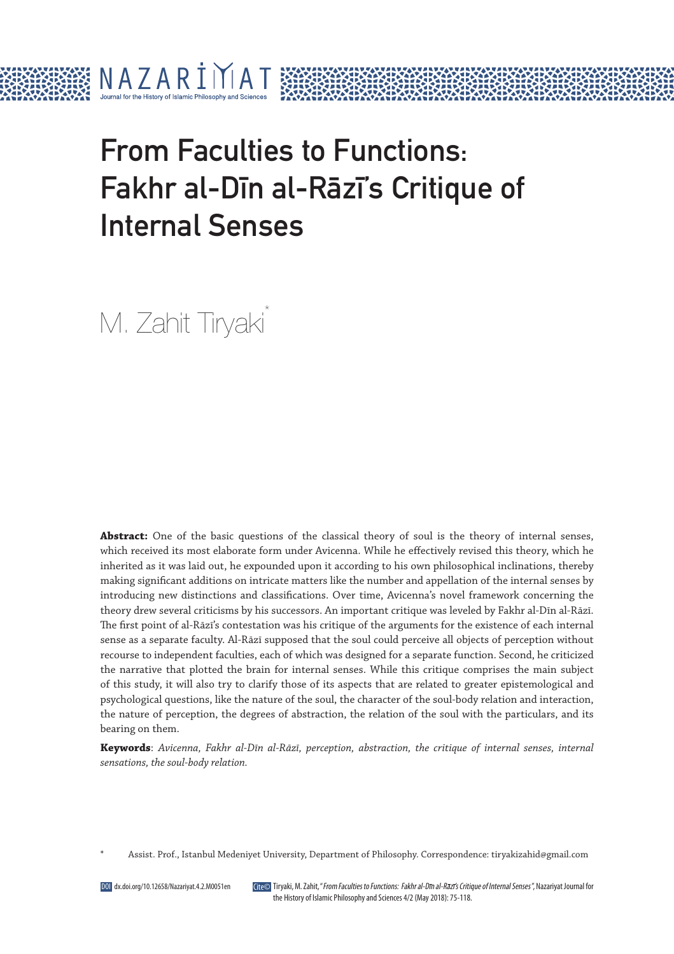

# From Faculties to Functions: Fakhr al-Dīn al-Rāzī's Critique of Internal Senses

M. Zahit Tiryaki<sup>\*</sup>

Abstract: One of the basic questions of the classical theory of soul is the theory of internal senses, which received its most elaborate form under Avicenna. While he effectively revised this theory, which he inherited as it was laid out, he expounded upon it according to his own philosophical inclinations, thereby making significant additions on intricate matters like the number and appellation of the internal senses by introducing new distinctions and classifications. Over time, Avicenna's novel framework concerning the theory drew several criticisms by his successors. An important critique was leveled by Fakhr al-Dīn al-Rāzī. The first point of al-Rāzī's contestation was his critique of the arguments for the existence of each internal sense as a separate faculty. Al-Rāzī supposed that the soul could perceive all objects of perception without recourse to independent faculties, each of which was designed for a separate function. Second, he criticized the narrative that plotted the brain for internal senses. While this critique comprises the main subject of this study, it will also try to clarify those of its aspects that are related to greater epistemological and psychological questions, like the nature of the soul, the character of the soul-body relation and interaction, the nature of perception, the degrees of abstraction, the relation of the soul with the particulars, and its bearing on them.

**Keywords**: *Avicenna, Fakhr al-Dīn al-Rāzī, perception, abstraction, the critique of internal senses, internal sensations, the soul-body relation.*

Tiryaki, M. Zahit, "From Faculties to Functions: Fakhr al-Dın al-Razı's Critique of Internal Senses ", Nazariyat Journal for the History of Islamic Philosophy and Sciences 4/2 (May 2018): 75-118.

<sup>\*</sup> Assist. Prof., Istanbul Medeniyet University, Department of Philosophy. Correspondence: tiryakizahid@gmail.com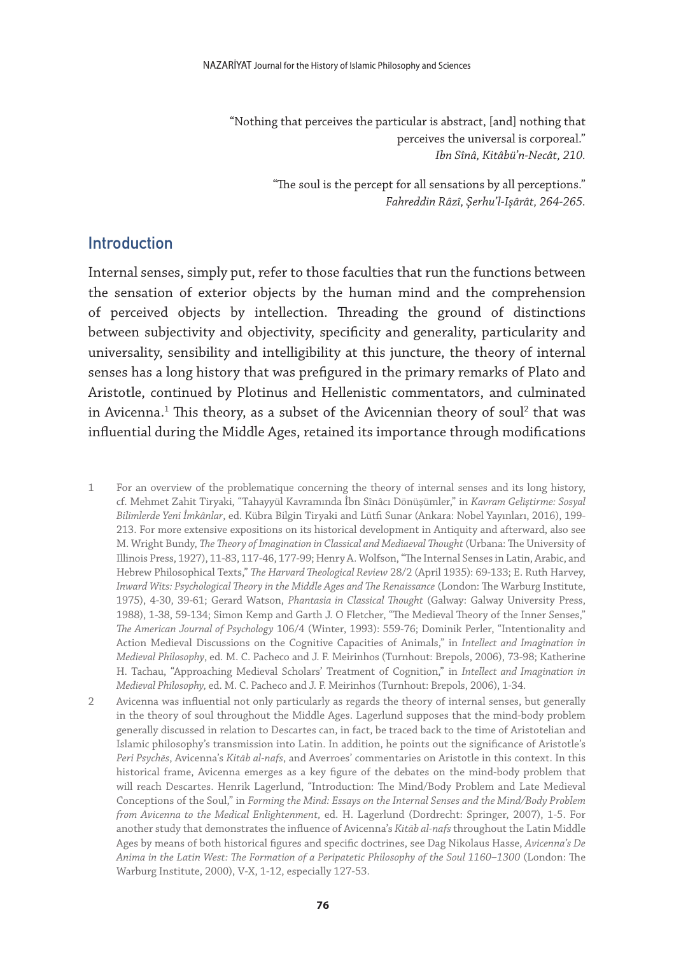"Nothing that perceives the particular is abstract, [and] nothing that perceives the universal is corporeal." *Ibn Sînâ, Kitâbü'n-Necât, 210.*

> "The soul is the percept for all sensations by all perceptions." *Fahreddin Râzî, Şerhu'l-Işârât, 264-265.*

#### Introduction

Internal senses, simply put, refer to those faculties that run the functions between the sensation of exterior objects by the human mind and the comprehension of perceived objects by intellection. Threading the ground of distinctions between subjectivity and objectivity, specificity and generality, particularity and universality, sensibility and intelligibility at this juncture, the theory of internal senses has a long history that was prefigured in the primary remarks of Plato and Aristotle, continued by Plotinus and Hellenistic commentators, and culminated in Avicenna. $^{\rm 1}$  This theory, as a subset of the Avicennian theory of soul $^{\rm 2}$  that was influential during the Middle Ages, retained its importance through modifications

- 1 For an overview of the problematique concerning the theory of internal senses and its long history, cf. Mehmet Zahit Tiryaki, "Tahayyül Kavramında İbn Sînâcı Dönüşümler," in *Kavram Geliştirme: Sosyal Bilimlerde Yeni İmkânlar*, ed. Kübra Bilgin Tiryaki and Lütfi Sunar (Ankara: Nobel Yayınları, 2016), 199- 213. For more extensive expositions on its historical development in Antiquity and afterward, also see M. Wright Bundy, *The Theory of Imagination in Classical and Mediaeval Thought* (Urbana: The University of Illinois Press, 1927), 11-83, 117-46, 177-99; Henry A. Wolfson, "The Internal Senses in Latin, Arabic, and Hebrew Philosophical Texts," *The Harvard Theological Review* 28/2 (April 1935): 69-133; E. Ruth Harvey, *Inward Wits: Psychological Theory in the Middle Ages and The Renaissance* (London: The Warburg Institute, 1975), 4-30, 39-61; Gerard Watson, *Phantasia in Classical Thought* (Galway: Galway University Press, 1988), 1-38, 59-134; Simon Kemp and Garth J. O Fletcher, "The Medieval Theory of the Inner Senses," *The American Journal of Psychology* 106/4 (Winter, 1993): 559-76; Dominik Perler, "Intentionality and Action Medieval Discussions on the Cognitive Capacities of Animals," in *Intellect and Imagination in Medieval Philosophy*, ed. M. C. Pacheco and J. F. Meirinhos (Turnhout: Brepols, 2006), 73-98; Katherine H. Tachau, "Approaching Medieval Scholars' Treatment of Cognition," in *Intellect and Imagination in Medieval Philosophy,* ed. M. C. Pacheco and J. F. Meirinhos (Turnhout: Brepols, 2006), 1-34.
- 2 Avicenna was influential not only particularly as regards the theory of internal senses, but generally in the theory of soul throughout the Middle Ages. Lagerlund supposes that the mind-body problem generally discussed in relation to Descartes can, in fact, be traced back to the time of Aristotelian and Islamic philosophy's transmission into Latin. In addition, he points out the significance of Aristotle's *Peri Psychēs*, Avicenna's *Kitāb al-nafs*, and Averroes' commentaries on Aristotle in this context. In this historical frame, Avicenna emerges as a key figure of the debates on the mind-body problem that will reach Descartes. Henrik Lagerlund, "Introduction: The Mind/Body Problem and Late Medieval Conceptions of the Soul," in *Forming the Mind: Essays on the Internal Senses and the Mind/Body Problem from Avicenna to the Medical Enlightenment,* ed. H. Lagerlund (Dordrecht: Springer, 2007), 1-5. For another study that demonstrates the influence of Avicenna's *Kitāb al-nafs* throughout the Latin Middle Ages by means of both historical figures and specific doctrines, see Dag Nikolaus Hasse, *Avicenna's De Anima in the Latin West: The Formation of a Peripatetic Philosophy of the Soul 1160–1300* (London: The Warburg Institute, 2000), V-X, 1-12, especially 127-53.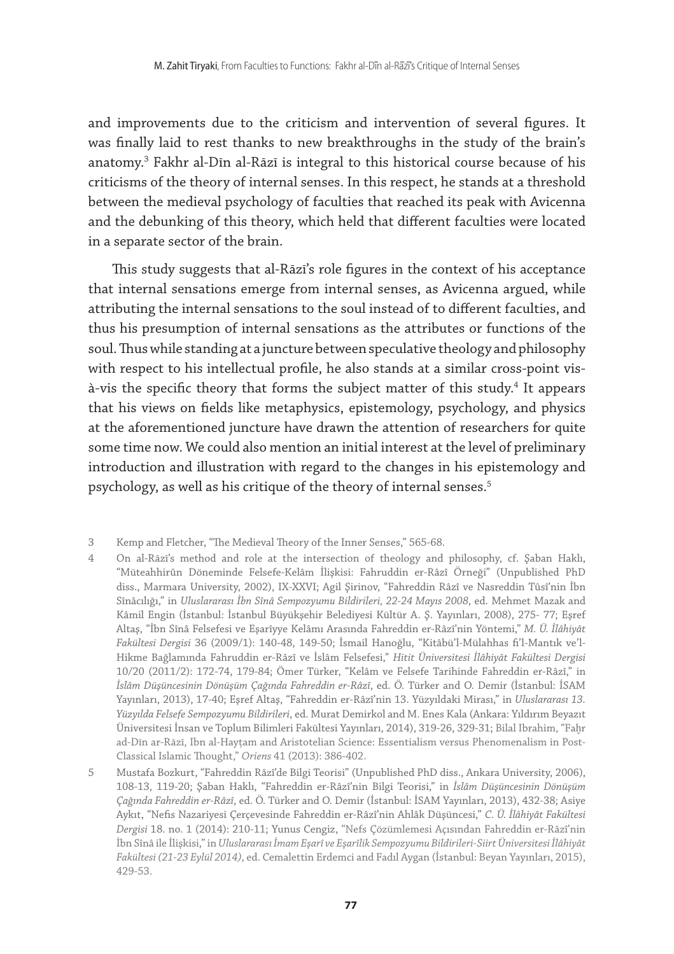and improvements due to the criticism and intervention of several figures. It was finally laid to rest thanks to new breakthroughs in the study of the brain's anatomy.3 Fakhr al-Dīn al-Rāzī is integral to this historical course because of his criticisms of the theory of internal senses. In this respect, he stands at a threshold between the medieval psychology of faculties that reached its peak with Avicenna and the debunking of this theory, which held that different faculties were located in a separate sector of the brain.

This study suggests that al-Rāzī's role figures in the context of his acceptance that internal sensations emerge from internal senses, as Avicenna argued, while attributing the internal sensations to the soul instead of to different faculties, and thus his presumption of internal sensations as the attributes or functions of the soul. Thus while standing at a juncture between speculative theology and philosophy with respect to his intellectual profile, he also stands at a similar cross-point visà-vis the specific theory that forms the subject matter of this study.<sup>4</sup> It appears that his views on fields like metaphysics, epistemology, psychology, and physics at the aforementioned juncture have drawn the attention of researchers for quite some time now. We could also mention an initial interest at the level of preliminary introduction and illustration with regard to the changes in his epistemology and psychology, as well as his critique of the theory of internal senses.<sup>5</sup>

<sup>3</sup> Kemp and Fletcher, "The Medieval Theory of the Inner Senses," 565-68.

<sup>4</sup> On al-Rāzī's method and role at the intersection of theology and philosophy, cf. Şaban Haklı, "Müteahhirûn Döneminde Felsefe-Kelâm İlişkisi: Fahruddin er-Râzî Örneği" (Unpublished PhD diss., Marmara University, 2002), IX-XXVI; Agil Şirinov, "Fahreddin Râzî ve Nasreddin Tûsî'nin İbn Sînâcılığı," in *Uluslararası İbn Sînâ Sempozyumu Bildirileri, 22-24 Mayıs 2008*, ed. Mehmet Mazak and Kâmil Engin (İstanbul: İstanbul Büyükşehir Belediyesi Kültür A. Ş. Yayınları, 2008), 275- 77; Eşref Altaş, "İbn Sînâ Felsefesi ve Eşarîyye Kelâmı Arasında Fahreddin er-Râzî'nin Yöntemi," *M. Ü. İlâhiyât Fakültesi Dergisi* 36 (2009/1): 140-48, 149-50; İsmail Hanoğlu, "Kitâbü'l-Mülahhas fi'l-Mantık ve'l-Hikme Bağlamında Fahruddin er-Râzî ve İslâm Felsefesi," *Hitit Üniversitesi İlâhiyât Fakültesi Dergisi* 10/20 (2011/2): 172-74, 179-84; Ömer Türker, "Kelâm ve Felsefe Tarihinde Fahreddin er-Râzî," in *İslâm Düşüncesinin Dönüşüm Çağında Fahreddin er-Râzî*, ed. Ö. Türker and O. Demir (İstanbul: İSAM Yayınları, 2013), 17-40; Eşref Altaş, "Fahreddin er-Râzî'nin 13. Yüzyıldaki Mirası," in *Uluslararası 13. Yüzyılda Felsefe Sempozyumu Bildirileri*, ed. Murat Demirkol and M. Enes Kala (Ankara: Yıldırım Beyazıt Üniversitesi İnsan ve Toplum Bilimleri Fakültesi Yayınları, 2014), 319-26, 329-31; Bilal Ibrahim, "Faḫr ad-Dīn ar-Rāzī, Ibn al-Haytam and Aristotelian Science: Essentialism versus Phenomenalism in Post-Classical Islamic Thought," *Oriens* 41 (2013): 386-402.

<sup>5</sup> Mustafa Bozkurt, "Fahreddin Râzî'de Bilgi Teorisi" (Unpublished PhD diss., Ankara University, 2006), 108-13, 119-20; Şaban Haklı, "Fahreddin er-Râzî'nin Bilgi Teorisi," in *İslâm Düşüncesinin Dönüşüm Çağında Fahreddin er-Râzî*, ed. Ö. Türker and O. Demir (İstanbul: İSAM Yayınları, 2013), 432-38; Asiye Aykıt, "Nefis Nazariyesi Çerçevesinde Fahreddin er-Râzî'nin Ahlâk Düşüncesi," *C. Ü. İlâhiyât Fakültesi Dergisi* 18. no. 1 (2014): 210-11; Yunus Cengiz, "Nefs Çözümlemesi Açısından Fahreddin er-Râzî'nin İbn Sînâ ile İlişkisi," in *Uluslararası İmam Eşarî ve Eşarîlik Sempozyumu Bildirileri-Siirt Üniversitesi İlâhiyât Fakültesi (21-23 Eylül 2014)*, ed. Cemalettin Erdemci and Fadıl Aygan (İstanbul: Beyan Yayınları, 2015), 429-53.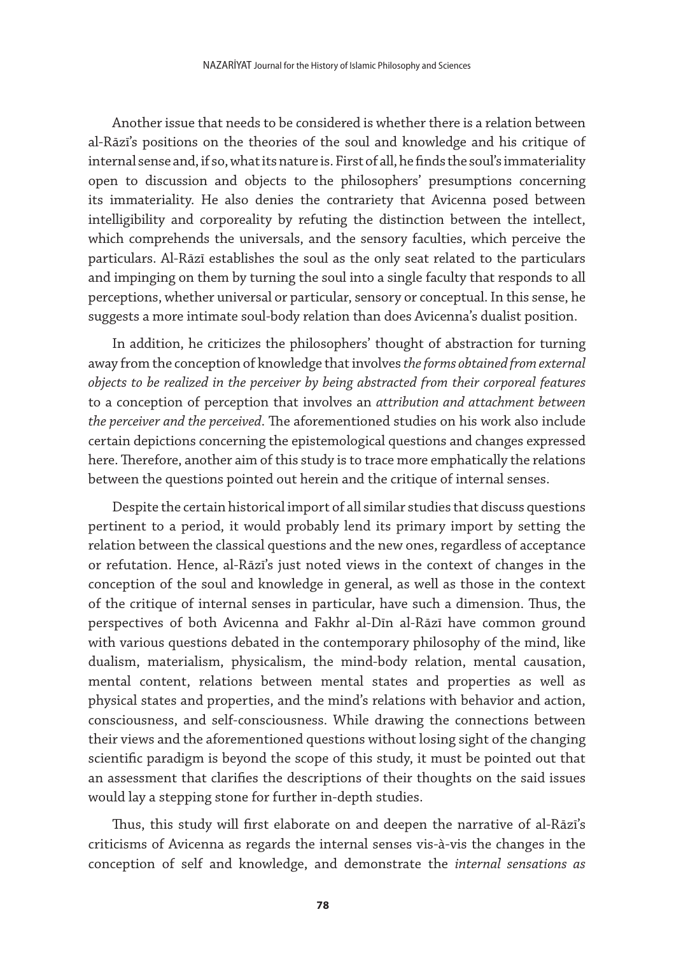Another issue that needs to be considered is whether there is a relation between al-Rāzī's positions on the theories of the soul and knowledge and his critique of internal sense and, if so, what its nature is. First of all, he finds the soul's immateriality open to discussion and objects to the philosophers' presumptions concerning its immateriality. He also denies the contrariety that Avicenna posed between intelligibility and corporeality by refuting the distinction between the intellect, which comprehends the universals, and the sensory faculties, which perceive the particulars. Al-Rāzī establishes the soul as the only seat related to the particulars and impinging on them by turning the soul into a single faculty that responds to all perceptions, whether universal or particular, sensory or conceptual. In this sense, he suggests a more intimate soul-body relation than does Avicenna's dualist position.

In addition, he criticizes the philosophers' thought of abstraction for turning away from the conception of knowledge that involves *the forms obtained from external objects to be realized in the perceiver by being abstracted from their corporeal features* to a conception of perception that involves an *attribution and attachment between the perceiver and the perceived*. The aforementioned studies on his work also include certain depictions concerning the epistemological questions and changes expressed here. Therefore, another aim of this study is to trace more emphatically the relations between the questions pointed out herein and the critique of internal senses.

Despite the certain historical import of all similar studies that discuss questions pertinent to a period, it would probably lend its primary import by setting the relation between the classical questions and the new ones, regardless of acceptance or refutation. Hence, al-Rāzī's just noted views in the context of changes in the conception of the soul and knowledge in general, as well as those in the context of the critique of internal senses in particular, have such a dimension. Thus, the perspectives of both Avicenna and Fakhr al-Dīn al-Rāzī have common ground with various questions debated in the contemporary philosophy of the mind, like dualism, materialism, physicalism, the mind-body relation, mental causation, mental content, relations between mental states and properties as well as physical states and properties, and the mind's relations with behavior and action, consciousness, and self-consciousness. While drawing the connections between their views and the aforementioned questions without losing sight of the changing scientific paradigm is beyond the scope of this study, it must be pointed out that an assessment that clarifies the descriptions of their thoughts on the said issues would lay a stepping stone for further in-depth studies.

Thus, this study will first elaborate on and deepen the narrative of al-Rāzī's criticisms of Avicenna as regards the internal senses vis-à-vis the changes in the conception of self and knowledge, and demonstrate the *internal sensations as*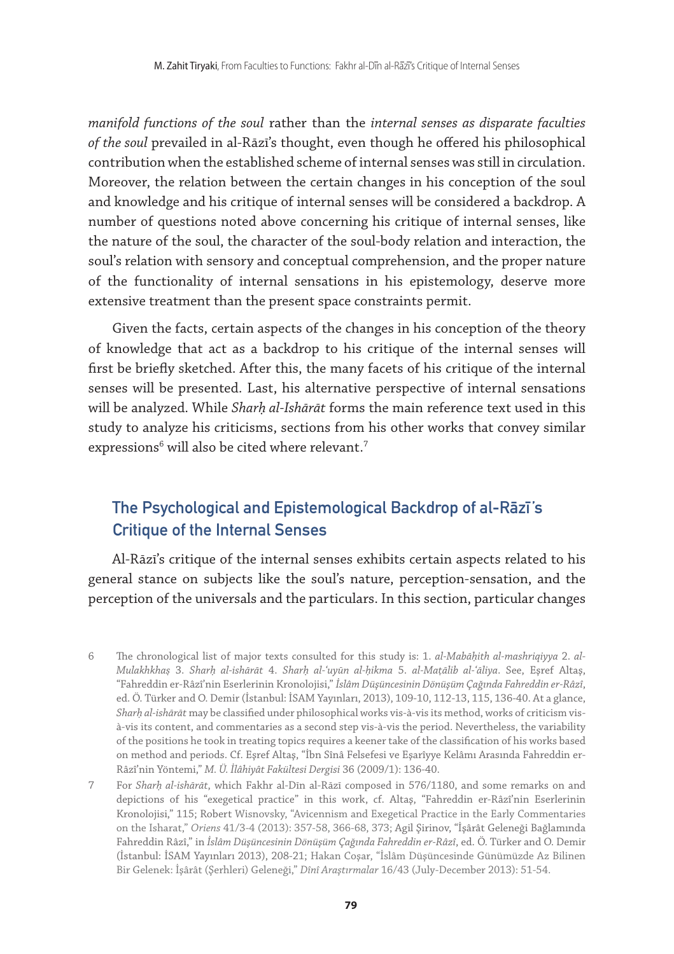*manifold functions of the soul* rather than the *internal senses as disparate faculties of the soul* prevailed in al-Rāzī's thought, even though he offered his philosophical contribution when the established scheme of internal senses was still in circulation. Moreover, the relation between the certain changes in his conception of the soul and knowledge and his critique of internal senses will be considered a backdrop. A number of questions noted above concerning his critique of internal senses, like the nature of the soul, the character of the soul-body relation and interaction, the soul's relation with sensory and conceptual comprehension, and the proper nature of the functionality of internal sensations in his epistemology, deserve more extensive treatment than the present space constraints permit.

Given the facts, certain aspects of the changes in his conception of the theory of knowledge that act as a backdrop to his critique of the internal senses will first be briefly sketched. After this, the many facets of his critique of the internal senses will be presented. Last, his alternative perspective of internal sensations will be analyzed. While *Sharḥ al-Ishārāt* forms the main reference text used in this study to analyze his criticisms, sections from his other works that convey similar expressions $^6$  will also be cited where relevant. $^7$ 

## The Psychological and Epistemological Backdrop of al-Razı's Critique of the Internal Senses

Al-Rāzī's critique of the internal senses exhibits certain aspects related to his general stance on subjects like the soul's nature, perception-sensation, and the perception of the universals and the particulars. In this section, particular changes

6 The chronological list of major texts consulted for this study is: 1. *al-Mabāḥith al-mashriqiyya* 2. *al-Mulakhkhaṣ* 3. *Sharḥ al-ishārāt* 4. *Sharḥ al-ʿuyūn al-ḥikma* 5. *al-Maṭālib al-ʿāliya*. See, Eşref Altaş, "Fahreddin er-Râzî'nin Eserlerinin Kronolojisi," *İslâm Düşüncesinin Dönüşüm Çağında Fahreddin er-Râzî*, ed. Ö. Türker and O. Demir (İstanbul: İSAM Yayınları, 2013), 109-10, 112-13, 115, 136-40. At a glance, *Sharḥ al-ishārāt* may be classified under philosophical works vis-à-vis its method, works of criticism visà-vis its content, and commentaries as a second step vis-à-vis the period. Nevertheless, the variability of the positions he took in treating topics requires a keener take of the classification of his works based on method and periods. Cf. Eşref Altaş, "İbn Sînâ Felsefesi ve Eşarîyye Kelâmı Arasında Fahreddin er-Râzî'nin Yöntemi," *M. Ü. İlâhiyât Fakültesi Dergisi* 36 (2009/1): 136-40.

7 For *Sharḥ al-ishārāt*, which Fakhr al-Dīn al-Rāzī composed in 576/1180, and some remarks on and depictions of his "exegetical practice" in this work, cf. Altaş, "Fahreddin er-Râzî'nin Eserlerinin Kronolojisi," 115; Robert Wisnovsky, "Avicennism and Exegetical Practice in the Early Commentaries on the Isharat," *Oriens* 41/3-4 (2013): 357-58, 366-68, 373; Agil Şirinov, "İşârât Geleneği Bağlamında Fahreddin Râzî," in *İslâm Düşüncesinin Dönüşüm Çağında Fahreddin er-Râzî*, ed. Ö. Türker and O. Demir (İstanbul: İSAM Yayınları 2013), 208-21; Hakan Coşar, "İslâm Düşüncesinde Günümüzde Az Bilinen Bir Gelenek: İşârât (Şerhleri) Geleneği," *Dînî Araştırmalar* 16/43 (July-December 2013): 51-54.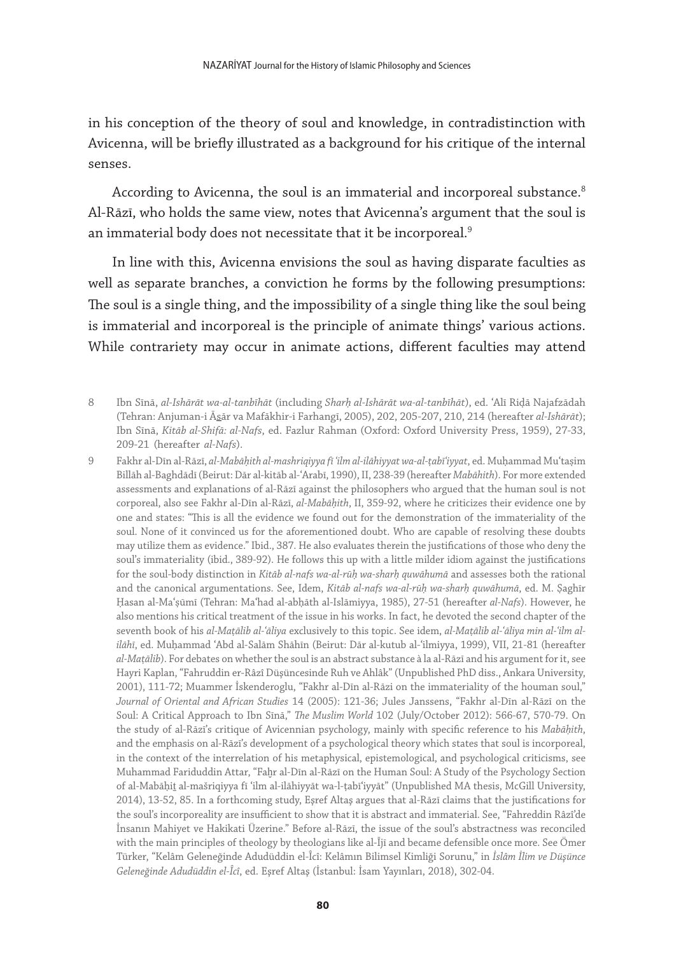in his conception of the theory of soul and knowledge, in contradistinction with Avicenna, will be briefly illustrated as a background for his critique of the internal senses.

According to Avicenna, the soul is an immaterial and incorporeal substance.<sup>8</sup> Al-Rāzī, who holds the same view, notes that Avicenna's argument that the soul is an immaterial body does not necessitate that it be incorporeal.<sup>9</sup>

In line with this, Avicenna envisions the soul as having disparate faculties as well as separate branches, a conviction he forms by the following presumptions: The soul is a single thing, and the impossibility of a single thing like the soul being is immaterial and incorporeal is the principle of animate things' various actions. While contrariety may occur in animate actions, different faculties may attend

- 8 Ibn Sīnā, *al-Ishārāt wa-al-tanbīhāt* (including *Sharḥ al-Ishārāt wa-al-tanbīhāt*), ed. ʿAlī Riḍā Najafzādah (Tehran: Anjuman-i Āsār va Mafākhir-i Farhangī, 2005), 202, 205-207, 210, 214 (hereafter *al-Ishārāt*); Ibn Sīnā, *Kitāb al-Shifā: al-Nafs*, ed. Fazlur Rahman (Oxford: Oxford University Press, 1959), 27-33, 209-21 (hereafter *al-Nafs*).
- 9 Fakhr al-Dīn al-Rāzī, *al-Mabāḥith al-mashriqiyya fī ʿilm al-ilāhiyyat wa-al-ṭabīʿiyyat*, ed. Muḥammad Muʿtaṣim Billāh al-Baghdādī (Beirut: Dār al-kitāb al-ʿArabī, 1990), II, 238-39 (hereafter *Mabāhith*). For more extended assessments and explanations of al-Rāzī against the philosophers who argued that the human soul is not corporeal, also see Fakhr al-Dīn al-Rāzī, *al-Mabāḥith*, II, 359-92, where he criticizes their evidence one by one and states: "This is all the evidence we found out for the demonstration of the immateriality of the soul. None of it convinced us for the aforementioned doubt. Who are capable of resolving these doubts may utilize them as evidence." Ibid., 387. He also evaluates therein the justifications of those who deny the soul's immateriality (ibid., 389-92). He follows this up with a little milder idiom against the justifications for the soul-body distinction in *Kitāb al-nafs wa-al-rūḥ wa-sharḥ quwāhumā* and assesses both the rational and the canonical argumentations. See, Idem, *Kitāb al-nafs wa-al-rūḥ wa-sharḥ quwāhumā*, ed. M. Ṣaghīr Ḥasan al-Maʿṣūmī (Tehran: Maʿhad al-abḥāth al-Islāmiyya, 1985), 27-51 (hereafter *al-Nafs*). However, he also mentions his critical treatment of the issue in his works. In fact, he devoted the second chapter of the seventh book of his *al-Maṭālib al-ʿāliya* exclusively to this topic. See idem, *al-Maṭālib al-ʿāliya min al-ʿilm alilāhī*, ed. Muḥammad ʿAbd al-Salām Shāhīn (Beirut: Dār al-kutub al-ʿilmiyya, 1999), VII, 21-81 (hereafter *al-Maṭālib*). For debates on whether the soul is an abstract substance à la al-Rāzī and his argument for it, see Hayri Kaplan, "Fahruddin er-Râzî Düşüncesinde Ruh ve Ahlâk" (Unpublished PhD diss., Ankara University, 2001), 111-72; Muammer İskenderoglu, "Fakhr al-Dīn al-Rāzi on the immateriality of the houman soul," *Journal of Oriental and African Studies* 14 (2005): 121-36; Jules Janssens, "Fakhr al-Dīn al-Rāzī on the Soul: A Critical Approach to Ibn Sīnā," *The Muslim World* 102 (July/October 2012): 566-67, 570-79. On the study of al-Rāzī's critique of Avicennian psychology, mainly with specific reference to his *Mabāḥith*, and the emphasis on al-Rāzī's development of a psychological theory which states that soul is incorporeal, in the context of the interrelation of his metaphysical, epistemological, and psychological criticisms, see Muhammad Fariduddin Attar, "Faḫr al-Dīn al-Rāzī on the Human Soul: A Study of the Psychology Section of al-Mabāḥiṯ al-mašriqiyya fī ʿilm al-ilāhiyyāt wa-l-ṭabīʿiyyāt" (Unpublished MA thesis, McGill University, 2014), 13-52, 85. In a forthcoming study, Eşref Altaş argues that al-Rāzī claims that the justifications for the soul's incorporeality are insufficient to show that it is abstract and immaterial. See, "Fahreddin Râzî'de İnsanın Mahiyet ve Hakikati Üzerine." Before al-Rāzī, the issue of the soul's abstractness was reconciled with the main principles of theology by theologians like al-Ījī and became defensible once more. See Ömer Türker, "Kelâm Geleneğinde Adudüddin el-Îcî: Kelâmın Bilimsel Kimliği Sorunu," in *İslâm İlim ve Düşünce Geleneğinde Adudüddin el-Îcî*, ed. Eşref Altaş (İstanbul: İsam Yayınları, 2018), 302-04.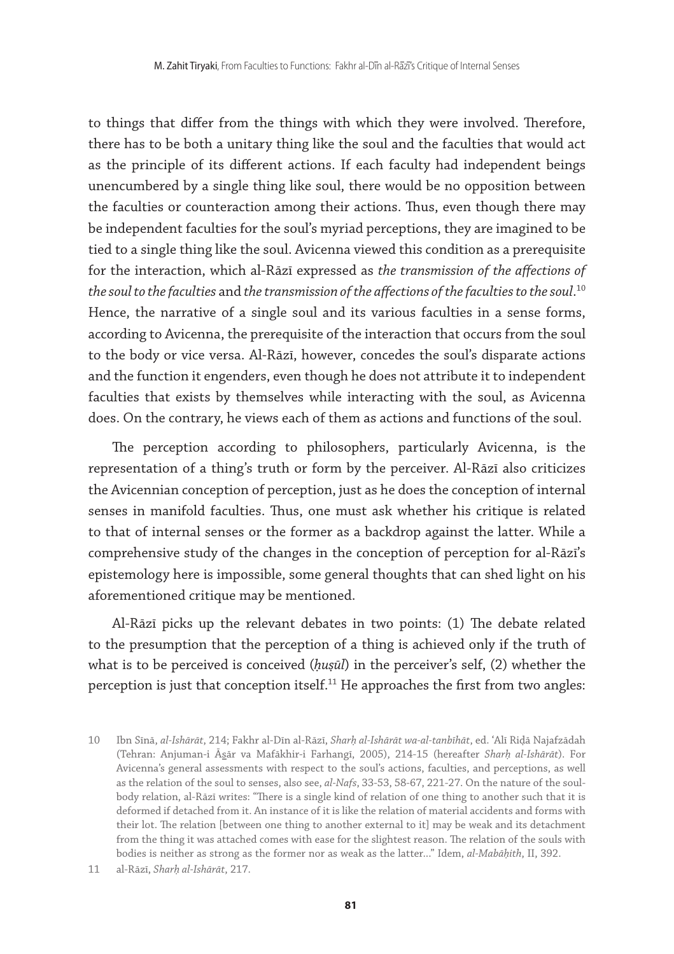to things that differ from the things with which they were involved. Therefore, there has to be both a unitary thing like the soul and the faculties that would act as the principle of its different actions. If each faculty had independent beings unencumbered by a single thing like soul, there would be no opposition between the faculties or counteraction among their actions. Thus, even though there may be independent faculties for the soul's myriad perceptions, they are imagined to be tied to a single thing like the soul. Avicenna viewed this condition as a prerequisite for the interaction, which al-Rāzī expressed as *the transmission of the affections of the soul to the faculties* and *the transmission of the affections of the faculties to the soul*. 10 Hence, the narrative of a single soul and its various faculties in a sense forms, according to Avicenna, the prerequisite of the interaction that occurs from the soul to the body or vice versa. Al-Rāzī, however, concedes the soul's disparate actions and the function it engenders, even though he does not attribute it to independent faculties that exists by themselves while interacting with the soul, as Avicenna does. On the contrary, he views each of them as actions and functions of the soul.

The perception according to philosophers, particularly Avicenna, is the representation of a thing's truth or form by the perceiver. Al-Rāzī also criticizes the Avicennian conception of perception, just as he does the conception of internal senses in manifold faculties. Thus, one must ask whether his critique is related to that of internal senses or the former as a backdrop against the latter. While a comprehensive study of the changes in the conception of perception for al-Rāzī's epistemology here is impossible, some general thoughts that can shed light on his aforementioned critique may be mentioned.

Al-Rāzī picks up the relevant debates in two points: (1) The debate related to the presumption that the perception of a thing is achieved only if the truth of what is to be perceived is conceived (*ḥuṣūl*) in the perceiver's self, (2) whether the perception is just that conception itself.<sup>11</sup> He approaches the first from two angles:

<sup>10</sup> Ibn Sīnā, *al-Ishārāt*, 214; Fakhr al-Dīn al-Rāzī, *Sharḥ al-Ishārāt wa-al-tanbīhāt*, ed. ʿAlī Riḍā Najafzādah (Tehran: Anjuman-i Āsār va Mafākhir-i Farhangī, 2005), 214-15 (hereafter *Sharḥ al-Ishārāt*). For Avicenna's general assessments with respect to the soul's actions, faculties, and perceptions, as well as the relation of the soul to senses, also see, *al-Nafs*, 33-53, 58-67, 221-27. On the nature of the soulbody relation, al-Rāzī writes: "There is a single kind of relation of one thing to another such that it is deformed if detached from it. An instance of it is like the relation of material accidents and forms with their lot. The relation [between one thing to another external to it] may be weak and its detachment from the thing it was attached comes with ease for the slightest reason. The relation of the souls with bodies is neither as strong as the former nor as weak as the latter..." Idem, *al-Mabāḥith*, II, 392.

<sup>11</sup> al-Rāzī, *Sharḥ al-Ishārāt*, 217.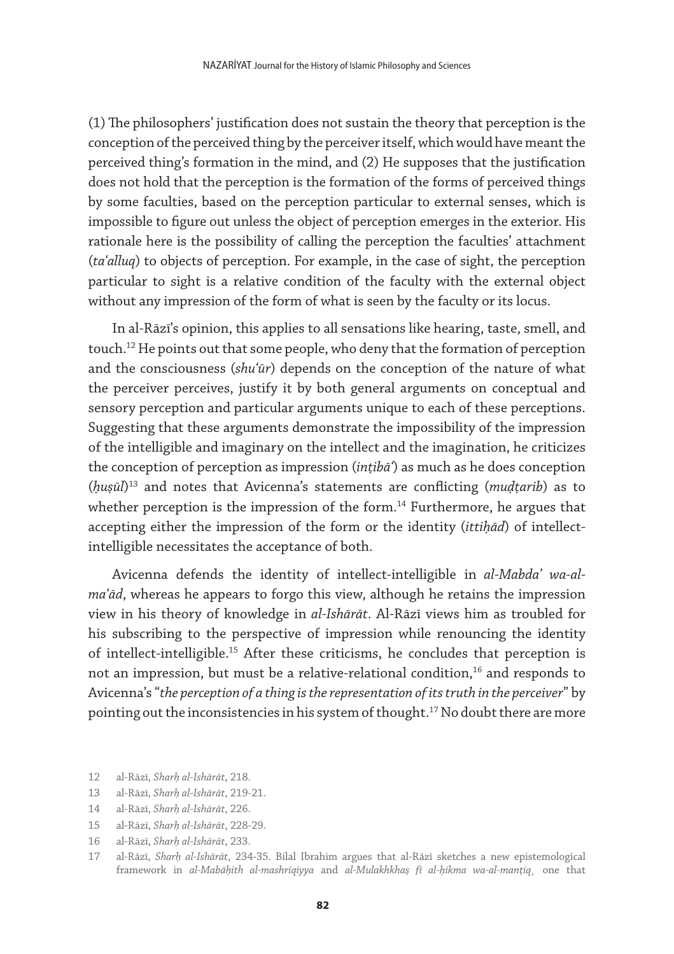(1) The philosophers' justification does not sustain the theory that perception is the conception of the perceived thing by the perceiver itself, which would have meant the perceived thing's formation in the mind, and (2) He supposes that the justification does not hold that the perception is the formation of the forms of perceived things by some faculties, based on the perception particular to external senses, which is impossible to figure out unless the object of perception emerges in the exterior. His rationale here is the possibility of calling the perception the faculties' attachment (*taʿalluq*) to objects of perception. For example, in the case of sight, the perception particular to sight is a relative condition of the faculty with the external object without any impression of the form of what is seen by the faculty or its locus.

In al-Rāzī's opinion, this applies to all sensations like hearing, taste, smell, and touch.12 He points out that some people, who deny that the formation of perception and the consciousness (*shuʿūr*) depends on the conception of the nature of what the perceiver perceives, justify it by both general arguments on conceptual and sensory perception and particular arguments unique to each of these perceptions. Suggesting that these arguments demonstrate the impossibility of the impression of the intelligible and imaginary on the intellect and the imagination, he criticizes the conception of perception as impression (*inṭibāʿ*) as much as he does conception (*ḥuṣūl*) 13 and notes that Avicenna's statements are conflicting (*muḍṭarib*) as to whether perception is the impression of the form.<sup>14</sup> Furthermore, he argues that accepting either the impression of the form or the identity (*ittiḥād*) of intellectintelligible necessitates the acceptance of both.

Avicenna defends the identity of intellect-intelligible in *al-Mabdaʾ wa-almaʿād*, whereas he appears to forgo this view, although he retains the impression view in his theory of knowledge in *al-Ishārāt*. Al-Rāzī views him as troubled for his subscribing to the perspective of impression while renouncing the identity of intellect-intelligible.15 After these criticisms, he concludes that perception is not an impression, but must be a relative-relational condition,<sup>16</sup> and responds to Avicenna's "*the perception of a thing is the representation of its truth in the perceiver*" by pointing out the inconsistencies in his system of thought.<sup>17</sup> No doubt there are more

- 12 al-Rāzī, *Sharḥ al-Ishārāt*, 218.
- 13 al-Rāzī, *Sharḥ al-Ishārāt*, 219-21.
- 14 al-Rāzī, *Sharḥ al-Ishārāt*, 226.
- 15 al-Rāzī, *Sharḥ al-Ishārāt*, 228-29.
- 16 al-Rāzī, *Sharḥ al-Ishārāt*, 233.

<sup>17</sup> al-Rāzī, *Sharḥ al-Ishārāt*, 234-35. Bilal Ibrahim argues that al-Rāzī sketches a new epistemological framework in *al-Mabāḥith al-mashriqiyya* and *al-Mulakhkhaṣ fī al-ḥikma wa-al-manṭiq¸* one that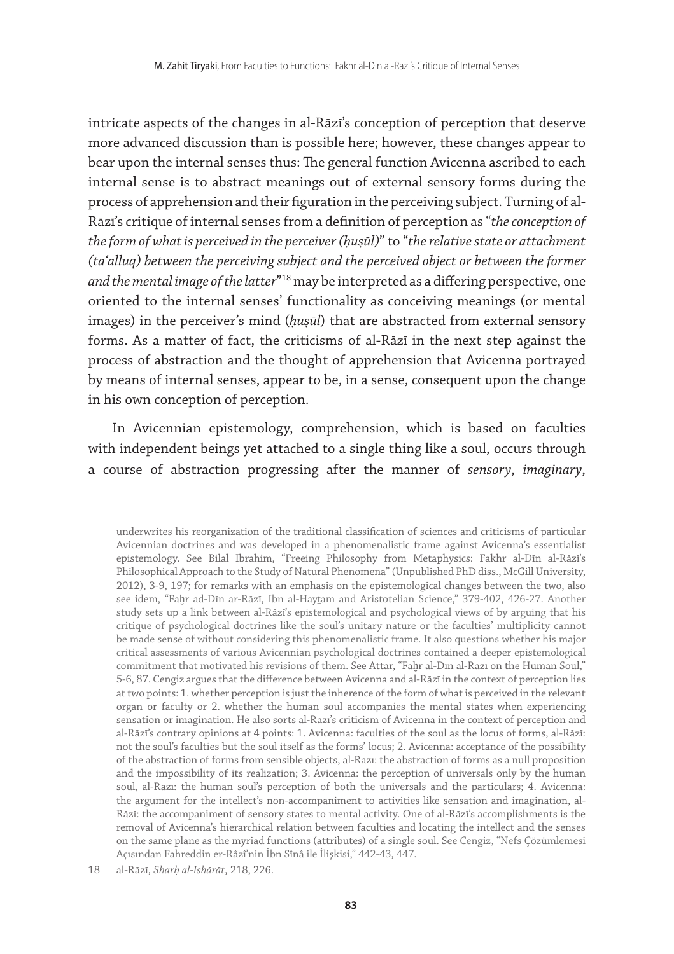intricate aspects of the changes in al-Rāzī's conception of perception that deserve more advanced discussion than is possible here; however, these changes appear to bear upon the internal senses thus: The general function Avicenna ascribed to each internal sense is to abstract meanings out of external sensory forms during the process of apprehension and their figuration in the perceiving subject. Turning of al-Rāzī's critique of internal senses from a definition of perception as "*the conception of the form of what is perceived in the perceiver (ḥuṣūl)*" to "*the relative state or attachment (taʿalluq) between the perceiving subject and the perceived object or between the former and the mental image of the latter*"18 may be interpreted as a differing perspective, one oriented to the internal senses' functionality as conceiving meanings (or mental images) in the perceiver's mind (*ḥuṣūl*) that are abstracted from external sensory forms. As a matter of fact, the criticisms of al-Rāzī in the next step against the process of abstraction and the thought of apprehension that Avicenna portrayed by means of internal senses, appear to be, in a sense, consequent upon the change in his own conception of perception.

In Avicennian epistemology, comprehension, which is based on faculties with independent beings yet attached to a single thing like a soul, occurs through a course of abstraction progressing after the manner of *sensory*, *imaginary*,

underwrites his reorganization of the traditional classification of sciences and criticisms of particular Avicennian doctrines and was developed in a phenomenalistic frame against Avicenna's essentialist epistemology. See Bilal Ibrahim, "Freeing Philosophy from Metaphysics: Fakhr al-Dīn al-Rāzī's Philosophical Approach to the Study of Natural Phenomena" (Unpublished PhD diss., McGill University, 2012), 3-9, 197; for remarks with an emphasis on the epistemological changes between the two, also see idem, "Faḫr ad-Dīn ar-Rāzī, Ibn al-Haytam and Aristotelian Science," 379-402, 426-27. Another study sets up a link between al-Rāzī's epistemological and psychological views of by arguing that his critique of psychological doctrines like the soul's unitary nature or the faculties' multiplicity cannot be made sense of without considering this phenomenalistic frame. It also questions whether his major critical assessments of various Avicennian psychological doctrines contained a deeper epistemological commitment that motivated his revisions of them. See Attar, "Faḫr al-Dīn al-Rāzī on the Human Soul," 5-6, 87. Cengiz argues that the difference between Avicenna and al-Rāzī in the context of perception lies at two points: 1. whether perception is just the inherence of the form of what is perceived in the relevant organ or faculty or 2. whether the human soul accompanies the mental states when experiencing sensation or imagination. He also sorts al-Rāzī's criticism of Avicenna in the context of perception and al-Rāzī's contrary opinions at 4 points: 1. Avicenna: faculties of the soul as the locus of forms, al-Rāzī: not the soul's faculties but the soul itself as the forms' locus; 2. Avicenna: acceptance of the possibility of the abstraction of forms from sensible objects, al-Rāzī: the abstraction of forms as a null proposition and the impossibility of its realization; 3. Avicenna: the perception of universals only by the human soul, al-Rāzī: the human soul's perception of both the universals and the particulars; 4. Avicenna: the argument for the intellect's non-accompaniment to activities like sensation and imagination, al-Rāzī: the accompaniment of sensory states to mental activity. One of al-Rāzī's accomplishments is the removal of Avicenna's hierarchical relation between faculties and locating the intellect and the senses on the same plane as the myriad functions (attributes) of a single soul. See Cengiz, "Nefs Çözümlemesi Açısından Fahreddin er-Râzî'nin İbn Sînâ ile İlişkisi," 442-43, 447.

18 al-Rāzī, *Sharḥ al-Ishārāt*, 218, 226.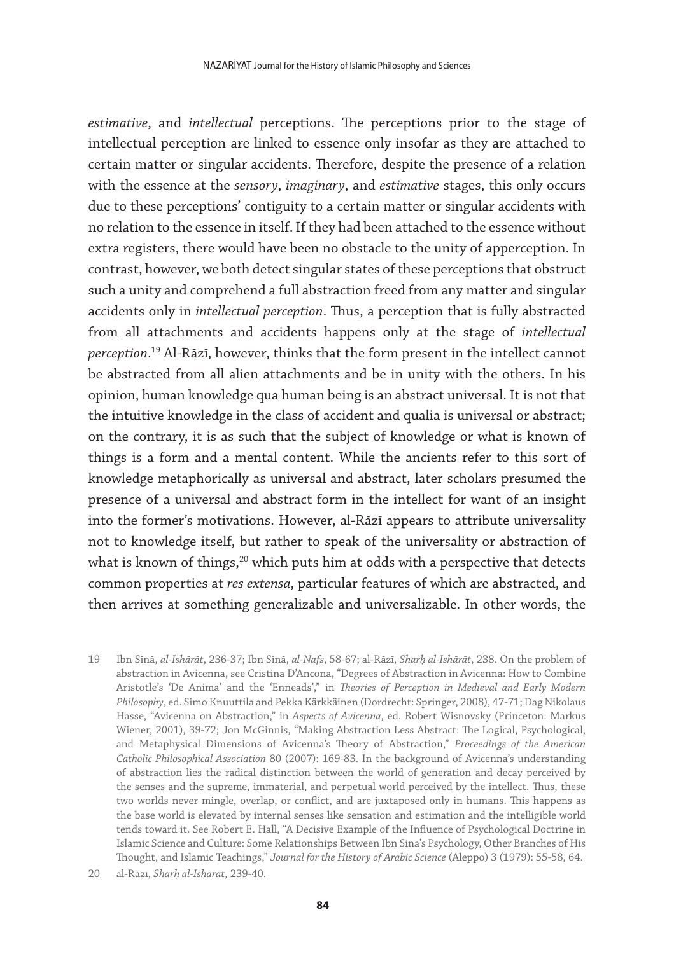*estimative*, and *intellectual* perceptions. The perceptions prior to the stage of intellectual perception are linked to essence only insofar as they are attached to certain matter or singular accidents. Therefore, despite the presence of a relation with the essence at the *sensory*, *imaginary*, and *estimative* stages, this only occurs due to these perceptions' contiguity to a certain matter or singular accidents with no relation to the essence in itself. If they had been attached to the essence without extra registers, there would have been no obstacle to the unity of apperception. In contrast, however, we both detect singular states of these perceptions that obstruct such a unity and comprehend a full abstraction freed from any matter and singular accidents only in *intellectual perception*. Thus, a perception that is fully abstracted from all attachments and accidents happens only at the stage of *intellectual perception*. 19 Al-Rāzī, however, thinks that the form present in the intellect cannot be abstracted from all alien attachments and be in unity with the others. In his opinion, human knowledge qua human being is an abstract universal. It is not that the intuitive knowledge in the class of accident and qualia is universal or abstract; on the contrary, it is as such that the subject of knowledge or what is known of things is a form and a mental content. While the ancients refer to this sort of knowledge metaphorically as universal and abstract, later scholars presumed the presence of a universal and abstract form in the intellect for want of an insight into the former's motivations. However, al-Rāzī appears to attribute universality not to knowledge itself, but rather to speak of the universality or abstraction of what is known of things,<sup>20</sup> which puts him at odds with a perspective that detects common properties at *res extensa*, particular features of which are abstracted, and then arrives at something generalizable and universalizable. In other words, the

- 19 Ibn Sīnā, *al-Ishārāt*, 236-37; Ibn Sīnā, *al-Nafs*, 58-67; al-Rāzī, *Sharḥ al-Ishārāt*, 238. On the problem of abstraction in Avicenna, see Cristina D'Ancona, "Degrees of Abstraction in Avicenna: How to Combine Aristotle's 'De Anima' and the 'Enneads'," in *Theories of Perception in Medieval and Early Modern Philosophy*, ed. Simo Knuuttila and Pekka Kӓrkkӓinen (Dordrecht: Springer, 2008), 47-71; Dag Nikolaus Hasse, "Avicenna on Abstraction," in *Aspects of Avicenna*, ed. Robert Wisnovsky (Princeton: Markus Wiener, 2001), 39-72; Jon McGinnis, "Making Abstraction Less Abstract: The Logical, Psychological, and Metaphysical Dimensions of Avicenna's Theory of Abstraction," *Proceedings of the American Catholic Philosophical Association* 80 (2007): 169-83. In the background of Avicenna's understanding of abstraction lies the radical distinction between the world of generation and decay perceived by the senses and the supreme, immaterial, and perpetual world perceived by the intellect. Thus, these two worlds never mingle, overlap, or conflict, and are juxtaposed only in humans. This happens as the base world is elevated by internal senses like sensation and estimation and the intelligible world tends toward it. See Robert E. Hall, "A Decisive Example of the Influence of Psychological Doctrine in Islamic Science and Culture: Some Relationships Between Ibn Sina's Psychology, Other Branches of His Thought, and Islamic Teachings," *Journal for the History of Arabic Science* (Aleppo) 3 (1979): 55-58, 64.
- 20 al-Rāzī, *Sharḥ al-Ishārāt*, 239-40.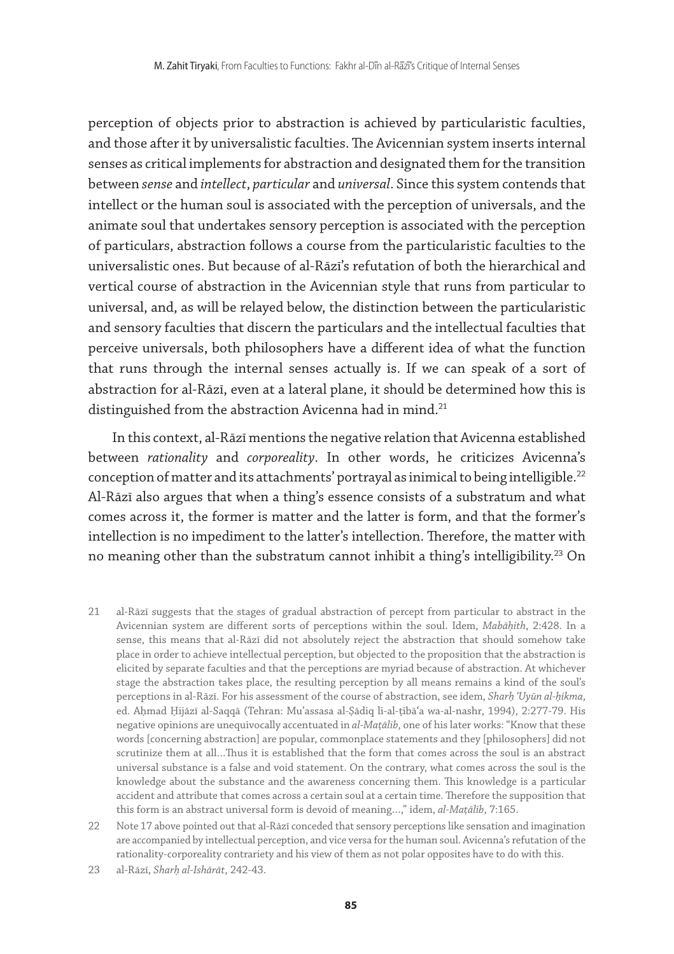perception of objects prior to abstraction is achieved by particularistic faculties, and those after it by universalistic faculties. The Avicennian system inserts internal senses as critical implements for abstraction and designated them for the transition between *sense* and *intellect*, *particular* and *universal*. Since this system contends that intellect or the human soul is associated with the perception of universals, and the animate soul that undertakes sensory perception is associated with the perception of particulars, abstraction follows a course from the particularistic faculties to the universalistic ones. But because of al-Rāzī's refutation of both the hierarchical and vertical course of abstraction in the Avicennian style that runs from particular to universal, and, as will be relayed below, the distinction between the particularistic and sensory faculties that discern the particulars and the intellectual faculties that perceive universals, both philosophers have a different idea of what the function that runs through the internal senses actually is. If we can speak of a sort of abstraction for al-Rāzī, even at a lateral plane, it should be determined how this is distinguished from the abstraction Avicenna had in mind.<sup>21</sup>

In this context, al-Rāzī mentions the negative relation that Avicenna established between *rationality* and *corporeality*. In other words, he criticizes Avicenna's conception of matter and its attachments' portrayal as inimical to being intelligible.<sup>22</sup> Al-Rāzī also argues that when a thing's essence consists of a substratum and what comes across it, the former is matter and the latter is form, and that the former's intellection is no impediment to the latter's intellection. Therefore, the matter with no meaning other than the substratum cannot inhibit a thing's intelligibility.<sup>23</sup> On

- 21 al-Rāzī suggests that the stages of gradual abstraction of percept from particular to abstract in the Avicennian system are different sorts of perceptions within the soul. Idem, *Mabāḥith*, 2:428. In a sense, this means that al-Rāzī did not absolutely reject the abstraction that should somehow take place in order to achieve intellectual perception, but objected to the proposition that the abstraction is elicited by separate faculties and that the perceptions are myriad because of abstraction. At whichever stage the abstraction takes place, the resulting perception by all means remains a kind of the soul's perceptions in al-Rāzī. For his assessment of the course of abstraction, see idem, *Sharḥ ʿUyūn al-ḥikma*, ed. Aḥmad Ḥijāzī al-Saqqā (Tehran: Muʾassasa al-Ṣādiq li-al-ṭibāʿa wa-al-nashr, 1994), 2:277-79. His negative opinions are unequivocally accentuated in *al-Maṭālib*, one of his later works: "Know that these words [concerning abstraction] are popular, commonplace statements and they [philosophers] did not scrutinize them at all…Thus it is established that the form that comes across the soul is an abstract universal substance is a false and void statement. On the contrary, what comes across the soul is the knowledge about the substance and the awareness concerning them. This knowledge is a particular accident and attribute that comes across a certain soul at a certain time. Therefore the supposition that this form is an abstract universal form is devoid of meaning…," idem, *al-Maṭālib*, 7:165.
- 22 Note 17 above pointed out that al-Rāzī conceded that sensory perceptions like sensation and imagination are accompanied by intellectual perception, and vice versa for the human soul. Avicenna's refutation of the rationality-corporeality contrariety and his view of them as not polar opposites have to do with this.
- 23 al-Rāzī, *Sharḥ al-Ishārāt*, 242-43.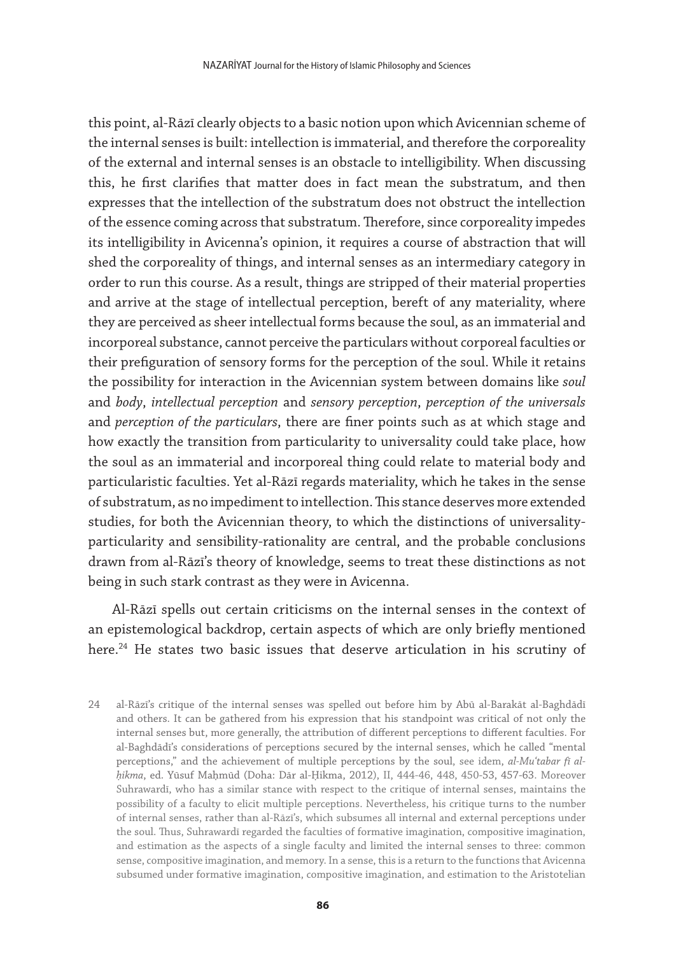this point, al-Rāzī clearly objects to a basic notion upon which Avicennian scheme of the internal senses is built: intellection is immaterial, and therefore the corporeality of the external and internal senses is an obstacle to intelligibility. When discussing this, he first clarifies that matter does in fact mean the substratum, and then expresses that the intellection of the substratum does not obstruct the intellection of the essence coming across that substratum. Therefore, since corporeality impedes its intelligibility in Avicenna's opinion, it requires a course of abstraction that will shed the corporeality of things, and internal senses as an intermediary category in order to run this course. As a result, things are stripped of their material properties and arrive at the stage of intellectual perception, bereft of any materiality, where they are perceived as sheer intellectual forms because the soul, as an immaterial and incorporeal substance, cannot perceive the particulars without corporeal faculties or their prefiguration of sensory forms for the perception of the soul. While it retains the possibility for interaction in the Avicennian system between domains like *soul* and *body*, *intellectual perception* and *sensory perception*, *perception of the universals* and *perception of the particulars*, there are finer points such as at which stage and how exactly the transition from particularity to universality could take place, how the soul as an immaterial and incorporeal thing could relate to material body and particularistic faculties. Yet al-Rāzī regards materiality, which he takes in the sense of substratum, as no impediment to intellection. This stance deserves more extended studies, for both the Avicennian theory, to which the distinctions of universalityparticularity and sensibility-rationality are central, and the probable conclusions drawn from al-Rāzī's theory of knowledge, seems to treat these distinctions as not being in such stark contrast as they were in Avicenna.

Al-Rāzī spells out certain criticisms on the internal senses in the context of an epistemological backdrop, certain aspects of which are only briefly mentioned here.<sup>24</sup> He states two basic issues that deserve articulation in his scrutiny of

24 al-Rāzī's critique of the internal senses was spelled out before him by Abū al-Barakāt al-Baghdādī and others. It can be gathered from his expression that his standpoint was critical of not only the internal senses but, more generally, the attribution of different perceptions to different faculties. For al-Baghdādī's considerations of perceptions secured by the internal senses, which he called "mental perceptions," and the achievement of multiple perceptions by the soul, see idem, *al-Muʿtabar fī alḥikma*, ed. Yūsuf Maḥmūd (Doha: Dār al-Ḥikma, 2012), II, 444-46, 448, 450-53, 457-63. Moreover Suhrawardī, who has a similar stance with respect to the critique of internal senses, maintains the possibility of a faculty to elicit multiple perceptions. Nevertheless, his critique turns to the number of internal senses, rather than al-Rāzī's, which subsumes all internal and external perceptions under the soul. Thus, Suhrawardī regarded the faculties of formative imagination, compositive imagination, and estimation as the aspects of a single faculty and limited the internal senses to three: common sense, compositive imagination, and memory. In a sense, this is a return to the functions that Avicenna subsumed under formative imagination, compositive imagination, and estimation to the Aristotelian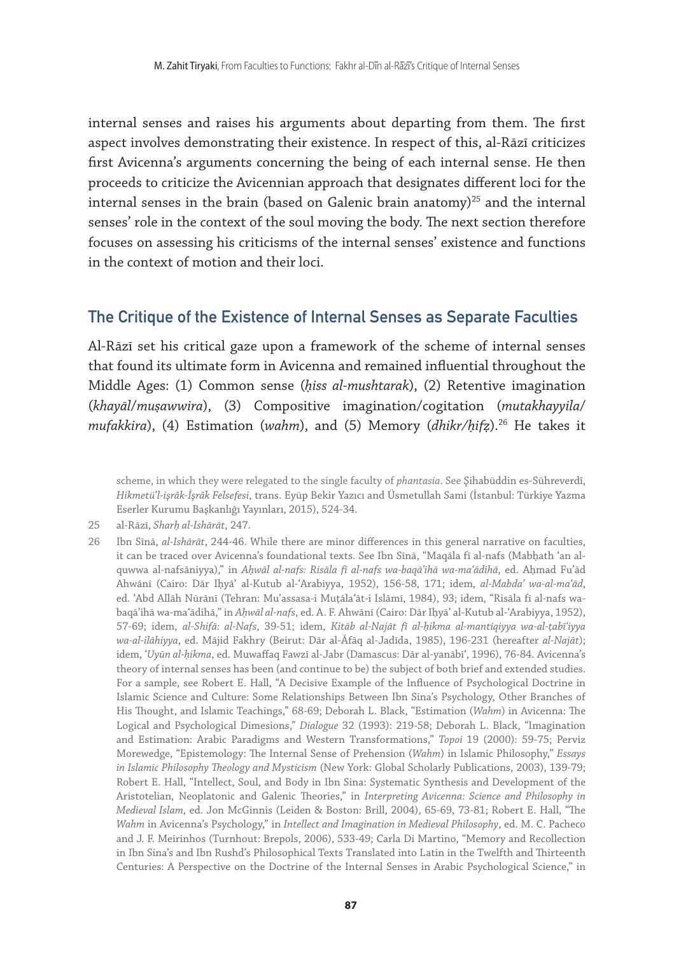internal senses and raises his arguments about departing from them. The first aspect involves demonstrating their existence. In respect of this, al-Rāzī criticizes first Avicenna's arguments concerning the being of each internal sense. He then proceeds to criticize the Avicennian approach that designates different loci for the internal senses in the brain (based on Galenic brain anatomy) $25$  and the internal senses' role in the context of the soul moving the body. The next section therefore focuses on assessing his criticisms of the internal senses' existence and functions in the context of motion and their loci.

## The Critique of the Existence of Internal Senses as Separate Faculties

Al-Rāzī set his critical gaze upon a framework of the scheme of internal senses that found its ultimate form in Avicenna and remained influential throughout the Middle Ages: (1) Common sense (*ḥiss al-mushtarak*), (2) Retentive imagination (*khayāl*/*muṣawwira*), (3) Compositive imagination/cogitation (*mutakhayyila*/ *mufakkira*), (4) Estimation (*wahm*), and (5) Memory (*dhikr/ḥifẓ*).26 He takes it

scheme, in which they were relegated to the single faculty of *phantasia*. See Şihabüddin es-Sühreverdî, *Hikmetü'l-işrâk-İşrâk Felsefesi*, trans. Eyüp Bekir Yazıcı and Üsmetullah Sami (İstanbul: Türkiye Yazma Eserler Kurumu Başkanlığı Yayınları, 2015), 524-34.

<sup>25</sup> al-Rāzī, *Sharḥ al-Ishārāt*, 247.

<sup>26</sup> Ibn Sīnā, *al-Ishārāt*, 244-46. While there are minor differences in this general narrative on faculties, it can be traced over Avicenna's foundational texts. See Ibn Sīnā, "Maqāla fī al-nafs (Mabḥath ʿan alquwwa al-nafsāniyya)," in *Aḥwāl al-nafs: Risāla fī al-nafs wa-baqāʾihā wa-maʿādihā*, ed. Aḥmad Fuʾād Ahwānī (Cairo: Dār Iḥyāʾ al-Kutub al-ʿArabiyya, 1952), 156-58, 171; idem, *al-Mabdaʾ wa-al-maʿād*, ed. ʿAbd Allāh Nūrānī (Tehran: Muʾassasa-i Muṭālaʿāt-i Islāmī, 1984), 93; idem, "Risāla fī al-nafs wabaqāʾihā wa-maʿādihā," in *Aḥwāl al-nafs*, ed. A. F. Ahwānī (Cairo: Dār Iḥyāʾ al-Kutub al-ʿArabiyya, 1952), 57-69; idem, *al-Shifā: al-Nafs*, 39-51; idem, *Kitāb al-Najāt fī al-ḥikma al-mantiqiyya wa-al-ṭabīʿiyya wa-al-ilāhiyya*, ed. Mājid Fakhry (Beirut: Dār al-Āfāq al-Jadīda, 1985), 196-231 (hereafter *al-Najāt*); idem, ʿ*Uyūn al-ḥikma*, ed. Muwaffaq Fawzī al-Jabr (Damascus: Dār al-yanābīʿ, 1996), 76-84. Avicenna's theory of internal senses has been (and continue to be) the subject of both brief and extended studies. For a sample, see Robert E. Hall, "A Decisive Example of the Influence of Psychological Doctrine in Islamic Science and Culture: Some Relationships Between Ibn Sina's Psychology, Other Branches of His Thought, and Islamic Teachings," 68-69; Deborah L. Black, "Estimation (*Wahm*) in Avicenna: The Logical and Psychological Dimesions," *Dialogue* 32 (1993): 219-58; Deborah L. Black, "Imagination and Estimation: Arabic Paradigms and Western Transformations," *Topoi* 19 (2000): 59-75; Perviz Morewedge, "Epistemology: The Internal Sense of Prehension (*Wahm*) in Islamic Philosophy," *Essays in Islamic Philosophy Theology and Mysticism* (New York: Global Scholarly Publications, 2003), 139-79; Robert E. Hall, "Intellect, Soul, and Body in Ibn Sina: Systematic Synthesis and Development of the Aristotelian, Neoplatonic and Galenic Theories," in *Interpreting Avicenna: Science and Philosophy in Medieval Islam*, ed. Jon McGinnis (Leiden & Boston: Brill, 2004), 65-69, 73-81; Robert E. Hall, "The *Wahm* in Avicenna's Psychology," in *Intellect and Imagination in Medieval Philosophy*, ed. M. C. Pacheco and J. F. Meirinhos (Turnhout: Brepols, 2006), 533-49; Carla Di Martino, "Memory and Recollection in Ibn Sina's and Ibn Rushd's Philosophical Texts Translated into Latin in the Twelfth and Thirteenth Centuries: A Perspective on the Doctrine of the Internal Senses in Arabic Psychological Science," in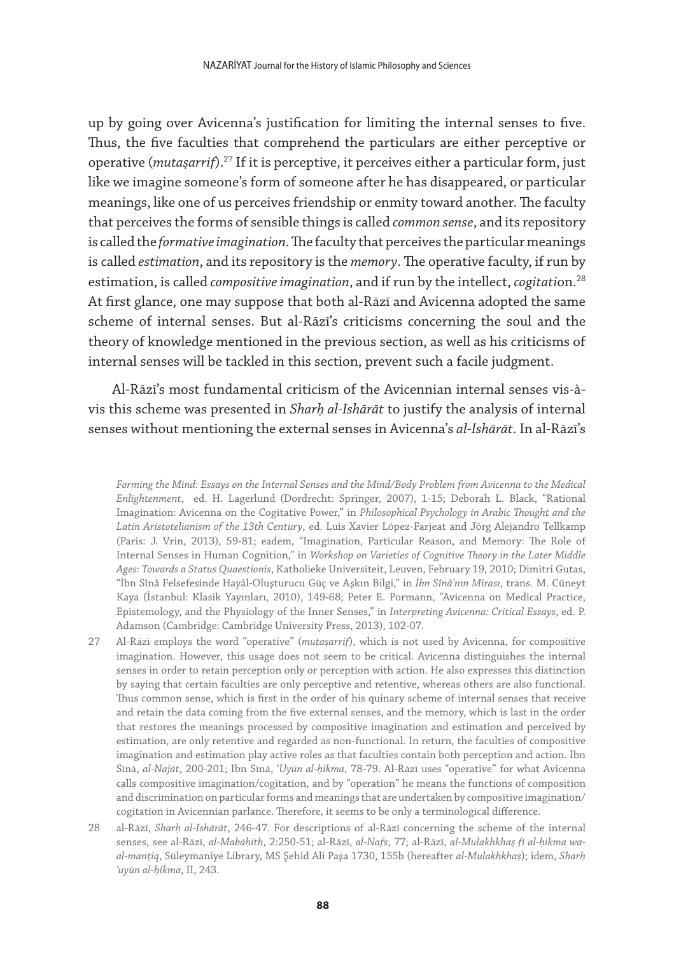up by going over Avicenna's justification for limiting the internal senses to five. Thus, the five faculties that comprehend the particulars are either perceptive or operative (*mutaṣarrif*).27 If it is perceptive, it perceives either a particular form, just like we imagine someone's form of someone after he has disappeared, or particular meanings, like one of us perceives friendship or enmity toward another. The faculty that perceives the forms of sensible things is called *common sense*, and its repository is called the *formative imagination*. The faculty that perceives the particular meanings is called *estimation*, and its repository is the *memory*. The operative faculty, if run by estimation, is called *compositive imagination*, and if run by the intellect, *cogitation*.<sup>28</sup> At first glance, one may suppose that both al-Rāzī and Avicenna adopted the same scheme of internal senses. But al-Rāzī's criticisms concerning the soul and the theory of knowledge mentioned in the previous section, as well as his criticisms of internal senses will be tackled in this section, prevent such a facile judgment.

Al-Rāzī's most fundamental criticism of the Avicennian internal senses vis-àvis this scheme was presented in *Sharḥ al-Ishārāt* to justify the analysis of internal senses without mentioning the external senses in Avicenna's *al-Ishārāt*. In al-Rāzī's

*Forming the Mind: Essays on the Internal Senses and the Mind/Body Problem from Avicenna to the Medical Enlightenment*, ed. H. Lagerlund (Dordrecht: Springer, 2007), 1-15; Deborah L. Black, "Rational Imagination: Avicenna on the Cogitative Power," in *Philosophical Psychology in Arabic Thought and the Latin Aristotelianism of the 13th Century*, ed. Luis Xavier López-Farjeat and Jörg Alejandro Tellkamp (Paris: J. Vrin, 2013), 59-81; eadem, "Imagination, Particular Reason, and Memory: The Role of Internal Senses in Human Cognition," in *Workshop on Varieties of Cognitive Theory in the Later Middle Ages: Towards a Status Quaestionis*, Katholieke Universiteit, Leuven, February 19, 2010; Dimitri Gutas, "İbn Sînâ Felsefesinde Hayâl-Oluşturucu Güç ve Aşkın Bilgi," in *İbn Sînâ'nın Mirası*, trans. M. Cüneyt Kaya (İstanbul: Klasik Yayınları, 2010), 149-68; Peter E. Pormann, "Avicenna on Medical Practice, Epistemology, and the Physiology of the Inner Senses," in *Interpreting Avicenna: Critical Essays*, ed. P. Adamson (Cambridge: Cambridge University Press, 2013), 102-07.

- 27 Al-Rāzī employs the word "operative" (*mutaṣarrif*), which is not used by Avicenna, for compositive imagination. However, this usage does not seem to be critical. Avicenna distinguishes the internal senses in order to retain perception only or perception with action. He also expresses this distinction by saying that certain faculties are only perceptive and retentive, whereas others are also functional. Thus common sense, which is first in the order of his quinary scheme of internal senses that receive and retain the data coming from the five external senses, and the memory, which is last in the order that restores the meanings processed by compositive imagination and estimation and perceived by estimation, are only retentive and regarded as non-functional. In return, the faculties of compositive imagination and estimation play active roles as that faculties contain both perception and action. Ibn Sīnā, *al-Najāt*, 200-201; Ibn Sīnā, ʿ*Uyūn al-ḥikma*, 78-79. Al-Rāzī uses "operative" for what Avicenna calls compositive imagination/cogitation, and by "operation" he means the functions of composition and discrimination on particular forms and meanings that are undertaken by compositive imagination/ cogitation in Avicennian parlance. Therefore, it seems to be only a terminological difference.
- 28 al-Rāzī, *Sharḥ al-Ishārāt*, 246-47. For descriptions of al-Rāzī concerning the scheme of the internal senses, see al-Rāzī, *al-Mabāḥith*, 2:250-51; al-Rāzī, *al-Nafs*, 77; al-Rāzī, *al-Mulakhkhaṣ fī al-ḥikma waal-manṭiq*, Süleymaniye Library, MS Şehid Ali Paşa 1730, 155b (hereafter *al-Mulakhkhaṣ*); idem, *Sharḥ ʿuyūn al-ḥikma*, II, 243.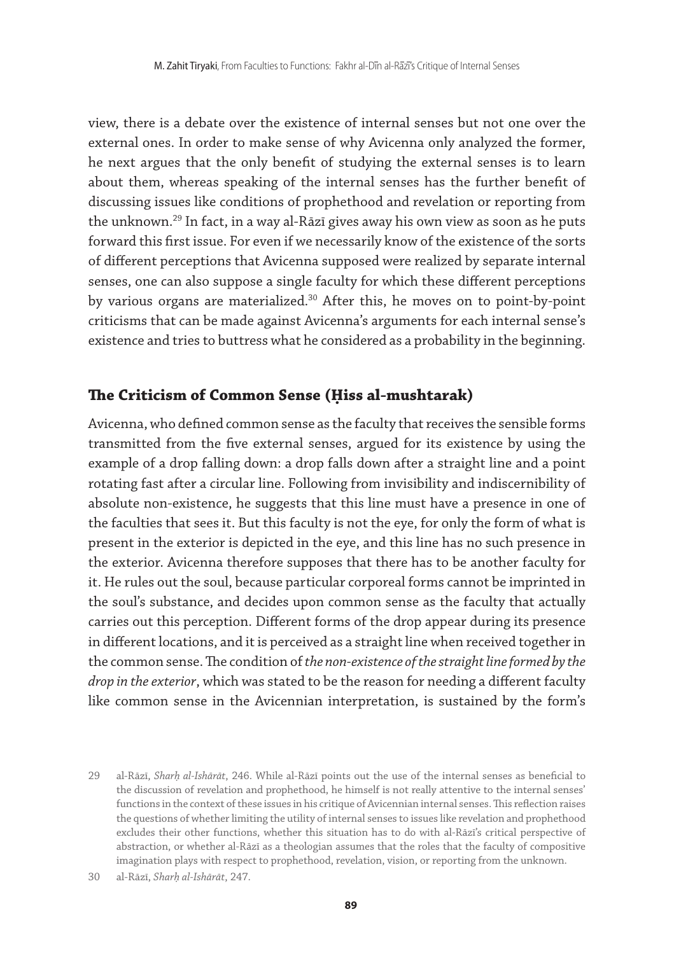view, there is a debate over the existence of internal senses but not one over the external ones. In order to make sense of why Avicenna only analyzed the former, he next argues that the only benefit of studying the external senses is to learn about them, whereas speaking of the internal senses has the further benefit of discussing issues like conditions of prophethood and revelation or reporting from the unknown.<sup>29</sup> In fact, in a way al-Rāzī gives away his own view as soon as he puts forward this first issue. For even if we necessarily know of the existence of the sorts of different perceptions that Avicenna supposed were realized by separate internal senses, one can also suppose a single faculty for which these different perceptions by various organs are materialized.<sup>30</sup> After this, he moves on to point-by-point criticisms that can be made against Avicenna's arguments for each internal sense's existence and tries to buttress what he considered as a probability in the beginning.

#### **The Criticism of Common Sense (Ḥiss al-mushtarak)**

Avicenna, who defined common sense as the faculty that receives the sensible forms transmitted from the five external senses, argued for its existence by using the example of a drop falling down: a drop falls down after a straight line and a point rotating fast after a circular line. Following from invisibility and indiscernibility of absolute non-existence, he suggests that this line must have a presence in one of the faculties that sees it. But this faculty is not the eye, for only the form of what is present in the exterior is depicted in the eye, and this line has no such presence in the exterior. Avicenna therefore supposes that there has to be another faculty for it. He rules out the soul, because particular corporeal forms cannot be imprinted in the soul's substance, and decides upon common sense as the faculty that actually carries out this perception. Different forms of the drop appear during its presence in different locations, and it is perceived as a straight line when received together in the common sense. The condition of *the non-existence of the straight line formed by the drop in the exterior*, which was stated to be the reason for needing a different faculty like common sense in the Avicennian interpretation, is sustained by the form's

<sup>29</sup> al-Rāzī, *Sharḥ al-Ishārāt*, 246. While al-Rāzī points out the use of the internal senses as beneficial to the discussion of revelation and prophethood, he himself is not really attentive to the internal senses' functions in the context of these issues in his critique of Avicennian internal senses. This reflection raises the questions of whether limiting the utility of internal senses to issues like revelation and prophethood excludes their other functions, whether this situation has to do with al-Rāzī's critical perspective of abstraction, or whether al-Rāzī as a theologian assumes that the roles that the faculty of compositive imagination plays with respect to prophethood, revelation, vision, or reporting from the unknown.

<sup>30</sup> al-Rāzī, *Sharḥ al-Ishārāt*, 247.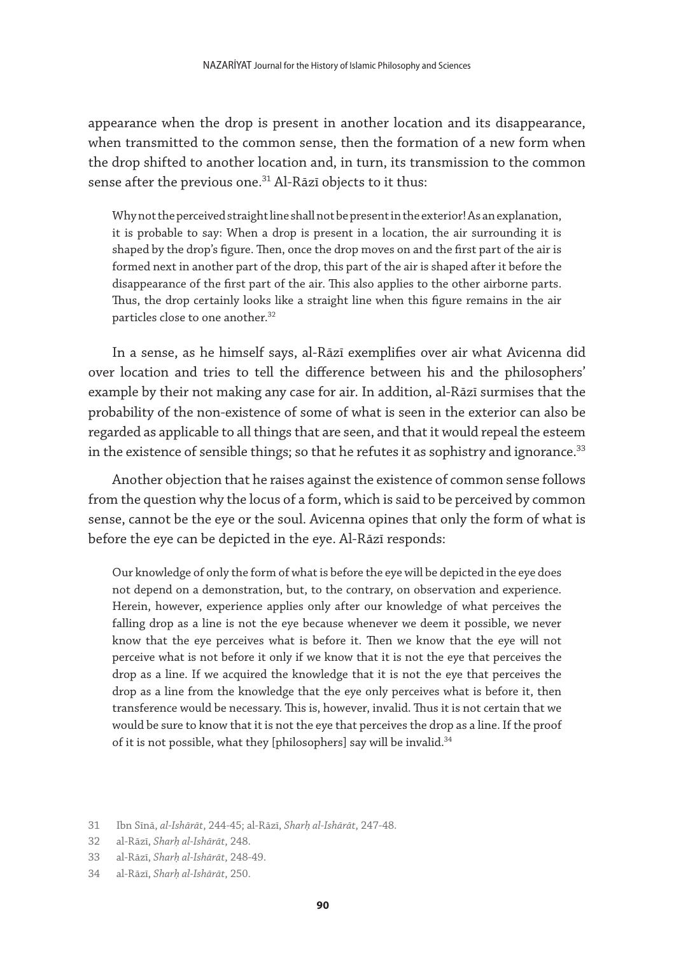appearance when the drop is present in another location and its disappearance, when transmitted to the common sense, then the formation of a new form when the drop shifted to another location and, in turn, its transmission to the common sense after the previous one.<sup>31</sup> Al-Rāzī objects to it thus:

Why not the perceived straight line shall not be present in the exterior! As an explanation, it is probable to say: When a drop is present in a location, the air surrounding it is shaped by the drop's figure. Then, once the drop moves on and the first part of the air is formed next in another part of the drop, this part of the air is shaped after it before the disappearance of the first part of the air. This also applies to the other airborne parts. Thus, the drop certainly looks like a straight line when this figure remains in the air particles close to one another.<sup>32</sup>

In a sense, as he himself says, al-Rāzī exemplifies over air what Avicenna did over location and tries to tell the difference between his and the philosophers' example by their not making any case for air. In addition, al-Rāzī surmises that the probability of the non-existence of some of what is seen in the exterior can also be regarded as applicable to all things that are seen, and that it would repeal the esteem in the existence of sensible things; so that he refutes it as sophistry and ignorance. $33$ 

Another objection that he raises against the existence of common sense follows from the question why the locus of a form, which is said to be perceived by common sense, cannot be the eye or the soul. Avicenna opines that only the form of what is before the eye can be depicted in the eye. Al-Rāzī responds:

Our knowledge of only the form of what is before the eye will be depicted in the eye does not depend on a demonstration, but, to the contrary, on observation and experience. Herein, however, experience applies only after our knowledge of what perceives the falling drop as a line is not the eye because whenever we deem it possible, we never know that the eye perceives what is before it. Then we know that the eye will not perceive what is not before it only if we know that it is not the eye that perceives the drop as a line. If we acquired the knowledge that it is not the eye that perceives the drop as a line from the knowledge that the eye only perceives what is before it, then transference would be necessary. This is, however, invalid. Thus it is not certain that we would be sure to know that it is not the eye that perceives the drop as a line. If the proof of it is not possible, what they [philosophers] say will be invalid.<sup>34</sup>

<sup>31</sup> Ibn Sīnā, *al-Ishārāt*, 244-45; al-Rāzī, *Sharḥ al-Ishārāt*, 247-48.

<sup>32</sup> al-Rāzī, *Sharḥ al-Ishārāt*, 248.

<sup>33</sup> al-Rāzī, *Sharḥ al-Ishārāt*, 248-49.

<sup>34</sup> al-Rāzī, *Sharḥ al-Ishārāt*, 250.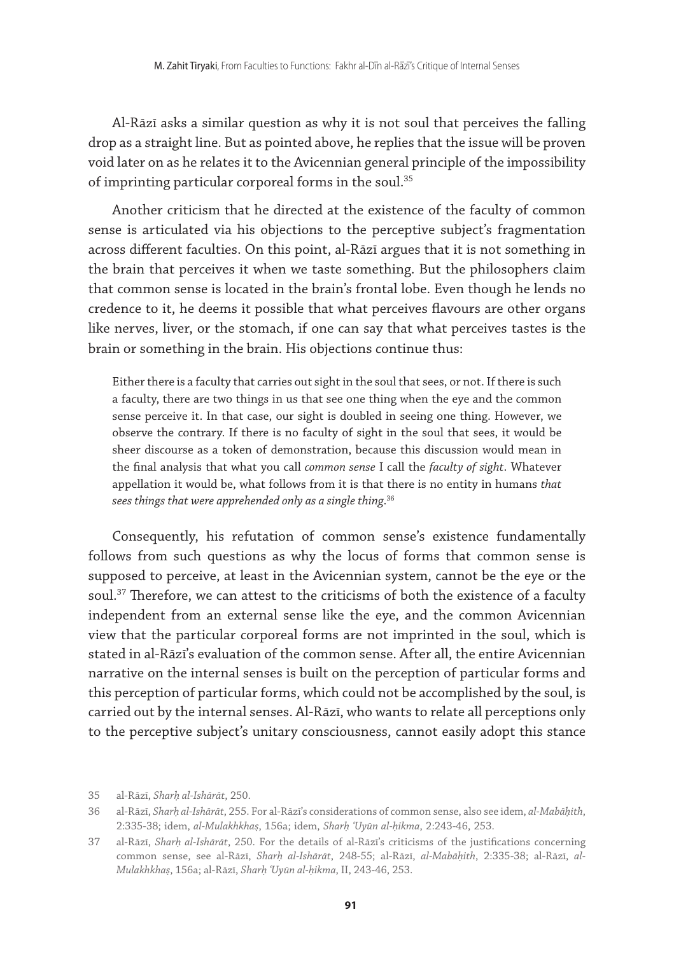Al-Rāzī asks a similar question as why it is not soul that perceives the falling drop as a straight line. But as pointed above, he replies that the issue will be proven void later on as he relates it to the Avicennian general principle of the impossibility of imprinting particular corporeal forms in the soul.35

Another criticism that he directed at the existence of the faculty of common sense is articulated via his objections to the perceptive subject's fragmentation across different faculties. On this point, al-Rāzī argues that it is not something in the brain that perceives it when we taste something. But the philosophers claim that common sense is located in the brain's frontal lobe. Even though he lends no credence to it, he deems it possible that what perceives flavours are other organs like nerves, liver, or the stomach, if one can say that what perceives tastes is the brain or something in the brain. His objections continue thus:

Either there is a faculty that carries out sight in the soul that sees, or not. If there is such a faculty, there are two things in us that see one thing when the eye and the common sense perceive it. In that case, our sight is doubled in seeing one thing. However, we observe the contrary. If there is no faculty of sight in the soul that sees, it would be sheer discourse as a token of demonstration, because this discussion would mean in the final analysis that what you call *common sense* I call the *faculty of sight*. Whatever appellation it would be, what follows from it is that there is no entity in humans *that sees things that were apprehended only as a single thing*. 36

Consequently, his refutation of common sense's existence fundamentally follows from such questions as why the locus of forms that common sense is supposed to perceive, at least in the Avicennian system, cannot be the eye or the soul.<sup>37</sup> Therefore, we can attest to the criticisms of both the existence of a faculty independent from an external sense like the eye, and the common Avicennian view that the particular corporeal forms are not imprinted in the soul, which is stated in al-Rāzī's evaluation of the common sense. After all, the entire Avicennian narrative on the internal senses is built on the perception of particular forms and this perception of particular forms, which could not be accomplished by the soul, is carried out by the internal senses. Al-Rāzī, who wants to relate all perceptions only to the perceptive subject's unitary consciousness, cannot easily adopt this stance

<sup>35</sup> al-Rāzī, *Sharḥ al-Ishārāt*, 250.

<sup>36</sup> al-Rāzī, *Sharḥ al-Ishārāt*, 255. For al-Rāzī's considerations of common sense, also see idem, *al-Mabāḥith*, 2:335-38; idem, *al-Mulakhkhaṣ*, 156a; idem, *Sharḥ ʿUyūn al-ḥikma*, 2:243-46, 253.

<sup>37</sup> al-Rāzī, *Sharḥ al-Ishārāt*, 250. For the details of al-Rāzī's criticisms of the justifications concerning common sense, see al-Rāzī, *Sharḥ al-Ishārāt*, 248-55; al-Rāzī, *al-Mabāḥith*, 2:335-38; al-Rāzī, *al-Mulakhkhaṣ*, 156a; al-Rāzī, *Sharḥ ʿUyūn al-ḥikma*, II, 243-46, 253.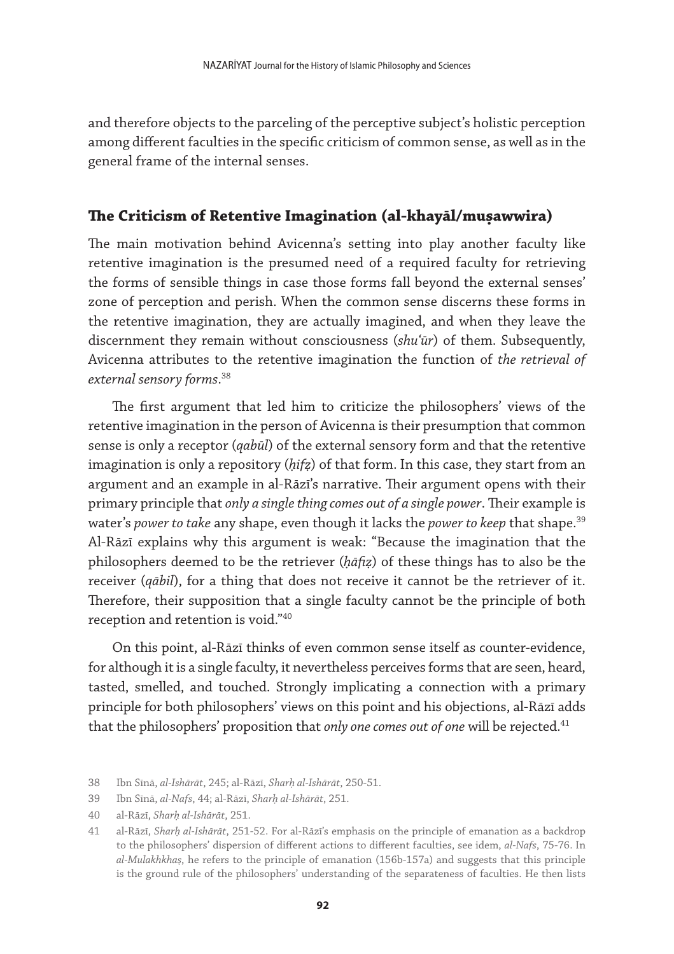and therefore objects to the parceling of the perceptive subject's holistic perception among different faculties in the specific criticism of common sense, as well as in the general frame of the internal senses.

#### **The Criticism of Retentive Imagination (al-khayāl/muṣawwira)**

The main motivation behind Avicenna's setting into play another faculty like retentive imagination is the presumed need of a required faculty for retrieving the forms of sensible things in case those forms fall beyond the external senses' zone of perception and perish. When the common sense discerns these forms in the retentive imagination, they are actually imagined, and when they leave the discernment they remain without consciousness (*shuʿūr*) of them. Subsequently, Avicenna attributes to the retentive imagination the function of *the retrieval of external sensory forms*. 38

The first argument that led him to criticize the philosophers' views of the retentive imagination in the person of Avicenna is their presumption that common sense is only a receptor (*qabūl*) of the external sensory form and that the retentive imagination is only a repository (*ḥifẓ*) of that form. In this case, they start from an argument and an example in al-Rāzī's narrative. Their argument opens with their primary principle that *only a single thing comes out of a single power*. Their example is water's *power to take* any shape, even though it lacks the *power to keep* that shape.39 Al-Rāzī explains why this argument is weak: "Because the imagination that the philosophers deemed to be the retriever (*ḥāfiẓ*) of these things has to also be the receiver (*qābil*), for a thing that does not receive it cannot be the retriever of it. Therefore, their supposition that a single faculty cannot be the principle of both reception and retention is void."40

On this point, al-Rāzī thinks of even common sense itself as counter-evidence, for although it is a single faculty, it nevertheless perceives forms that are seen, heard, tasted, smelled, and touched. Strongly implicating a connection with a primary principle for both philosophers' views on this point and his objections, al-Rāzī adds that the philosophers' proposition that *only one comes out of one* will be rejected.<sup>41</sup>

<sup>38</sup> Ibn Sīnā, *al-Ishārāt*, 245; al-Rāzī, *Sharḥ al-Ishārāt*, 250-51.

<sup>39</sup> Ibn Sīnā, *al-Nafs*, 44; al-Rāzī, *Sharḥ al-Ishārāt*, 251.

<sup>40</sup> al-Rāzī, *Sharḥ al-Ishārāt*, 251.

<sup>41</sup> al-Rāzī, *Sharḥ al-Ishārāt*, 251-52. For al-Rāzī's emphasis on the principle of emanation as a backdrop to the philosophers' dispersion of different actions to different faculties, see idem, *al-Nafs*, 75-76. In *al-Mulakhkhaṣ*, he refers to the principle of emanation (156b-157a) and suggests that this principle is the ground rule of the philosophers' understanding of the separateness of faculties. He then lists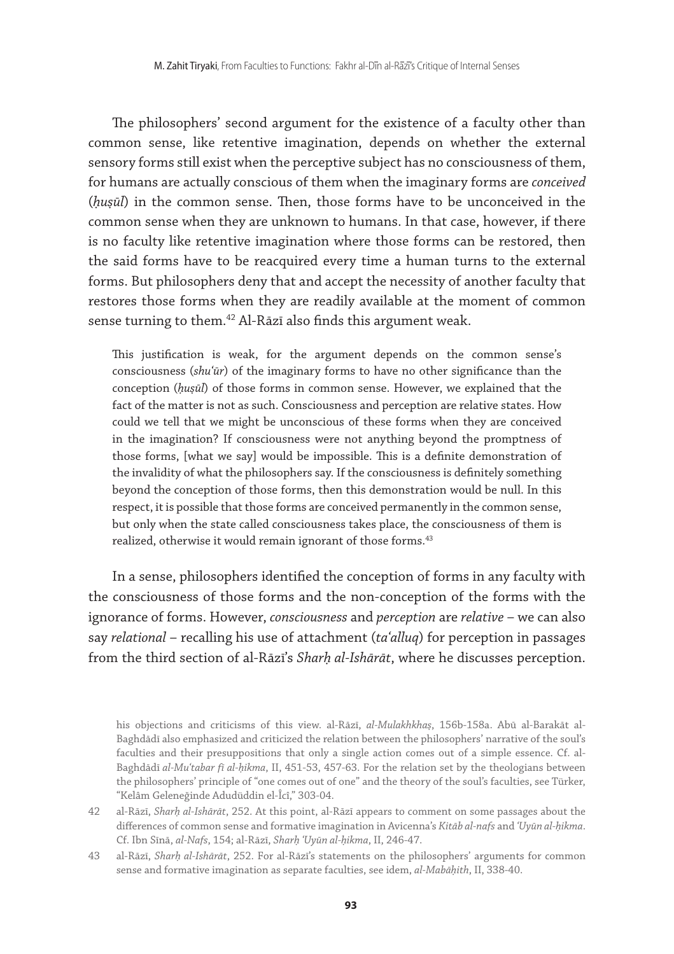The philosophers' second argument for the existence of a faculty other than common sense, like retentive imagination, depends on whether the external sensory forms still exist when the perceptive subject has no consciousness of them, for humans are actually conscious of them when the imaginary forms are *conceived* (*ḥuṣūl*) in the common sense. Then, those forms have to be unconceived in the common sense when they are unknown to humans. In that case, however, if there is no faculty like retentive imagination where those forms can be restored, then the said forms have to be reacquired every time a human turns to the external forms. But philosophers deny that and accept the necessity of another faculty that restores those forms when they are readily available at the moment of common sense turning to them.<sup>42</sup> Al-Rāzī also finds this argument weak.

This justification is weak, for the argument depends on the common sense's consciousness (*shuʿūr*) of the imaginary forms to have no other significance than the conception (*ḥuṣūl*) of those forms in common sense. However, we explained that the fact of the matter is not as such. Consciousness and perception are relative states. How could we tell that we might be unconscious of these forms when they are conceived in the imagination? If consciousness were not anything beyond the promptness of those forms, [what we say] would be impossible. This is a definite demonstration of the invalidity of what the philosophers say. If the consciousness is definitely something beyond the conception of those forms, then this demonstration would be null. In this respect, it is possible that those forms are conceived permanently in the common sense, but only when the state called consciousness takes place, the consciousness of them is realized, otherwise it would remain ignorant of those forms.<sup>43</sup>

In a sense, philosophers identified the conception of forms in any faculty with the consciousness of those forms and the non-conception of the forms with the ignorance of forms. However, *consciousness* and *perception* are *relative* – we can also say *relational* – recalling his use of attachment (*taʿalluq*) for perception in passages from the third section of al-Rāzī's *Sharḥ al-Ishārāt*, where he discusses perception.

his objections and criticisms of this view. al-Rāzī, *al-Mulakhkhaṣ*, 156b-158a. Abū al-Barakāt al-Baghdādī also emphasized and criticized the relation between the philosophers' narrative of the soul's faculties and their presuppositions that only a single action comes out of a simple essence. Cf. al-Baghdādī *al-Muʿtabar fī al-ḥikma*, II, 451-53, 457-63. For the relation set by the theologians between the philosophers' principle of "one comes out of one" and the theory of the soul's faculties, see Türker, "Kelâm Geleneğinde Adudüddin el-Îcî," 303-04.

<sup>42</sup> al-Rāzī, *Sharḥ al-Ishārāt*, 252. At this point, al-Rāzī appears to comment on some passages about the differences of common sense and formative imagination in Avicenna's *Kitāb al-nafs* and *ʿUyūn al-ḥikma*. Cf. Ibn Sīnā, *al-Nafs*, 154; al-Rāzī, *Sharḥ ʿUyūn al-ḥikma*, II, 246-47.

<sup>43</sup> al-Rāzī, *Sharḥ al-Ishārāt*, 252. For al-Rāzī's statements on the philosophers' arguments for common sense and formative imagination as separate faculties, see idem, *al-Mabāḥith*, II, 338-40.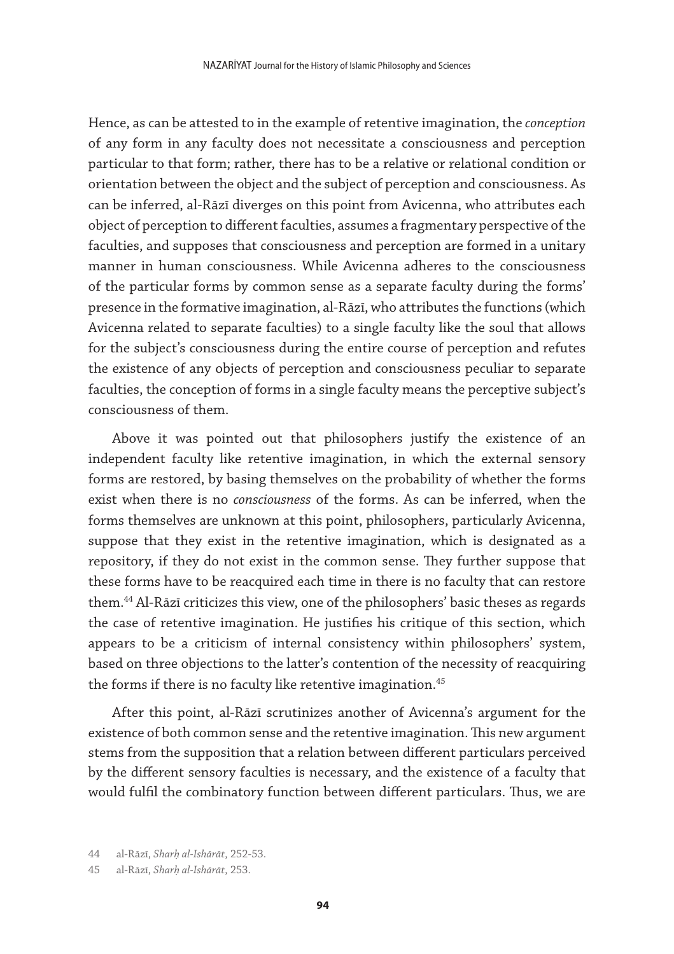Hence, as can be attested to in the example of retentive imagination, the *conception* of any form in any faculty does not necessitate a consciousness and perception particular to that form; rather, there has to be a relative or relational condition or orientation between the object and the subject of perception and consciousness. As can be inferred, al-Rāzī diverges on this point from Avicenna, who attributes each object of perception to different faculties, assumes a fragmentary perspective of the faculties, and supposes that consciousness and perception are formed in a unitary manner in human consciousness. While Avicenna adheres to the consciousness of the particular forms by common sense as a separate faculty during the forms' presence in the formative imagination, al-Rāzī, who attributes the functions (which Avicenna related to separate faculties) to a single faculty like the soul that allows for the subject's consciousness during the entire course of perception and refutes the existence of any objects of perception and consciousness peculiar to separate faculties, the conception of forms in a single faculty means the perceptive subject's consciousness of them.

Above it was pointed out that philosophers justify the existence of an independent faculty like retentive imagination, in which the external sensory forms are restored, by basing themselves on the probability of whether the forms exist when there is no *consciousness* of the forms. As can be inferred, when the forms themselves are unknown at this point, philosophers, particularly Avicenna, suppose that they exist in the retentive imagination, which is designated as a repository, if they do not exist in the common sense. They further suppose that these forms have to be reacquired each time in there is no faculty that can restore them.44 Al-Rāzī criticizes this view, one of the philosophers' basic theses as regards the case of retentive imagination. He justifies his critique of this section, which appears to be a criticism of internal consistency within philosophers' system, based on three objections to the latter's contention of the necessity of reacquiring the forms if there is no faculty like retentive imagination.<sup>45</sup>

After this point, al-Rāzī scrutinizes another of Avicenna's argument for the existence of both common sense and the retentive imagination. This new argument stems from the supposition that a relation between different particulars perceived by the different sensory faculties is necessary, and the existence of a faculty that would fulfil the combinatory function between different particulars. Thus, we are

<sup>44</sup> al-Rāzī, *Sharḥ al-Ishārāt*, 252-53.

<sup>45</sup> al-Rāzī, *Sharḥ al-Ishārāt*, 253.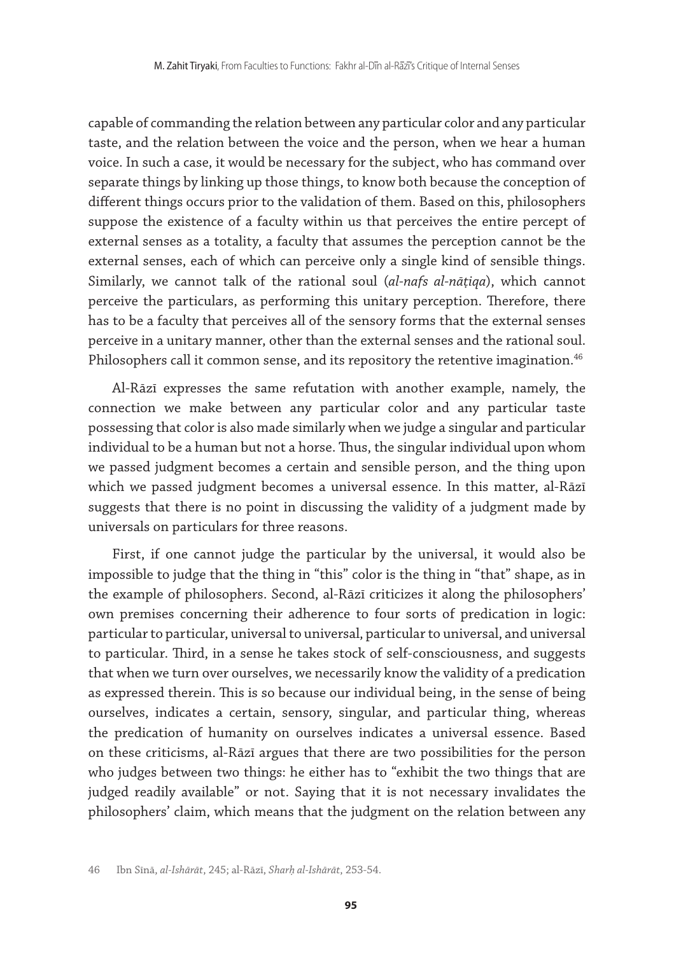capable of commanding the relation between any particular color and any particular taste, and the relation between the voice and the person, when we hear a human voice. In such a case, it would be necessary for the subject, who has command over separate things by linking up those things, to know both because the conception of different things occurs prior to the validation of them. Based on this, philosophers suppose the existence of a faculty within us that perceives the entire percept of external senses as a totality, a faculty that assumes the perception cannot be the external senses, each of which can perceive only a single kind of sensible things. Similarly, we cannot talk of the rational soul (*al-nafs al-nāṭiqa*), which cannot perceive the particulars, as performing this unitary perception. Therefore, there has to be a faculty that perceives all of the sensory forms that the external senses perceive in a unitary manner, other than the external senses and the rational soul. Philosophers call it common sense, and its repository the retentive imagination.<sup>46</sup>

Al-Rāzī expresses the same refutation with another example, namely, the connection we make between any particular color and any particular taste possessing that color is also made similarly when we judge a singular and particular individual to be a human but not a horse. Thus, the singular individual upon whom we passed judgment becomes a certain and sensible person, and the thing upon which we passed judgment becomes a universal essence. In this matter, al-Rāzī suggests that there is no point in discussing the validity of a judgment made by universals on particulars for three reasons.

First, if one cannot judge the particular by the universal, it would also be impossible to judge that the thing in "this" color is the thing in "that" shape, as in the example of philosophers. Second, al-Rāzī criticizes it along the philosophers' own premises concerning their adherence to four sorts of predication in logic: particular to particular, universal to universal, particular to universal, and universal to particular. Third, in a sense he takes stock of self-consciousness, and suggests that when we turn over ourselves, we necessarily know the validity of a predication as expressed therein. This is so because our individual being, in the sense of being ourselves, indicates a certain, sensory, singular, and particular thing, whereas the predication of humanity on ourselves indicates a universal essence. Based on these criticisms, al-Rāzī argues that there are two possibilities for the person who judges between two things: he either has to "exhibit the two things that are judged readily available" or not. Saying that it is not necessary invalidates the philosophers' claim, which means that the judgment on the relation between any

<sup>46</sup> Ibn Sīnā, *al-Ishārāt*, 245; al-Rāzī, *Sharḥ al-Ishārāt*, 253-54.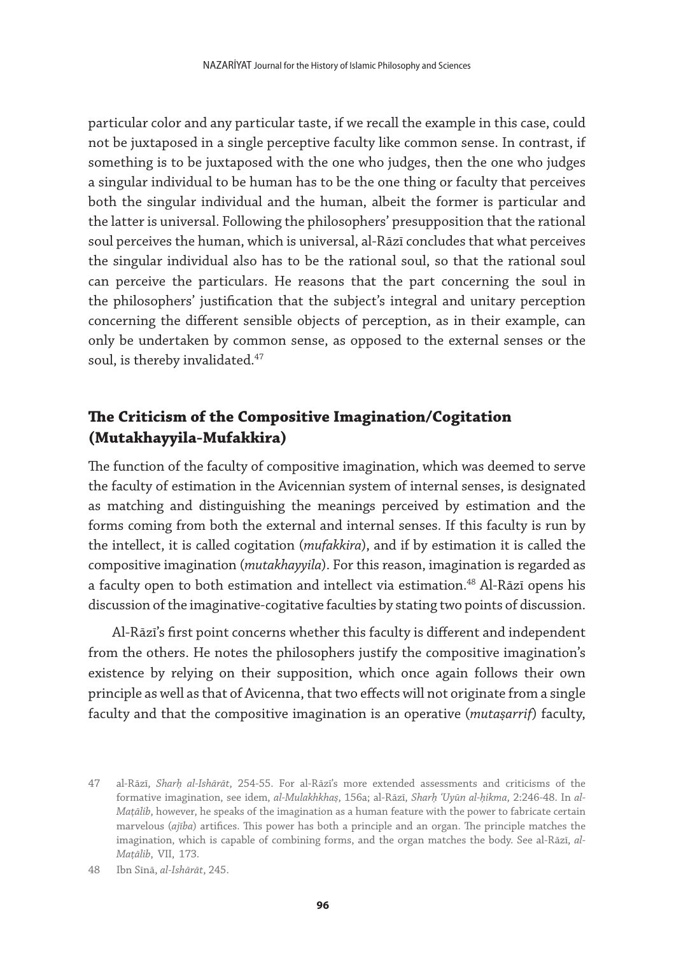particular color and any particular taste, if we recall the example in this case, could not be juxtaposed in a single perceptive faculty like common sense. In contrast, if something is to be juxtaposed with the one who judges, then the one who judges a singular individual to be human has to be the one thing or faculty that perceives both the singular individual and the human, albeit the former is particular and the latter is universal. Following the philosophers' presupposition that the rational soul perceives the human, which is universal, al-Rāzī concludes that what perceives the singular individual also has to be the rational soul, so that the rational soul can perceive the particulars. He reasons that the part concerning the soul in the philosophers' justification that the subject's integral and unitary perception concerning the different sensible objects of perception, as in their example, can only be undertaken by common sense, as opposed to the external senses or the soul, is thereby invalidated.<sup>47</sup>

## **The Criticism of the Compositive Imagination/Cogitation (Mutakhayyila-Mufakkira)**

The function of the faculty of compositive imagination, which was deemed to serve the faculty of estimation in the Avicennian system of internal senses, is designated as matching and distinguishing the meanings perceived by estimation and the forms coming from both the external and internal senses. If this faculty is run by the intellect, it is called cogitation (*mufakkira*), and if by estimation it is called the compositive imagination (*mutakhayyila*). For this reason, imagination is regarded as a faculty open to both estimation and intellect via estimation.<sup>48</sup> Al-Rāzī opens his discussion of the imaginative-cogitative faculties by stating two points of discussion.

Al-Rāzī's first point concerns whether this faculty is different and independent from the others. He notes the philosophers justify the compositive imagination's existence by relying on their supposition, which once again follows their own principle as well as that of Avicenna, that two effects will not originate from a single faculty and that the compositive imagination is an operative (*mutaṣarrif*) faculty,

<sup>47</sup> al-Rāzī, *Sharḥ al-Ishārāt*, 254-55. For al-Rāzī's more extended assessments and criticisms of the formative imagination, see idem, *al-Mulakhkhaṣ*, 156a; al-Rāzī, *Sharḥ ʿUyūn al-ḥikma*, 2:246-48. In *al-Maṭālib*, however, he speaks of the imagination as a human feature with the power to fabricate certain marvelous (*ajība*) artifices. This power has both a principle and an organ. The principle matches the imagination, which is capable of combining forms, and the organ matches the body. See al-Rāzī, *al-Maṭālib*, VII, 173.

<sup>48</sup> Ibn Sīnā, *al-Ishārāt*, 245.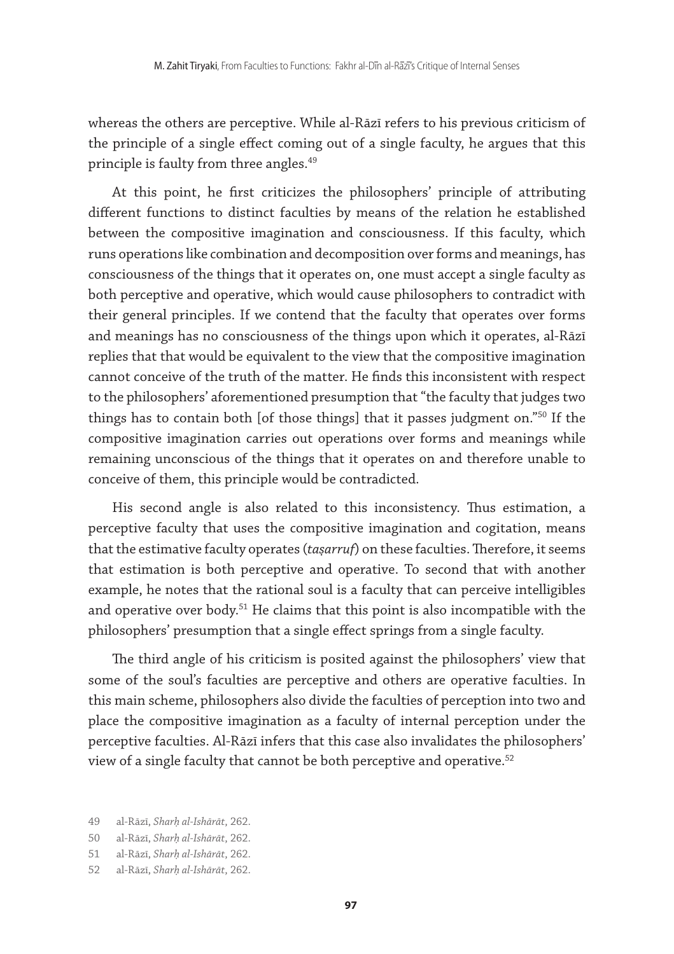whereas the others are perceptive. While al-Rāzī refers to his previous criticism of the principle of a single effect coming out of a single faculty, he argues that this principle is faulty from three angles.<sup>49</sup>

At this point, he first criticizes the philosophers' principle of attributing different functions to distinct faculties by means of the relation he established between the compositive imagination and consciousness. If this faculty, which runs operations like combination and decomposition over forms and meanings, has consciousness of the things that it operates on, one must accept a single faculty as both perceptive and operative, which would cause philosophers to contradict with their general principles. If we contend that the faculty that operates over forms and meanings has no consciousness of the things upon which it operates, al-Rāzī replies that that would be equivalent to the view that the compositive imagination cannot conceive of the truth of the matter. He finds this inconsistent with respect to the philosophers' aforementioned presumption that "the faculty that judges two things has to contain both [of those things] that it passes judgment on."50 If the compositive imagination carries out operations over forms and meanings while remaining unconscious of the things that it operates on and therefore unable to conceive of them, this principle would be contradicted.

His second angle is also related to this inconsistency. Thus estimation, a perceptive faculty that uses the compositive imagination and cogitation, means that the estimative faculty operates (*taṣarruf*) on these faculties. Therefore, it seems that estimation is both perceptive and operative. To second that with another example, he notes that the rational soul is a faculty that can perceive intelligibles and operative over body.<sup>51</sup> He claims that this point is also incompatible with the philosophers' presumption that a single effect springs from a single faculty.

The third angle of his criticism is posited against the philosophers' view that some of the soul's faculties are perceptive and others are operative faculties. In this main scheme, philosophers also divide the faculties of perception into two and place the compositive imagination as a faculty of internal perception under the perceptive faculties. Al-Rāzī infers that this case also invalidates the philosophers' view of a single faculty that cannot be both perceptive and operative.52

<sup>49</sup> al-Rāzī, *Sharḥ al-Ishārāt*, 262.

<sup>50</sup> al-Rāzī, *Sharḥ al-Ishārāt*, 262.

<sup>51</sup> al-Rāzī, *Sharḥ al-Ishārāt*, 262.

<sup>52</sup> al-Rāzī, *Sharḥ al-Ishārāt*, 262.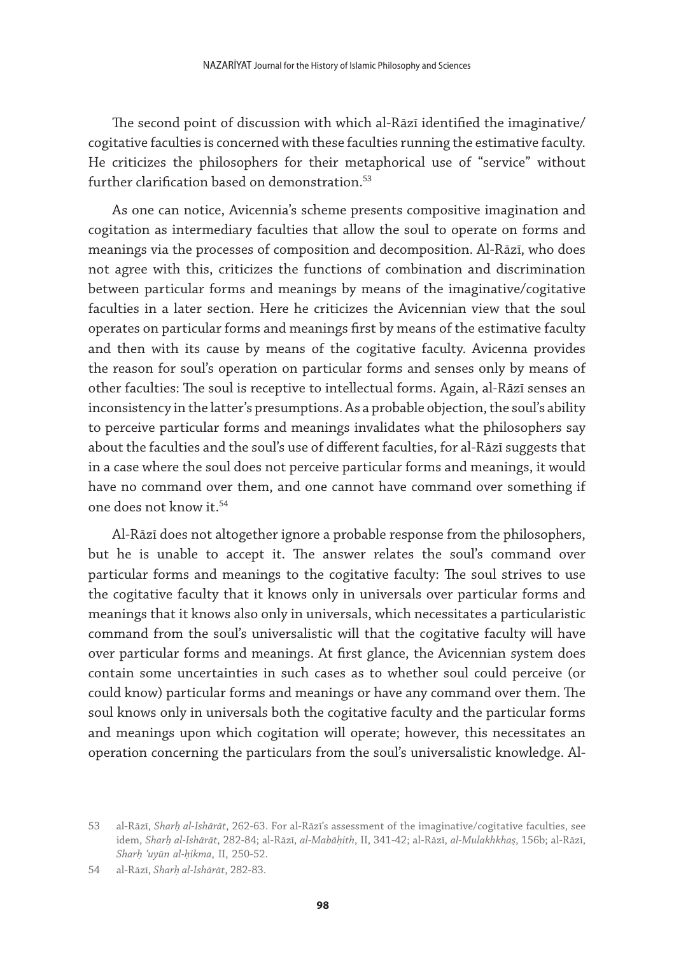The second point of discussion with which al-Rāzī identified the imaginative/ cogitative faculties is concerned with these faculties running the estimative faculty. He criticizes the philosophers for their metaphorical use of "service" without further clarification based on demonstration.<sup>53</sup>

As one can notice, Avicennia's scheme presents compositive imagination and cogitation as intermediary faculties that allow the soul to operate on forms and meanings via the processes of composition and decomposition. Al-Rāzī, who does not agree with this, criticizes the functions of combination and discrimination between particular forms and meanings by means of the imaginative/cogitative faculties in a later section. Here he criticizes the Avicennian view that the soul operates on particular forms and meanings first by means of the estimative faculty and then with its cause by means of the cogitative faculty. Avicenna provides the reason for soul's operation on particular forms and senses only by means of other faculties: The soul is receptive to intellectual forms. Again, al-Rāzī senses an inconsistency in the latter's presumptions. As a probable objection, the soul's ability to perceive particular forms and meanings invalidates what the philosophers say about the faculties and the soul's use of different faculties, for al-Rāzī suggests that in a case where the soul does not perceive particular forms and meanings, it would have no command over them, and one cannot have command over something if one does not know it.54

Al-Rāzī does not altogether ignore a probable response from the philosophers, but he is unable to accept it. The answer relates the soul's command over particular forms and meanings to the cogitative faculty: The soul strives to use the cogitative faculty that it knows only in universals over particular forms and meanings that it knows also only in universals, which necessitates a particularistic command from the soul's universalistic will that the cogitative faculty will have over particular forms and meanings. At first glance, the Avicennian system does contain some uncertainties in such cases as to whether soul could perceive (or could know) particular forms and meanings or have any command over them. The soul knows only in universals both the cogitative faculty and the particular forms and meanings upon which cogitation will operate; however, this necessitates an operation concerning the particulars from the soul's universalistic knowledge. Al-

<sup>53</sup> al-Rāzī, *Sharḥ al-Ishārāt*, 262-63. For al-Rāzī's assessment of the imaginative/cogitative faculties, see idem, *Sharḥ al-Ishārāt*, 282-84; al-Rāzī, *al-Mabāḥith*, II, 341-42; al-Rāzī, *al-Mulakhkhaṣ*, 156b; al-Rāzī, *Sharḥ ʿuyūn al-ḥikma*, II, 250-52.

<sup>54</sup> al-Rāzī, *Sharḥ al-Ishārāt*, 282-83.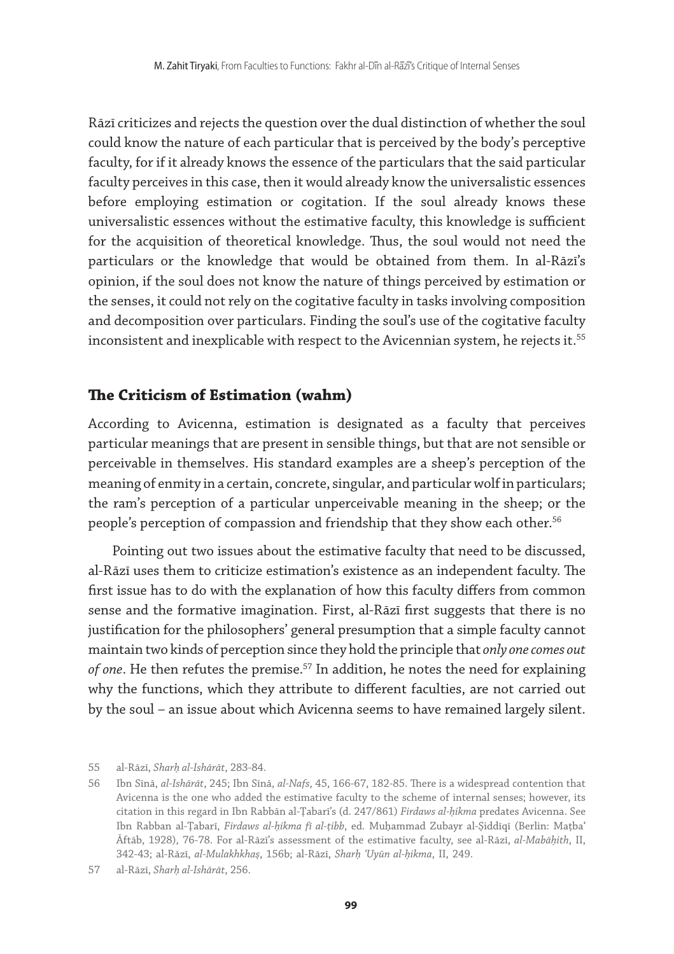Rāzī criticizes and rejects the question over the dual distinction of whether the soul could know the nature of each particular that is perceived by the body's perceptive faculty, for if it already knows the essence of the particulars that the said particular faculty perceives in this case, then it would already know the universalistic essences before employing estimation or cogitation. If the soul already knows these universalistic essences without the estimative faculty, this knowledge is sufficient for the acquisition of theoretical knowledge. Thus, the soul would not need the particulars or the knowledge that would be obtained from them. In al-Rāzī's opinion, if the soul does not know the nature of things perceived by estimation or the senses, it could not rely on the cogitative faculty in tasks involving composition and decomposition over particulars. Finding the soul's use of the cogitative faculty inconsistent and inexplicable with respect to the Avicennian system, he rejects it.<sup>55</sup>

#### **The Criticism of Estimation (wahm)**

According to Avicenna, estimation is designated as a faculty that perceives particular meanings that are present in sensible things, but that are not sensible or perceivable in themselves. His standard examples are a sheep's perception of the meaning of enmity in a certain, concrete, singular, and particular wolf in particulars; the ram's perception of a particular unperceivable meaning in the sheep; or the people's perception of compassion and friendship that they show each other.<sup>56</sup>

Pointing out two issues about the estimative faculty that need to be discussed, al-Rāzī uses them to criticize estimation's existence as an independent faculty. The first issue has to do with the explanation of how this faculty differs from common sense and the formative imagination. First, al-Rāzī first suggests that there is no justification for the philosophers' general presumption that a simple faculty cannot maintain two kinds of perception since they hold the principle that *only one comes out*  of one. He then refutes the premise.<sup>57</sup> In addition, he notes the need for explaining why the functions, which they attribute to different faculties, are not carried out by the soul – an issue about which Avicenna seems to have remained largely silent.

<sup>55</sup> al-Rāzī, *Sharḥ al-Ishārāt*, 283-84.

<sup>56</sup> Ibn Sīnā, *al-Ishārāt*, 245; Ibn Sīnā, *al-Nafs*, 45, 166-67, 182-85. There is a widespread contention that Avicenna is the one who added the estimative faculty to the scheme of internal senses; however, its citation in this regard in Ibn Rabbān al-Ṭabarī's (d. 247/861) *Firdaws al-ḥikma* predates Avicenna. See Ibn Rabban al-Ṭabarī, *Firdaws al-ḥikma fī al-ṭibb*, ed. Muḥammad Zubayr al-Ṣiddīqī (Berlin: Maṭbaʿ Āftāb, 1928), 76-78. For al-Rāzī's assessment of the estimative faculty, see al-Rāzī, *al-Mabāḥith*, II, 342-43; al-Rāzī, *al-Mulakhkhaṣ*, 156b; al-Rāzī, *Sharḥ ʿUyūn al-ḥikma*, II, 249.

<sup>57</sup> al-Rāzī, *Sharḥ al-Ishārāt*, 256.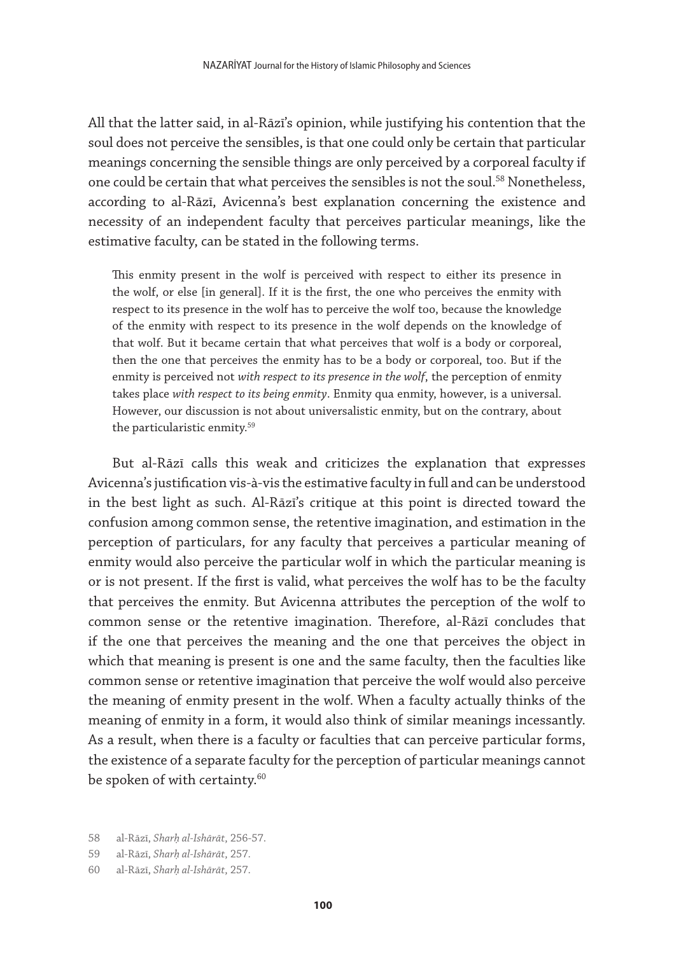All that the latter said, in al-Rāzī's opinion, while justifying his contention that the soul does not perceive the sensibles, is that one could only be certain that particular meanings concerning the sensible things are only perceived by a corporeal faculty if one could be certain that what perceives the sensibles is not the soul.<sup>58</sup> Nonetheless, according to al-Rāzī, Avicenna's best explanation concerning the existence and necessity of an independent faculty that perceives particular meanings, like the estimative faculty, can be stated in the following terms.

This enmity present in the wolf is perceived with respect to either its presence in the wolf, or else [in general]. If it is the first, the one who perceives the enmity with respect to its presence in the wolf has to perceive the wolf too, because the knowledge of the enmity with respect to its presence in the wolf depends on the knowledge of that wolf. But it became certain that what perceives that wolf is a body or corporeal, then the one that perceives the enmity has to be a body or corporeal, too. But if the enmity is perceived not *with respect to its presence in the wolf*, the perception of enmity takes place *with respect to its being enmity*. Enmity qua enmity, however, is a universal. However, our discussion is not about universalistic enmity, but on the contrary, about the particularistic enmity.59

But al-Rāzī calls this weak and criticizes the explanation that expresses Avicenna's justification vis-à-vis the estimative faculty in full and can be understood in the best light as such. Al-Rāzī's critique at this point is directed toward the confusion among common sense, the retentive imagination, and estimation in the perception of particulars, for any faculty that perceives a particular meaning of enmity would also perceive the particular wolf in which the particular meaning is or is not present. If the first is valid, what perceives the wolf has to be the faculty that perceives the enmity. But Avicenna attributes the perception of the wolf to common sense or the retentive imagination. Therefore, al-Rāzī concludes that if the one that perceives the meaning and the one that perceives the object in which that meaning is present is one and the same faculty, then the faculties like common sense or retentive imagination that perceive the wolf would also perceive the meaning of enmity present in the wolf. When a faculty actually thinks of the meaning of enmity in a form, it would also think of similar meanings incessantly. As a result, when there is a faculty or faculties that can perceive particular forms, the existence of a separate faculty for the perception of particular meanings cannot be spoken of with certainty.<sup>60</sup>

59 al-Rāzī, *Sharḥ al-Ishārāt*, 257.

<sup>58</sup> al-Rāzī, *Sharḥ al-Ishārāt*, 256-57.

<sup>60</sup> al-Rāzī, *Sharḥ al-Ishārāt*, 257.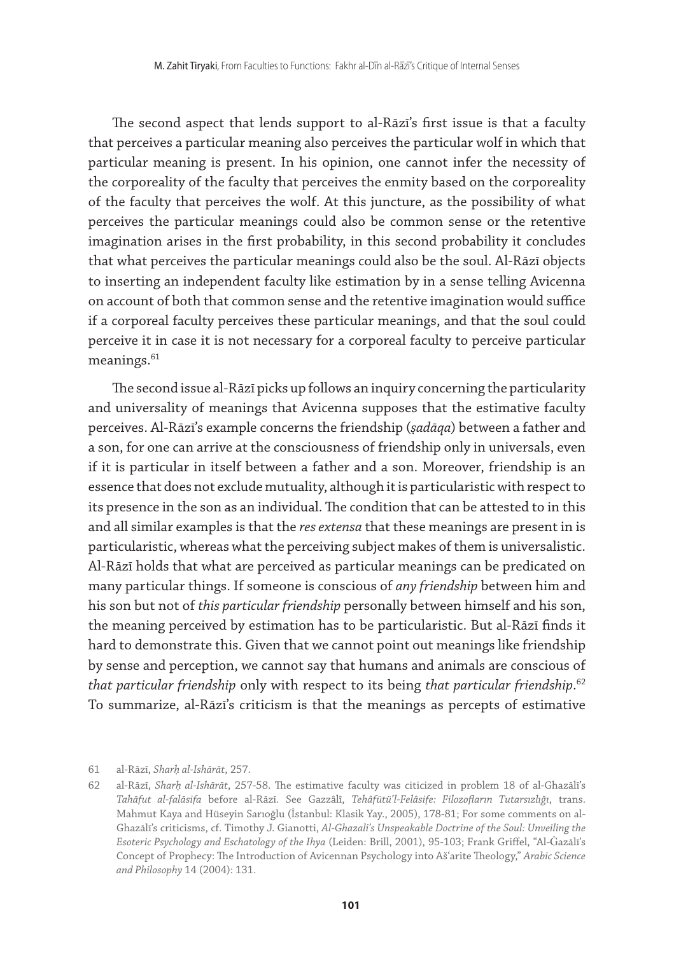The second aspect that lends support to al-Rāzī's first issue is that a faculty that perceives a particular meaning also perceives the particular wolf in which that particular meaning is present. In his opinion, one cannot infer the necessity of the corporeality of the faculty that perceives the enmity based on the corporeality of the faculty that perceives the wolf. At this juncture, as the possibility of what perceives the particular meanings could also be common sense or the retentive imagination arises in the first probability, in this second probability it concludes that what perceives the particular meanings could also be the soul. Al-Rāzī objects to inserting an independent faculty like estimation by in a sense telling Avicenna on account of both that common sense and the retentive imagination would suffice if a corporeal faculty perceives these particular meanings, and that the soul could perceive it in case it is not necessary for a corporeal faculty to perceive particular meanings.<sup>61</sup>

The second issue al-Rāzī picks up follows an inquiry concerning the particularity and universality of meanings that Avicenna supposes that the estimative faculty perceives. Al-Rāzī's example concerns the friendship (*ṣadāqa*) between a father and a son, for one can arrive at the consciousness of friendship only in universals, even if it is particular in itself between a father and a son. Moreover, friendship is an essence that does not exclude mutuality, although it is particularistic with respect to its presence in the son as an individual. The condition that can be attested to in this and all similar examples is that the *res extensa* that these meanings are present in is particularistic, whereas what the perceiving subject makes of them is universalistic. Al-Rāzī holds that what are perceived as particular meanings can be predicated on many particular things. If someone is conscious of *any friendship* between him and his son but not of *this particular friendship* personally between himself and his son, the meaning perceived by estimation has to be particularistic. But al-Rāzī finds it hard to demonstrate this. Given that we cannot point out meanings like friendship by sense and perception, we cannot say that humans and animals are conscious of *that particular friendship* only with respect to its being *that particular friendship*. 62 To summarize, al-Rāzī's criticism is that the meanings as percepts of estimative

61 al-Rāzī, *Sharḥ al-Ishārāt*, 257.

<sup>62</sup> al-Rāzī, *Sharḥ al-Ishārāt*, 257-58. The estimative faculty was citicized in problem 18 of al-Ghazālī's *Tahāfut al-falāsifa* before al-Rāzī. See Gazzâlî, *Tehâfütü'l-Felâsife: Filozofların Tutarsızlığı*, trans. Mahmut Kaya and Hüseyin Sarıoğlu (İstanbul: Klasik Yay., 2005), 178-81; For some comments on al-Ghazālī's criticisms, cf. Timothy J. Gianotti, *Al-Ghazali's Unspeakable Doctrine of the Soul: Unveiling the Esoteric Psychology and Eschatology of the Ihya* (Leiden: Brill, 2001), 95-103; Frank Griffel, "Al-Ġazālī's Concept of Prophecy: The Introduction of Avicennan Psychology into Aš'arite Theology," *Arabic Science and Philosophy* 14 (2004): 131.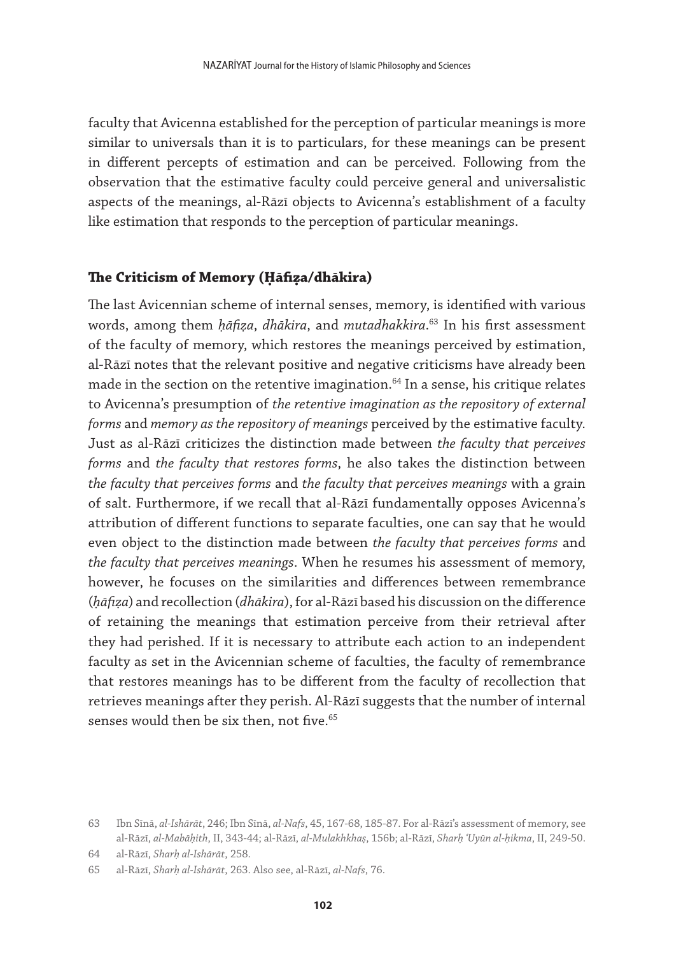faculty that Avicenna established for the perception of particular meanings is more similar to universals than it is to particulars, for these meanings can be present in different percepts of estimation and can be perceived. Following from the observation that the estimative faculty could perceive general and universalistic aspects of the meanings, al-Rāzī objects to Avicenna's establishment of a faculty like estimation that responds to the perception of particular meanings.

#### **The Criticism of Memory (Ḥāfiẓa/dhākira)**

The last Avicennian scheme of internal senses, memory, is identified with various words, among them *ḥāfiẓa*, *dhākira*, and *mutadhakkira*. 63 In his first assessment of the faculty of memory, which restores the meanings perceived by estimation, al-Rāzī notes that the relevant positive and negative criticisms have already been made in the section on the retentive imagination. $64$  In a sense, his critique relates to Avicenna's presumption of *the retentive imagination as the repository of external forms* and *memory as the repository of meanings* perceived by the estimative faculty. Just as al-Rāzī criticizes the distinction made between *the faculty that perceives forms* and *the faculty that restores forms*, he also takes the distinction between *the faculty that perceives forms* and *the faculty that perceives meanings* with a grain of salt. Furthermore, if we recall that al-Rāzī fundamentally opposes Avicenna's attribution of different functions to separate faculties, one can say that he would even object to the distinction made between *the faculty that perceives forms* and *the faculty that perceives meanings*. When he resumes his assessment of memory, however, he focuses on the similarities and differences between remembrance (*ḥāfiẓa*) and recollection (*dhākira*), for al-Rāzī based his discussion on the difference of retaining the meanings that estimation perceive from their retrieval after they had perished. If it is necessary to attribute each action to an independent faculty as set in the Avicennian scheme of faculties, the faculty of remembrance that restores meanings has to be different from the faculty of recollection that retrieves meanings after they perish. Al-Rāzī suggests that the number of internal senses would then be six then, not five. $65$ 

<sup>63</sup> Ibn Sīnā, *al-Ishārāt*, 246; Ibn Sīnā, *al-Nafs*, 45, 167-68, 185-87. For al-Rāzī's assessment of memory, see al-Rāzī, *al-Mabāḥith*, II, 343-44; al-Rāzī, *al-Mulakhkhaṣ*, 156b; al-Rāzī, *Sharḥ ʿUyūn al-ḥikma*, II, 249-50.

<sup>64</sup> al-Rāzī, *Sharḥ al-Ishārāt*, 258.

<sup>65</sup> al-Rāzī, *Sharḥ al-Ishārāt*, 263. Also see, al-Rāzī, *al-Nafs*, 76.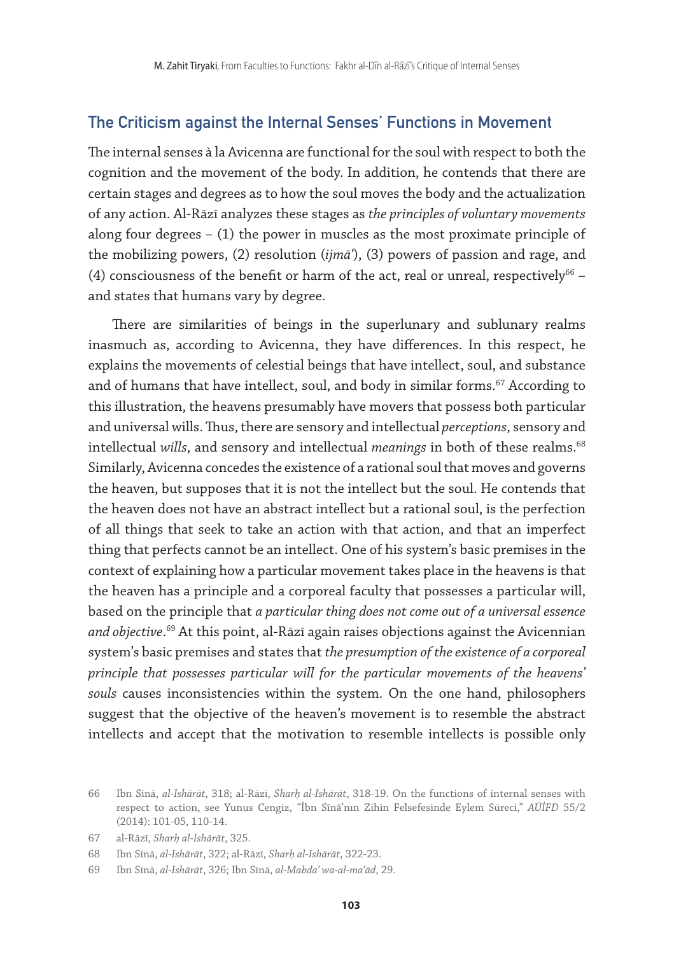### The Criticism against the Internal Senses' Functions in Movement

The internal senses à la Avicenna are functional for the soul with respect to both the cognition and the movement of the body. In addition, he contends that there are certain stages and degrees as to how the soul moves the body and the actualization of any action. Al-Rāzī analyzes these stages as *the principles of voluntary movements* along four degrees  $-$  (1) the power in muscles as the most proximate principle of the mobilizing powers, (2) resolution (*ijmāʿ*), (3) powers of passion and rage, and (4) consciousness of the benefit or harm of the act, real or unreal, respectively $^{66}$  and states that humans vary by degree.

There are similarities of beings in the superlunary and sublunary realms inasmuch as, according to Avicenna, they have differences. In this respect, he explains the movements of celestial beings that have intellect, soul, and substance and of humans that have intellect, soul, and body in similar forms.<sup>67</sup> According to this illustration, the heavens presumably have movers that possess both particular and universal wills. Thus, there are sensory and intellectual *perceptions*, sensory and intellectual *wills*, and sensory and intellectual *meanings* in both of these realms.<sup>68</sup> Similarly, Avicenna concedes the existence of a rational soul that moves and governs the heaven, but supposes that it is not the intellect but the soul. He contends that the heaven does not have an abstract intellect but a rational soul, is the perfection of all things that seek to take an action with that action, and that an imperfect thing that perfects cannot be an intellect. One of his system's basic premises in the context of explaining how a particular movement takes place in the heavens is that the heaven has a principle and a corporeal faculty that possesses a particular will, based on the principle that *a particular thing does not come out of a universal essence and objective*. 69 At this point, al-Rāzī again raises objections against the Avicennian system's basic premises and states that *the presumption of the existence of a corporeal principle that possesses particular will for the particular movements of the heavens' souls* causes inconsistencies within the system. On the one hand, philosophers suggest that the objective of the heaven's movement is to resemble the abstract intellects and accept that the motivation to resemble intellects is possible only

<sup>66</sup> Ibn Sīnā, *al-Ishārāt*, 318; al-Rāzī, *Sharḥ al-Ishārāt*, 318-19. On the functions of internal senses with respect to action, see Yunus Cengiz, "İbn Sînâ'nın Zihin Felsefesinde Eylem Süreci," *AÜİFD* 55/2 (2014): 101-05, 110-14.

<sup>67</sup> al-Rāzī, *Sharḥ al-Ishārāt*, 325.

<sup>68</sup> Ibn Sīnā, *al-Ishārāt*, 322; al-Rāzī, *Sharḥ al-Ishārāt*, 322-23.

<sup>69</sup> Ibn Sīnā, *al-Ishārāt*, 326; Ibn Sīnā, *al-Mabdaʾ wa-al-maʿād*, 29.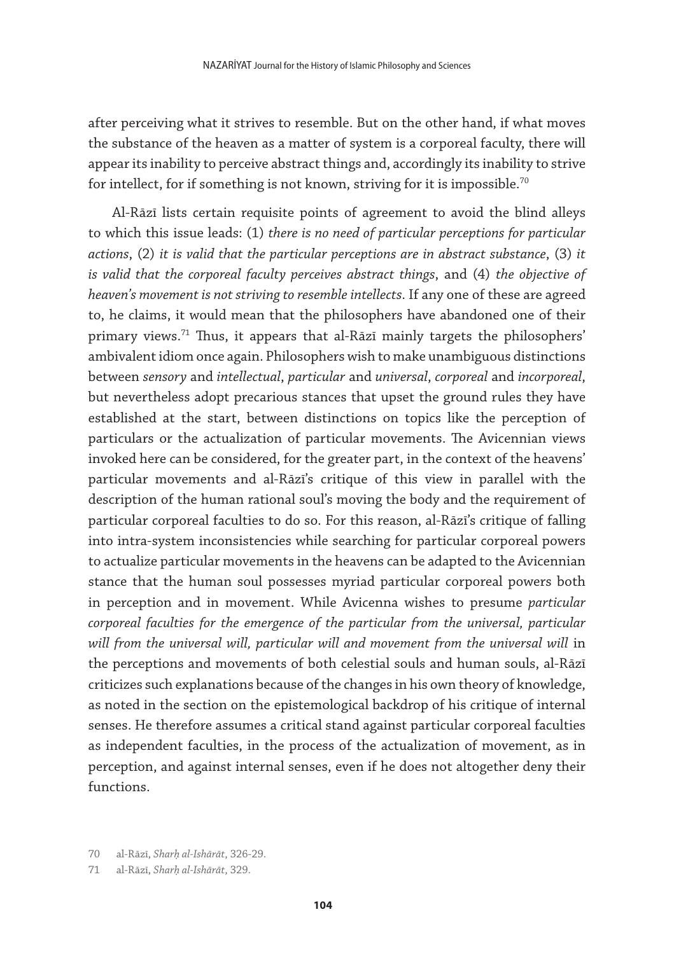after perceiving what it strives to resemble. But on the other hand, if what moves the substance of the heaven as a matter of system is a corporeal faculty, there will appear its inability to perceive abstract things and, accordingly its inability to strive for intellect, for if something is not known, striving for it is impossible.<sup>70</sup>

Al-Rāzī lists certain requisite points of agreement to avoid the blind alleys to which this issue leads: (1) *there is no need of particular perceptions for particular actions*, (2) *it is valid that the particular perceptions are in abstract substance*, (3) *it is valid that the corporeal faculty perceives abstract things*, and (4) *the objective of heaven's movement is not striving to resemble intellects*. If any one of these are agreed to, he claims, it would mean that the philosophers have abandoned one of their primary views.<sup>71</sup> Thus, it appears that al-Rāzī mainly targets the philosophers' ambivalent idiom once again. Philosophers wish to make unambiguous distinctions between *sensory* and *intellectual*, *particular* and *universal*, *corporeal* and *incorporeal*, but nevertheless adopt precarious stances that upset the ground rules they have established at the start, between distinctions on topics like the perception of particulars or the actualization of particular movements. The Avicennian views invoked here can be considered, for the greater part, in the context of the heavens' particular movements and al-Rāzī's critique of this view in parallel with the description of the human rational soul's moving the body and the requirement of particular corporeal faculties to do so. For this reason, al-Rāzī's critique of falling into intra-system inconsistencies while searching for particular corporeal powers to actualize particular movements in the heavens can be adapted to the Avicennian stance that the human soul possesses myriad particular corporeal powers both in perception and in movement. While Avicenna wishes to presume *particular corporeal faculties for the emergence of the particular from the universal, particular*  will from the universal will, particular will and movement from the universal will in the perceptions and movements of both celestial souls and human souls, al-Rāzī criticizes such explanations because of the changes in his own theory of knowledge, as noted in the section on the epistemological backdrop of his critique of internal senses. He therefore assumes a critical stand against particular corporeal faculties as independent faculties, in the process of the actualization of movement, as in perception, and against internal senses, even if he does not altogether deny their functions.

<sup>70</sup> al-Rāzī, *Sharḥ al-Ishārāt*, 326-29.

<sup>71</sup> al-Rāzī, *Sharḥ al-Ishārāt*, 329.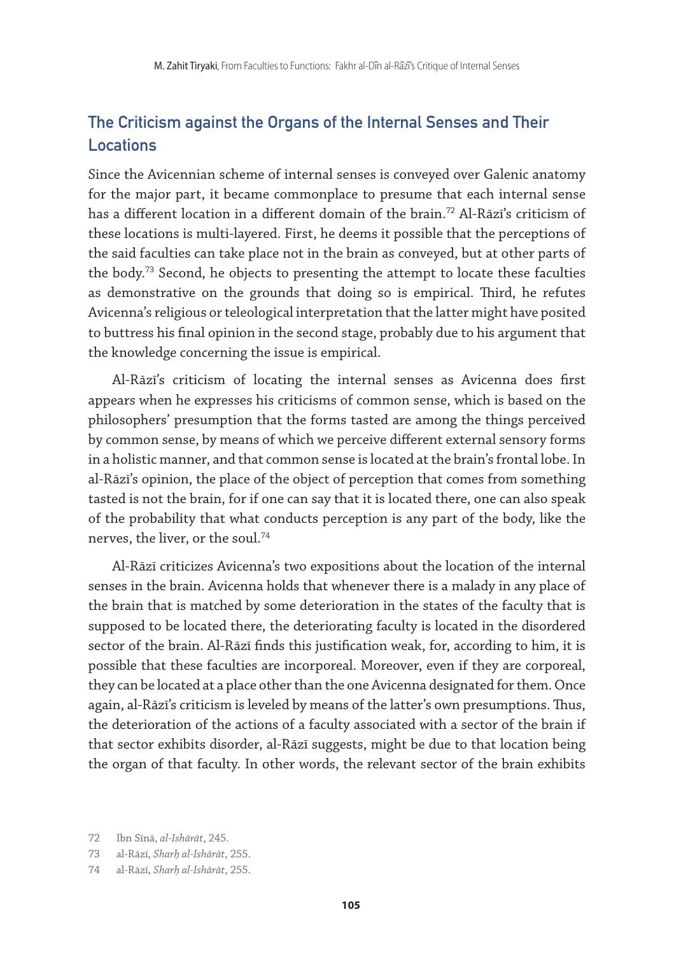## The Criticism against the Organs of the Internal Senses and Their Locations

Since the Avicennian scheme of internal senses is conveyed over Galenic anatomy for the major part, it became commonplace to presume that each internal sense has a different location in a different domain of the brain.72 Al-Rāzī's criticism of these locations is multi-layered. First, he deems it possible that the perceptions of the said faculties can take place not in the brain as conveyed, but at other parts of the body.<sup>73</sup> Second, he objects to presenting the attempt to locate these faculties as demonstrative on the grounds that doing so is empirical. Third, he refutes Avicenna's religious or teleological interpretation that the latter might have posited to buttress his final opinion in the second stage, probably due to his argument that the knowledge concerning the issue is empirical.

Al-Rāzī's criticism of locating the internal senses as Avicenna does first appears when he expresses his criticisms of common sense, which is based on the philosophers' presumption that the forms tasted are among the things perceived by common sense, by means of which we perceive different external sensory forms in a holistic manner, and that common sense is located at the brain's frontal lobe. In al-Rāzī's opinion, the place of the object of perception that comes from something tasted is not the brain, for if one can say that it is located there, one can also speak of the probability that what conducts perception is any part of the body, like the nerves, the liver, or the soul.74

Al-Rāzī criticizes Avicenna's two expositions about the location of the internal senses in the brain. Avicenna holds that whenever there is a malady in any place of the brain that is matched by some deterioration in the states of the faculty that is supposed to be located there, the deteriorating faculty is located in the disordered sector of the brain. Al-Rāzī finds this justification weak, for, according to him, it is possible that these faculties are incorporeal. Moreover, even if they are corporeal, they can be located at a place other than the one Avicenna designated for them. Once again, al-Rāzī's criticism is leveled by means of the latter's own presumptions. Thus, the deterioration of the actions of a faculty associated with a sector of the brain if that sector exhibits disorder, al-Rāzī suggests, might be due to that location being the organ of that faculty. In other words, the relevant sector of the brain exhibits

<sup>72</sup> Ibn Sīnā, *al-Ishārāt*, 245.

<sup>73</sup> al-Rāzī, *Sharḥ al-Ishārāt*, 255.

<sup>74</sup> al-Rāzī, *Sharḥ al-Ishārāt*, 255.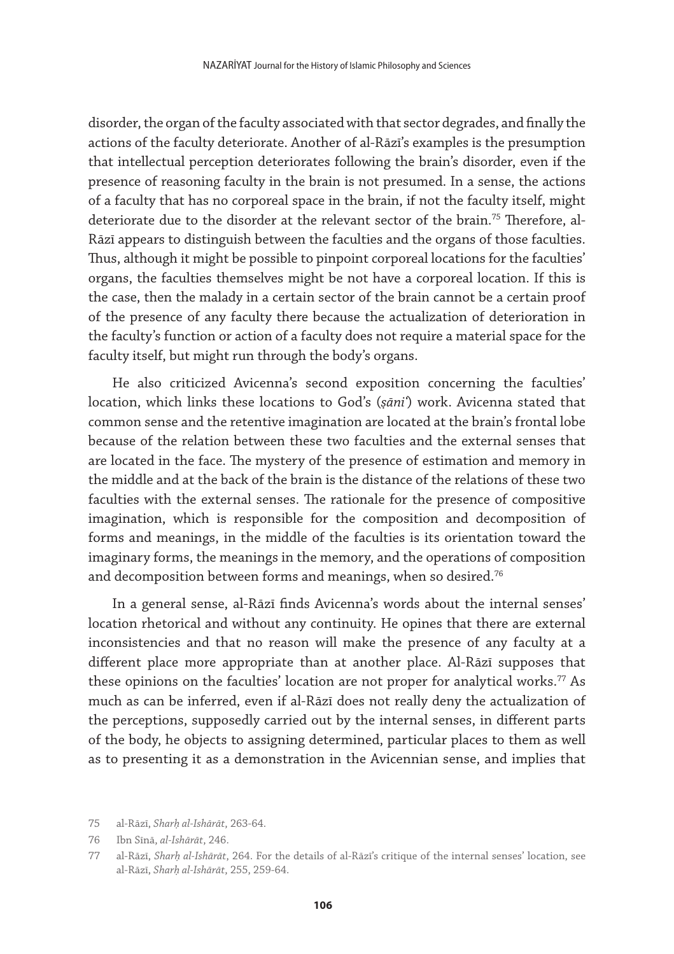disorder, the organ of the faculty associated with that sector degrades, and finally the actions of the faculty deteriorate. Another of al-Rāzī's examples is the presumption that intellectual perception deteriorates following the brain's disorder, even if the presence of reasoning faculty in the brain is not presumed. In a sense, the actions of a faculty that has no corporeal space in the brain, if not the faculty itself, might deteriorate due to the disorder at the relevant sector of the brain.<sup>75</sup> Therefore, al-Rāzī appears to distinguish between the faculties and the organs of those faculties. Thus, although it might be possible to pinpoint corporeal locations for the faculties' organs, the faculties themselves might be not have a corporeal location. If this is the case, then the malady in a certain sector of the brain cannot be a certain proof of the presence of any faculty there because the actualization of deterioration in the faculty's function or action of a faculty does not require a material space for the faculty itself, but might run through the body's organs.

He also criticized Avicenna's second exposition concerning the faculties' location, which links these locations to God's (*ṣāniʿ*) work. Avicenna stated that common sense and the retentive imagination are located at the brain's frontal lobe because of the relation between these two faculties and the external senses that are located in the face. The mystery of the presence of estimation and memory in the middle and at the back of the brain is the distance of the relations of these two faculties with the external senses. The rationale for the presence of compositive imagination, which is responsible for the composition and decomposition of forms and meanings, in the middle of the faculties is its orientation toward the imaginary forms, the meanings in the memory, and the operations of composition and decomposition between forms and meanings, when so desired.<sup>76</sup>

In a general sense, al-Rāzī finds Avicenna's words about the internal senses' location rhetorical and without any continuity. He opines that there are external inconsistencies and that no reason will make the presence of any faculty at a different place more appropriate than at another place. Al-Rāzī supposes that these opinions on the faculties' location are not proper for analytical works.<sup>77</sup> As much as can be inferred, even if al-Rāzī does not really deny the actualization of the perceptions, supposedly carried out by the internal senses, in different parts of the body, he objects to assigning determined, particular places to them as well as to presenting it as a demonstration in the Avicennian sense, and implies that

<sup>75</sup> al-Rāzī, *Sharḥ al-Ishārāt*, 263-64.

<sup>76</sup> Ibn Sīnā, *al-Ishārāt*, 246.

<sup>77</sup> al-Rāzī, *Sharḥ al-Ishārāt*, 264. For the details of al-Rāzī's critique of the internal senses' location, see al-Rāzī, *Sharḥ al-Ishārāt*, 255, 259-64.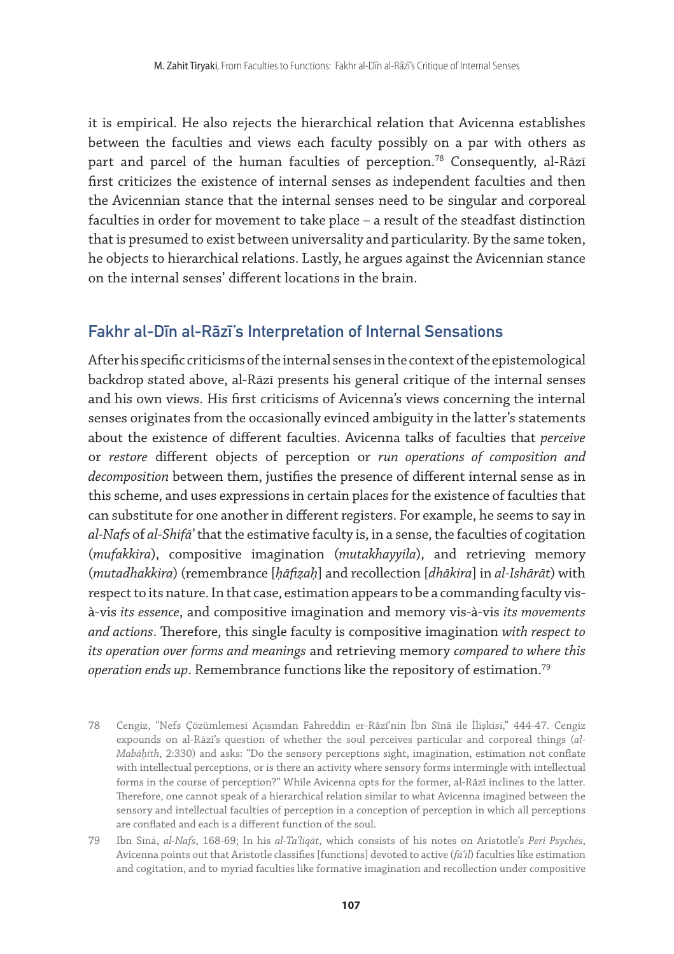it is empirical. He also rejects the hierarchical relation that Avicenna establishes between the faculties and views each faculty possibly on a par with others as part and parcel of the human faculties of perception.<sup>78</sup> Consequently, al-Rāzī first criticizes the existence of internal senses as independent faculties and then the Avicennian stance that the internal senses need to be singular and corporeal faculties in order for movement to take place – a result of the steadfast distinction that is presumed to exist between universality and particularity. By the same token, he objects to hierarchical relations. Lastly, he argues against the Avicennian stance on the internal senses' different locations in the brain.

#### Fakhr al-Dīn al-Rāzī's Interpretation of Internal Sensations

After his specific criticisms of the internal senses in the context of the epistemological backdrop stated above, al-Rāzī presents his general critique of the internal senses and his own views. His first criticisms of Avicenna's views concerning the internal senses originates from the occasionally evinced ambiguity in the latter's statements about the existence of different faculties. Avicenna talks of faculties that *perceive* or *restore* different objects of perception or *run operations of composition and decomposition* between them, justifies the presence of different internal sense as in this scheme, and uses expressions in certain places for the existence of faculties that can substitute for one another in different registers. For example, he seems to say in *al-Nafs* of *al-Shifāʾ* that the estimative faculty is, in a sense, the faculties of cogitation (*mufakkira*), compositive imagination (*mutakhayyila*), and retrieving memory (*mutadhakkira*) (remembrance [*ḥāfiẓaḥ*] and recollection [*dhākira*] in *al-Ishārāt*) with respect to its nature. In that case, estimation appears to be a commanding faculty visà-vis *its essence*, and compositive imagination and memory vis-à-vis *its movements and actions*. Therefore, this single faculty is compositive imagination *with respect to its operation over forms and meanings* and retrieving memory *compared to where this operation ends up*. Remembrance functions like the repository of estimation.79

- 78 Cengiz, "Nefs Çözümlemesi Açısından Fahreddin er-Râzî'nin İbn Sînâ ile İlişkisi," 444-47. Cengiz expounds on al-Rāzī's question of whether the soul perceives particular and corporeal things (*al-Mabāḥith*, 2:330) and asks: "Do the sensory perceptions sight, imagination, estimation not conflate with intellectual perceptions, or is there an activity where sensory forms intermingle with intellectual forms in the course of perception?" While Avicenna opts for the former, al-Rāzī inclines to the latter. Therefore, one cannot speak of a hierarchical relation similar to what Avicenna imagined between the sensory and intellectual faculties of perception in a conception of perception in which all perceptions are conflated and each is a different function of the soul.
- 79 Ibn Sīnā, *al-Nafs*, 168-69; In his *al-Taʿlīqāt*, which consists of his notes on Aristotle's *Peri Psychēs*, Avicenna points out that Aristotle classifies [functions] devoted to active (*fāʿil*) faculties like estimation and cogitation, and to myriad faculties like formative imagination and recollection under compositive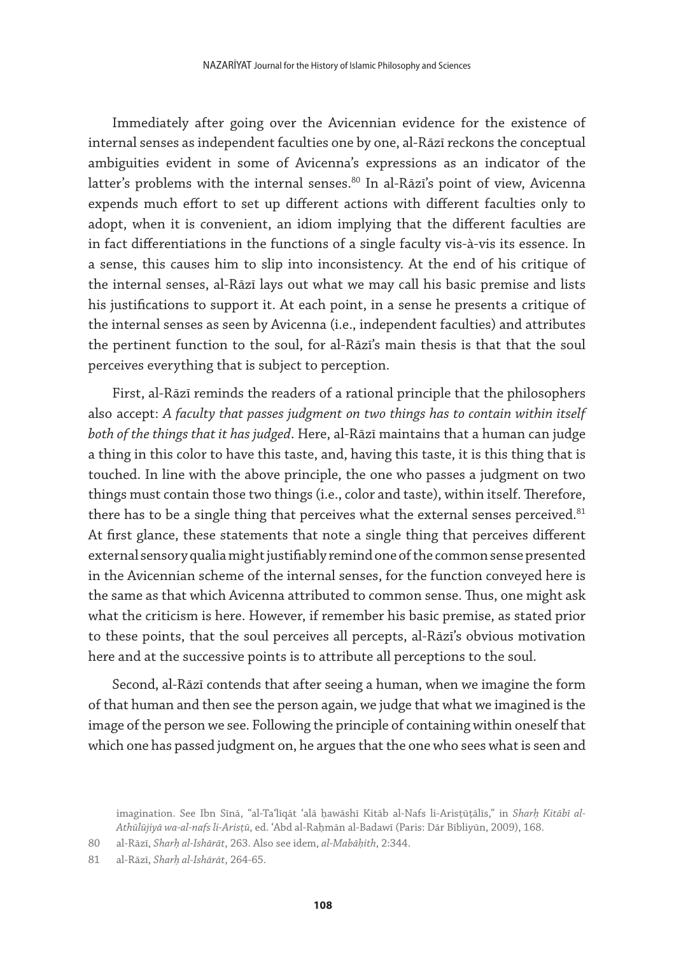Immediately after going over the Avicennian evidence for the existence of internal senses as independent faculties one by one, al-Rāzī reckons the conceptual ambiguities evident in some of Avicenna's expressions as an indicator of the latter's problems with the internal senses.<sup>80</sup> In al-Rāzī's point of view, Avicenna expends much effort to set up different actions with different faculties only to adopt, when it is convenient, an idiom implying that the different faculties are in fact differentiations in the functions of a single faculty vis-à-vis its essence. In a sense, this causes him to slip into inconsistency. At the end of his critique of the internal senses, al-Rāzī lays out what we may call his basic premise and lists his justifications to support it. At each point, in a sense he presents a critique of the internal senses as seen by Avicenna (i.e., independent faculties) and attributes the pertinent function to the soul, for al-Rāzī's main thesis is that that the soul perceives everything that is subject to perception.

First, al-Rāzī reminds the readers of a rational principle that the philosophers also accept: *A faculty that passes judgment on two things has to contain within itself both of the things that it has judged*. Here, al-Rāzī maintains that a human can judge a thing in this color to have this taste, and, having this taste, it is this thing that is touched. In line with the above principle, the one who passes a judgment on two things must contain those two things (i.e., color and taste), within itself. Therefore, there has to be a single thing that perceives what the external senses perceived. $81$ At first glance, these statements that note a single thing that perceives different external sensory qualia might justifiably remind one of the common sense presented in the Avicennian scheme of the internal senses, for the function conveyed here is the same as that which Avicenna attributed to common sense. Thus, one might ask what the criticism is here. However, if remember his basic premise, as stated prior to these points, that the soul perceives all percepts, al-Rāzī's obvious motivation here and at the successive points is to attribute all perceptions to the soul.

Second, al-Rāzī contends that after seeing a human, when we imagine the form of that human and then see the person again, we judge that what we imagined is the image of the person we see. Following the principle of containing within oneself that which one has passed judgment on, he argues that the one who sees what is seen and

imagination. See Ibn Sīnā, "al-Taʿlīqāt ʿalā ḥawāshī Kitāb al-Nafs li-Arisṭūṭālīs," in *Sharḥ Kitābī al-Athūlūjiyā wa-al-nafs li-Arisṭū*, ed. ʿAbd al-Raḥmān al-Badawī (Paris: Dār Bībliyūn, 2009), 168.

<sup>80</sup> al-Rāzī, *Sharḥ al-Ishārāt*, 263. Also see idem, *al-Mabāḥith*, 2:344.

<sup>81</sup> al-Rāzī, *Sharḥ al-Ishārāt*, 264-65.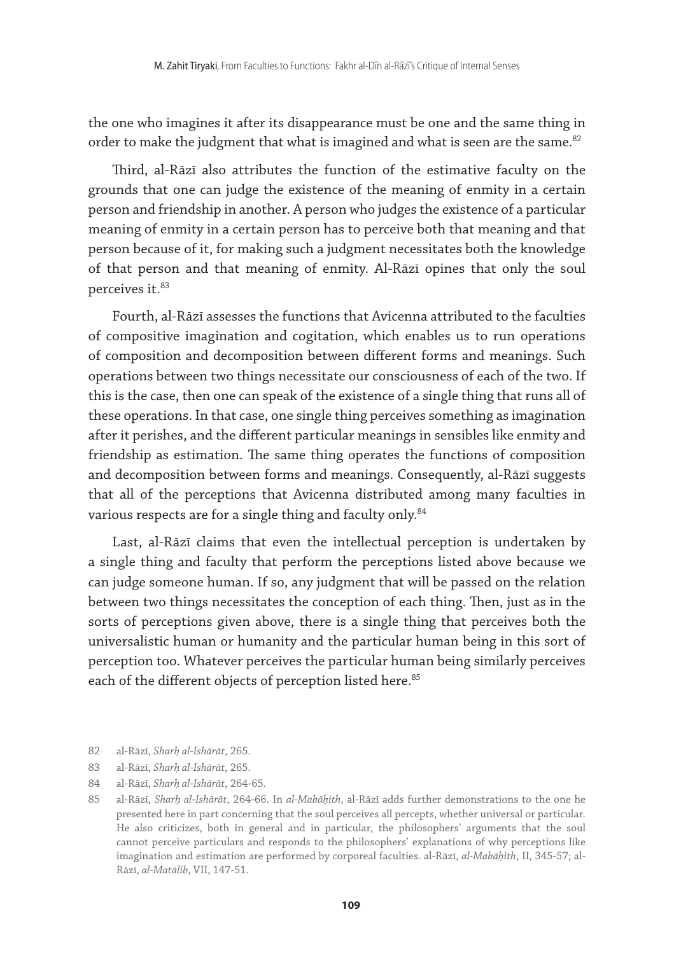the one who imagines it after its disappearance must be one and the same thing in order to make the judgment that what is imagined and what is seen are the same. $82$ 

Third, al-Rāzī also attributes the function of the estimative faculty on the grounds that one can judge the existence of the meaning of enmity in a certain person and friendship in another. A person who judges the existence of a particular meaning of enmity in a certain person has to perceive both that meaning and that person because of it, for making such a judgment necessitates both the knowledge of that person and that meaning of enmity. Al-Rāzī opines that only the soul perceives it.<sup>83</sup>

Fourth, al-Rāzī assesses the functions that Avicenna attributed to the faculties of compositive imagination and cogitation, which enables us to run operations of composition and decomposition between different forms and meanings. Such operations between two things necessitate our consciousness of each of the two. If this is the case, then one can speak of the existence of a single thing that runs all of these operations. In that case, one single thing perceives something as imagination after it perishes, and the different particular meanings in sensibles like enmity and friendship as estimation. The same thing operates the functions of composition and decomposition between forms and meanings. Consequently, al-Rāzī suggests that all of the perceptions that Avicenna distributed among many faculties in various respects are for a single thing and faculty only.<sup>84</sup>

Last, al-Rāzī claims that even the intellectual perception is undertaken by a single thing and faculty that perform the perceptions listed above because we can judge someone human. If so, any judgment that will be passed on the relation between two things necessitates the conception of each thing. Then, just as in the sorts of perceptions given above, there is a single thing that perceives both the universalistic human or humanity and the particular human being in this sort of perception too. Whatever perceives the particular human being similarly perceives each of the different objects of perception listed here.<sup>85</sup>

- 82 al-Rāzī, *Sharḥ al-Ishārāt*, 265.
- 83 al-Rāzī, *Sharḥ al-Ishārāt*, 265.
- 84 al-Rāzī, *Sharḥ al-Ishārāt*, 264-65.
- 85 al-Rāzī, *Sharḥ al-Ishārāt*, 264-66. In *al-Mabāḥith*, al-Rāzī adds further demonstrations to the one he presented here in part concerning that the soul perceives all percepts, whether universal or particular. He also criticizes, both in general and in particular, the philosophers' arguments that the soul cannot perceive particulars and responds to the philosophers' explanations of why perceptions like imagination and estimation are performed by corporeal faculties. al-Rāzī, *al-Mabāḥith*, II, 345-57; al-Rāzī, *al-Matālib*, VII, 147-51.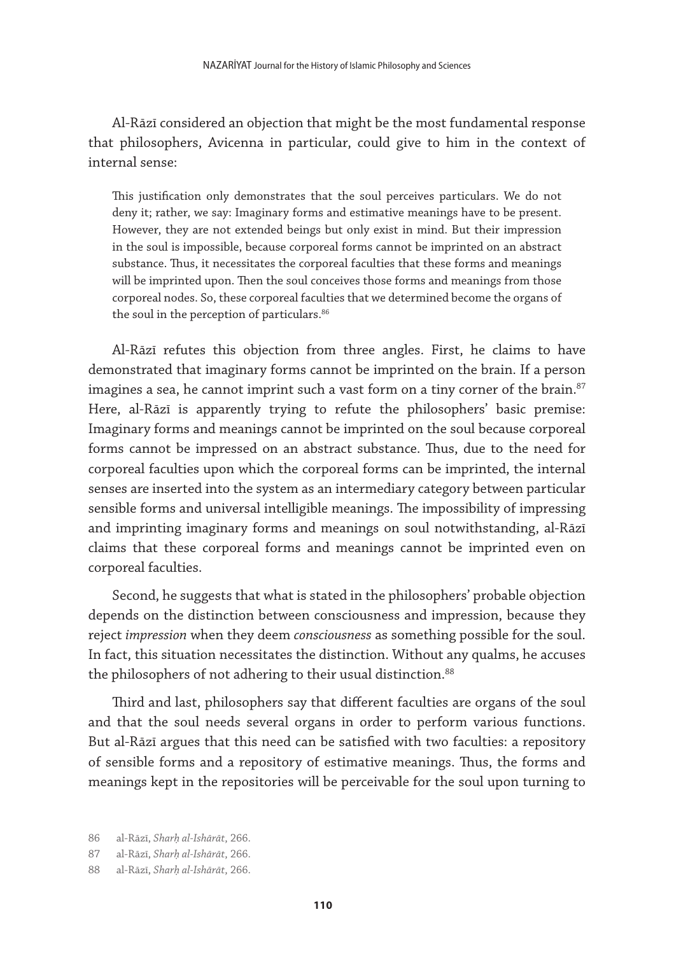Al-Rāzī considered an objection that might be the most fundamental response that philosophers, Avicenna in particular, could give to him in the context of internal sense:

This justification only demonstrates that the soul perceives particulars. We do not deny it; rather, we say: Imaginary forms and estimative meanings have to be present. However, they are not extended beings but only exist in mind. But their impression in the soul is impossible, because corporeal forms cannot be imprinted on an abstract substance. Thus, it necessitates the corporeal faculties that these forms and meanings will be imprinted upon. Then the soul conceives those forms and meanings from those corporeal nodes. So, these corporeal faculties that we determined become the organs of the soul in the perception of particulars.<sup>86</sup>

Al-Rāzī refutes this objection from three angles. First, he claims to have demonstrated that imaginary forms cannot be imprinted on the brain. If a person imagines a sea, he cannot imprint such a vast form on a tiny corner of the brain.<sup>87</sup> Here, al-Rāzī is apparently trying to refute the philosophers' basic premise: Imaginary forms and meanings cannot be imprinted on the soul because corporeal forms cannot be impressed on an abstract substance. Thus, due to the need for corporeal faculties upon which the corporeal forms can be imprinted, the internal senses are inserted into the system as an intermediary category between particular sensible forms and universal intelligible meanings. The impossibility of impressing and imprinting imaginary forms and meanings on soul notwithstanding, al-Rāzī claims that these corporeal forms and meanings cannot be imprinted even on corporeal faculties.

Second, he suggests that what is stated in the philosophers' probable objection depends on the distinction between consciousness and impression, because they reject *impression* when they deem *consciousness* as something possible for the soul. In fact, this situation necessitates the distinction. Without any qualms, he accuses the philosophers of not adhering to their usual distinction.<sup>88</sup>

Third and last, philosophers say that different faculties are organs of the soul and that the soul needs several organs in order to perform various functions. But al-Rāzī argues that this need can be satisfied with two faculties: a repository of sensible forms and a repository of estimative meanings. Thus, the forms and meanings kept in the repositories will be perceivable for the soul upon turning to

<sup>86</sup> al-Rāzī, *Sharḥ al-Ishārāt*, 266.

<sup>87</sup> al-Rāzī, *Sharḥ al-Ishārāt*, 266.

<sup>88</sup> al-Rāzī, *Sharḥ al-Ishārāt*, 266.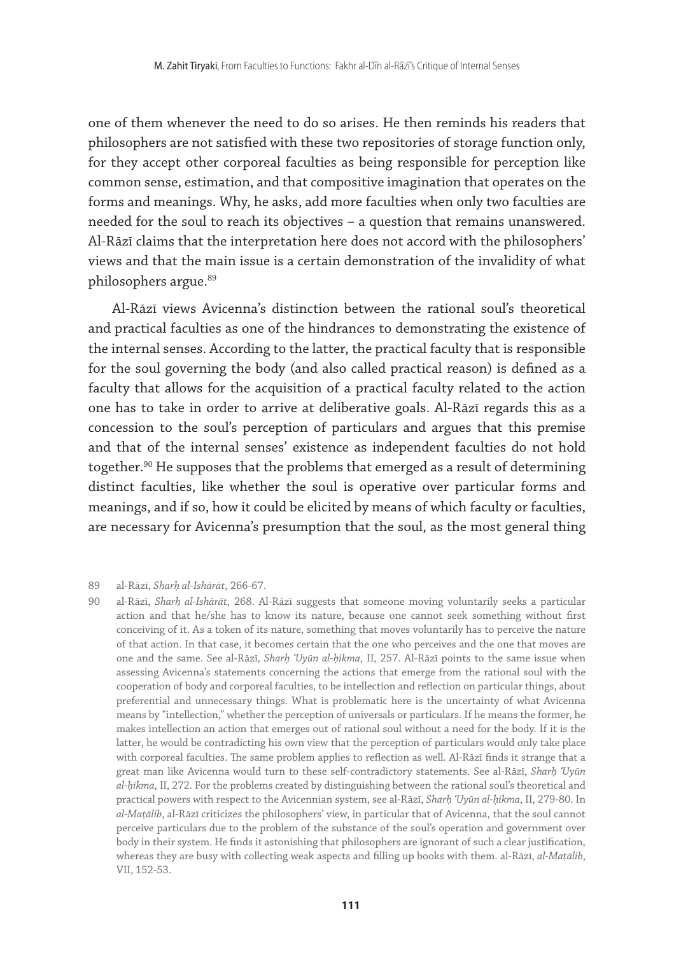one of them whenever the need to do so arises. He then reminds his readers that philosophers are not satisfied with these two repositories of storage function only, for they accept other corporeal faculties as being responsible for perception like common sense, estimation, and that compositive imagination that operates on the forms and meanings. Why, he asks, add more faculties when only two faculties are needed for the soul to reach its objectives – a question that remains unanswered. Al-Rāzī claims that the interpretation here does not accord with the philosophers' views and that the main issue is a certain demonstration of the invalidity of what philosophers argue.<sup>89</sup>

Al-Rāzī views Avicenna's distinction between the rational soul's theoretical and practical faculties as one of the hindrances to demonstrating the existence of the internal senses. According to the latter, the practical faculty that is responsible for the soul governing the body (and also called practical reason) is defined as a faculty that allows for the acquisition of a practical faculty related to the action one has to take in order to arrive at deliberative goals. Al-Rāzī regards this as a concession to the soul's perception of particulars and argues that this premise and that of the internal senses' existence as independent faculties do not hold together.<sup>90</sup> He supposes that the problems that emerged as a result of determining distinct faculties, like whether the soul is operative over particular forms and meanings, and if so, how it could be elicited by means of which faculty or faculties, are necessary for Avicenna's presumption that the soul, as the most general thing

#### 89 al-Rāzī, *Sharḥ al-Ishārāt*, 266-67.

90 al-Rāzī, *Sharḥ al-Ishārāt*, 268. Al-Rāzī suggests that someone moving voluntarily seeks a particular action and that he/she has to know its nature, because one cannot seek something without first conceiving of it. As a token of its nature, something that moves voluntarily has to perceive the nature of that action. In that case, it becomes certain that the one who perceives and the one that moves are one and the same. See al-Rāzī, *Sharḥ ʿUyūn al-ḥikma*, II, 257. Al-Rāzī points to the same issue when assessing Avicenna's statements concerning the actions that emerge from the rational soul with the cooperation of body and corporeal faculties, to be intellection and reflection on particular things, about preferential and unnecessary things. What is problematic here is the uncertainty of what Avicenna means by "intellection," whether the perception of universals or particulars. If he means the former, he makes intellection an action that emerges out of rational soul without a need for the body. If it is the latter, he would be contradicting his own view that the perception of particulars would only take place with corporeal faculties. The same problem applies to reflection as well. Al-Rāzī finds it strange that a great man like Avicenna would turn to these self-contradictory statements. See al-Rāzī, *Sharḥ ʿUyūn al-ḥikma*, II, 272. For the problems created by distinguishing between the rational soul's theoretical and practical powers with respect to the Avicennian system, see al-Rāzī, *Sharḥ ʿUyūn al-ḥikma*, II, 279-80. In *al-Maṭālib*, al-Rāzī criticizes the philosophers' view, in particular that of Avicenna, that the soul cannot perceive particulars due to the problem of the substance of the soul's operation and government over body in their system. He finds it astonishing that philosophers are ignorant of such a clear justification, whereas they are busy with collecting weak aspects and filling up books with them. al-Rāzī, *al-Maṭālib*, VII, 152-53.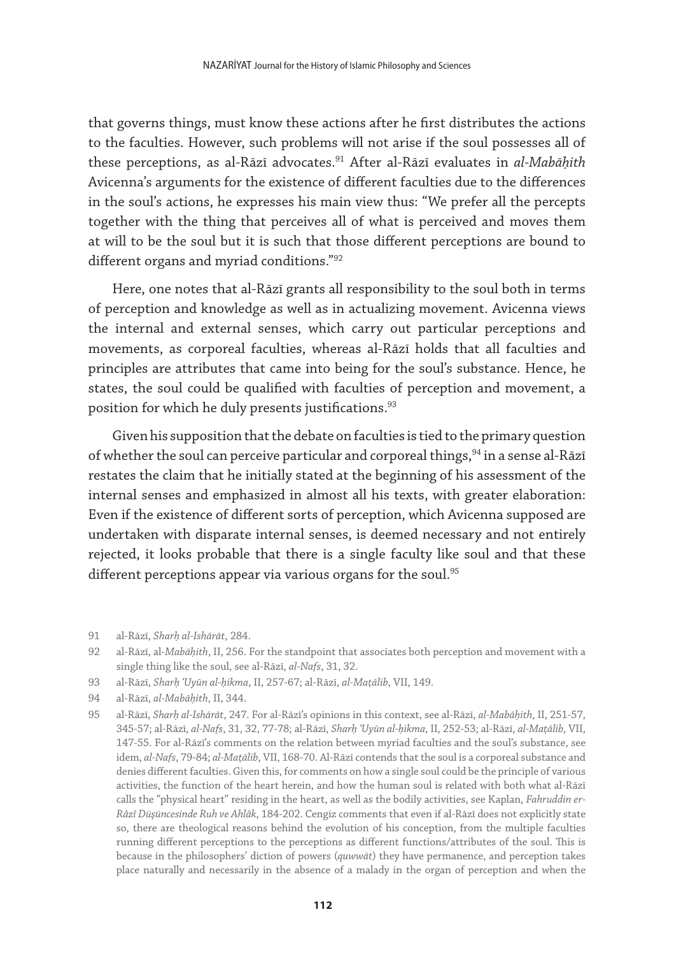that governs things, must know these actions after he first distributes the actions to the faculties. However, such problems will not arise if the soul possesses all of these perceptions, as al-Rāzī advocates.91 After al-Rāzī evaluates in *al-Mabāḥith* Avicenna's arguments for the existence of different faculties due to the differences in the soul's actions, he expresses his main view thus: "We prefer all the percepts together with the thing that perceives all of what is perceived and moves them at will to be the soul but it is such that those different perceptions are bound to different organs and myriad conditions."92

Here, one notes that al-Rāzī grants all responsibility to the soul both in terms of perception and knowledge as well as in actualizing movement. Avicenna views the internal and external senses, which carry out particular perceptions and movements, as corporeal faculties, whereas al-Rāzī holds that all faculties and principles are attributes that came into being for the soul's substance. Hence, he states, the soul could be qualified with faculties of perception and movement, a position for which he duly presents justifications.<sup>93</sup>

Given his supposition that the debate on faculties is tied to the primary question of whether the soul can perceive particular and corporeal things, <sup>94</sup> in a sense al-Rāzī restates the claim that he initially stated at the beginning of his assessment of the internal senses and emphasized in almost all his texts, with greater elaboration: Even if the existence of different sorts of perception, which Avicenna supposed are undertaken with disparate internal senses, is deemed necessary and not entirely rejected, it looks probable that there is a single faculty like soul and that these different perceptions appear via various organs for the soul. $95$ 

- 93 al-Rāzī, *Sharḥ ʿUyūn al-ḥikma*, II, 257-67; al-Rāzī, *al-Maṭālib*, VII, 149.
- 94 al-Rāzī, *al-Mabāḥith*, II, 344.
- 95 al-Rāzī, *Sharḥ al-Ishārāt*, 247. For al-Rāzī's opinions in this context, see al-Rāzī, *al-Mabāḥith*, II, 251-57, 345-57; al-Rāzī, *al-Nafs*, 31, 32, 77-78; al-Rāzī, *Sharḥ ʿUyūn al-ḥikma*, II, 252-53; al-Rāzī, *al-Maṭālib*, VII, 147-55. For al-Rāzī's comments on the relation between myriad faculties and the soul's substance, see idem, *al-Nafs*, 79-84; *al-Maṭālib*, VII, 168-70. Al-Rāzī contends that the soul is a corporeal substance and denies different faculties. Given this, for comments on how a single soul could be the principle of various activities, the function of the heart herein, and how the human soul is related with both what al-Rāzī calls the "physical heart" residing in the heart, as well as the bodily activities, see Kaplan, *Fahruddin er-Râzî Düşüncesinde Ruh ve Ahlâk*, 184-202. Cengiz comments that even if al-Rāzī does not explicitly state so, there are theological reasons behind the evolution of his conception, from the multiple faculties running different perceptions to the perceptions as different functions/attributes of the soul. This is because in the philosophers' diction of powers (*quwwāt*) they have permanence, and perception takes place naturally and necessarily in the absence of a malady in the organ of perception and when the

<sup>91</sup> al-Rāzī, *Sharḥ al-Ishārāt*, 284.

<sup>92</sup> al-Rāzī, al-*Mabāḥith*, II, 256. For the standpoint that associates both perception and movement with a single thing like the soul, see al-Rāzī, *al-Nafs*, 31, 32.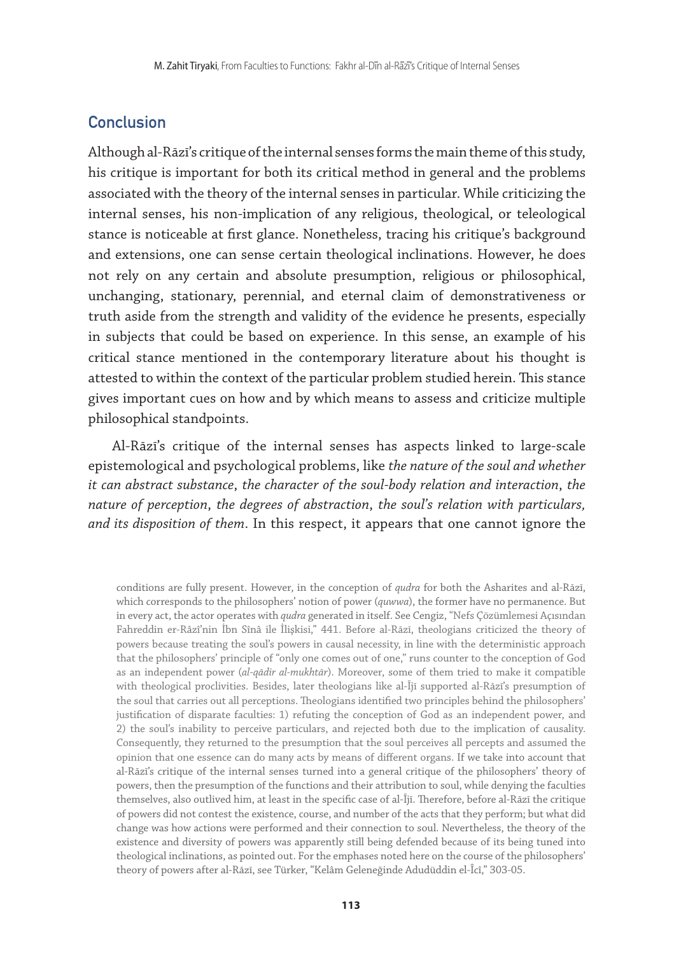## **Conclusion**

Although al-Rāzī's critique of the internal senses forms the main theme of this study, his critique is important for both its critical method in general and the problems associated with the theory of the internal senses in particular. While criticizing the internal senses, his non-implication of any religious, theological, or teleological stance is noticeable at first glance. Nonetheless, tracing his critique's background and extensions, one can sense certain theological inclinations. However, he does not rely on any certain and absolute presumption, religious or philosophical, unchanging, stationary, perennial, and eternal claim of demonstrativeness or truth aside from the strength and validity of the evidence he presents, especially in subjects that could be based on experience. In this sense, an example of his critical stance mentioned in the contemporary literature about his thought is attested to within the context of the particular problem studied herein. This stance gives important cues on how and by which means to assess and criticize multiple philosophical standpoints.

Al-Rāzī's critique of the internal senses has aspects linked to large-scale epistemological and psychological problems, like *the nature of the soul and whether it can abstract substance*, *the character of the soul-body relation and interaction*, *the nature of perception*, *the degrees of abstraction*, *the soul's relation with particulars, and its disposition of them*. In this respect, it appears that one cannot ignore the

conditions are fully present. However, in the conception of *qudra* for both the Asharites and al-Rāzī, which corresponds to the philosophers' notion of power (*quwwa*), the former have no permanence. But in every act, the actor operates with *qudra* generated in itself. See Cengiz, "Nefs Çözümlemesi Açısından Fahreddin er-Râzî'nin İbn Sînâ ile İlişkisi," 441. Before al-Rāzī, theologians criticized the theory of powers because treating the soul's powers in causal necessity, in line with the deterministic approach that the philosophers' principle of "only one comes out of one," runs counter to the conception of God as an independent power (*al-qādir al-mukhtār*). Moreover, some of them tried to make it compatible with theological proclivities. Besides, later theologians like al-Ījī supported al-Rāzī's presumption of the soul that carries out all perceptions. Theologians identified two principles behind the philosophers' justification of disparate faculties: 1) refuting the conception of God as an independent power, and 2) the soul's inability to perceive particulars, and rejected both due to the implication of causality. Consequently, they returned to the presumption that the soul perceives all percepts and assumed the opinion that one essence can do many acts by means of different organs. If we take into account that al-Rāzī's critique of the internal senses turned into a general critique of the philosophers' theory of powers, then the presumption of the functions and their attribution to soul, while denying the faculties themselves, also outlived him, at least in the specific case of al-Ījī. Therefore, before al-Rāzī the critique of powers did not contest the existence, course, and number of the acts that they perform; but what did change was how actions were performed and their connection to soul. Nevertheless, the theory of the existence and diversity of powers was apparently still being defended because of its being tuned into theological inclinations, as pointed out. For the emphases noted here on the course of the philosophers' theory of powers after al-Rāzī, see Türker, "Kelâm Geleneğinde Adudüddin el-Îcî," 303-05.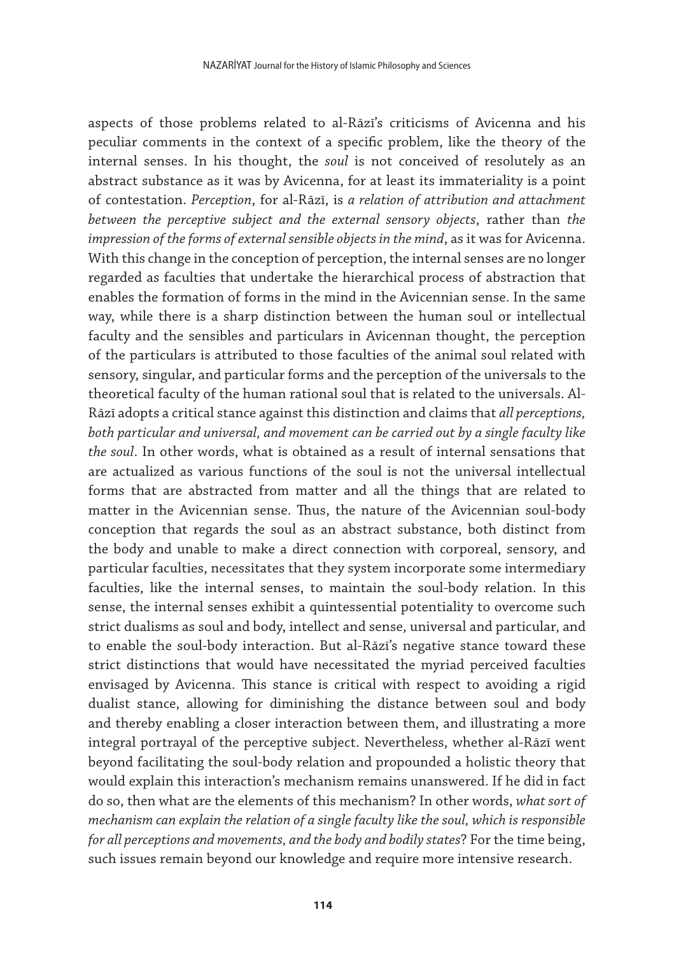aspects of those problems related to al-Rāzī's criticisms of Avicenna and his peculiar comments in the context of a specific problem, like the theory of the internal senses. In his thought, the *soul* is not conceived of resolutely as an abstract substance as it was by Avicenna, for at least its immateriality is a point of contestation. *Perception*, for al-Rāzī, is *a relation of attribution and attachment between the perceptive subject and the external sensory objects*, rather than *the impression of the forms of external sensible objects in the mind*, as it was for Avicenna. With this change in the conception of perception, the internal senses are no longer regarded as faculties that undertake the hierarchical process of abstraction that enables the formation of forms in the mind in the Avicennian sense. In the same way, while there is a sharp distinction between the human soul or intellectual faculty and the sensibles and particulars in Avicennan thought, the perception of the particulars is attributed to those faculties of the animal soul related with sensory, singular, and particular forms and the perception of the universals to the theoretical faculty of the human rational soul that is related to the universals. Al-Rāzī adopts a critical stance against this distinction and claims that *all perceptions, both particular and universal, and movement can be carried out by a single faculty like the soul*. In other words, what is obtained as a result of internal sensations that are actualized as various functions of the soul is not the universal intellectual forms that are abstracted from matter and all the things that are related to matter in the Avicennian sense. Thus, the nature of the Avicennian soul-body conception that regards the soul as an abstract substance, both distinct from the body and unable to make a direct connection with corporeal, sensory, and particular faculties, necessitates that they system incorporate some intermediary faculties, like the internal senses, to maintain the soul-body relation. In this sense, the internal senses exhibit a quintessential potentiality to overcome such strict dualisms as soul and body, intellect and sense, universal and particular, and to enable the soul-body interaction. But al-Rāzī's negative stance toward these strict distinctions that would have necessitated the myriad perceived faculties envisaged by Avicenna. This stance is critical with respect to avoiding a rigid dualist stance, allowing for diminishing the distance between soul and body and thereby enabling a closer interaction between them, and illustrating a more integral portrayal of the perceptive subject. Nevertheless, whether al-Rāzī went beyond facilitating the soul-body relation and propounded a holistic theory that would explain this interaction's mechanism remains unanswered. If he did in fact do so, then what are the elements of this mechanism? In other words, *what sort of mechanism can explain the relation of a single faculty like the soul, which is responsible for all perceptions and movements, and the body and bodily states*? For the time being, such issues remain beyond our knowledge and require more intensive research.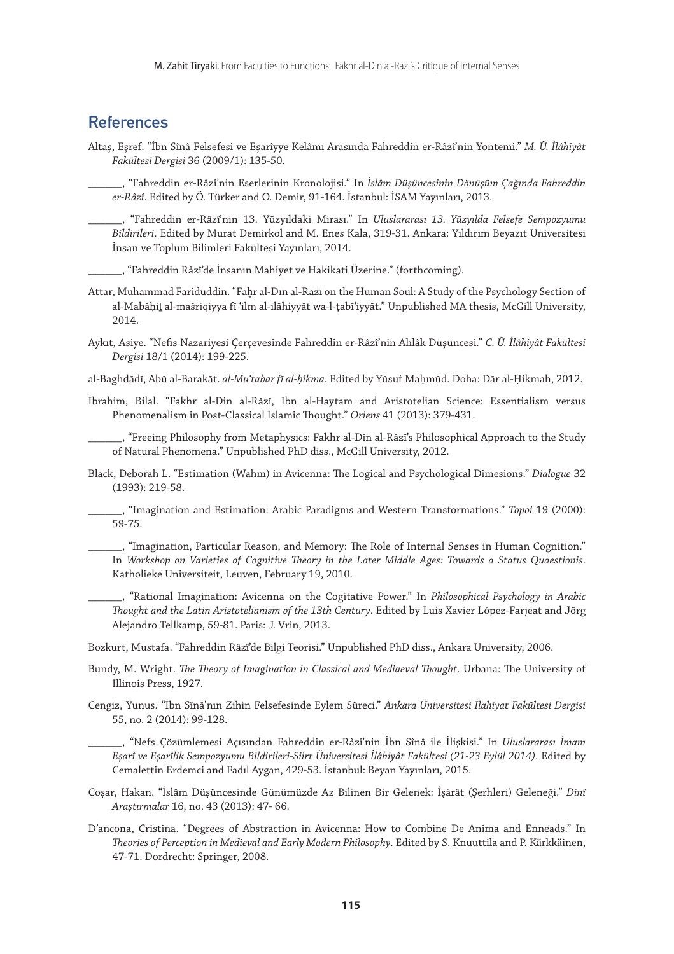#### References

Altaş, Eşref. "İbn Sînâ Felsefesi ve Eşarîyye Kelâmı Arasında Fahreddin er-Râzî'nin Yöntemi." *M. Ü. İlâhiyât Fakültesi Dergisi* 36 (2009/1): 135-50.

\_\_\_\_\_\_, "Fahreddin er-Râzî'nin Eserlerinin Kronolojisi." In *İslâm Düşüncesinin Dönüşüm Çağında Fahreddin er-Râzî*. Edited by Ö. Türker and O. Demir, 91-164. İstanbul: İSAM Yayınları, 2013.

\_\_\_\_\_\_, "Fahreddin er-Râzî'nin 13. Yüzyıldaki Mirası." In *Uluslararası 13. Yüzyılda Felsefe Sempozyumu Bildirileri*. Edited by Murat Demirkol and M. Enes Kala, 319-31. Ankara: Yıldırım Beyazıt Üniversitesi İnsan ve Toplum Bilimleri Fakültesi Yayınları, 2014.

\_\_\_\_\_\_, "Fahreddin Râzî'de İnsanın Mahiyet ve Hakikati Üzerine." (forthcoming).

- Attar, Muhammad Fariduddin. "Fahr al-Dīn al-Rāzī on the Human Soul: A Study of the Psychology Section of al-Mabāḥiṯ al-mašriqiyya fī ʿilm al-ilāhiyyāt wa-l-ṭabīʿiyyāt." Unpublished MA thesis, McGill University, 2014.
- Aykıt, Asiye. "Nefis Nazariyesi Çerçevesinde Fahreddin er-Râzî'nin Ahlâk Düşüncesi." *C. Ü. İlâhiyât Fakültesi Dergisi* 18/1 (2014): 199-225.
- al-Baghdādī, Abū al-Barakāt. *al-Muʿtabar fī al-ḥikma*. Edited by Yūsuf Maḥmūd. Doha: Dār al-Ḥikmah, 2012.
- İbrahim, Bilal. "Fakhr al-Din al-Rāzī, Ibn al-Haytam and Aristotelian Science: Essentialism versus Phenomenalism in Post-Classical Islamic Thought." *Oriens* 41 (2013): 379-431.

\_\_\_\_\_\_, "Freeing Philosophy from Metaphysics: Fakhr al-Dīn al-Rāzī's Philosophical Approach to the Study of Natural Phenomena." Unpublished PhD diss., McGill University, 2012.

Black, Deborah L. "Estimation (Wahm) in Avicenna: The Logical and Psychological Dimesions." *Dialogue* 32 (1993): 219-58.

\_\_\_\_\_\_, "Imagination and Estimation: Arabic Paradigms and Western Transformations." *Topoi* 19 (2000): 59-75.

\_\_\_\_\_\_, "Imagination, Particular Reason, and Memory: The Role of Internal Senses in Human Cognition." In *Workshop on Varieties of Cognitive Theory in the Later Middle Ages: Towards a Status Quaestionis*. Katholieke Universiteit, Leuven, February 19, 2010.

\_\_\_\_\_\_, "Rational Imagination: Avicenna on the Cogitative Power." In *Philosophical Psychology in Arabic Thought and the Latin Aristotelianism of the 13th Century*. Edited by Luis Xavier López-Farjeat and Jörg Alejandro Tellkamp, 59-81. Paris: J. Vrin, 2013.

Bozkurt, Mustafa. "Fahreddin Râzî'de Bilgi Teorisi." Unpublished PhD diss., Ankara University, 2006.

- Bundy, M. Wright. *The Theory of Imagination in Classical and Mediaeval Thought*. Urbana: The University of Illinois Press, 1927.
- Cengiz, Yunus. "İbn Sînâ'nın Zihin Felsefesinde Eylem Süreci." *Ankara Üniversitesi İlahiyat Fakültesi Dergisi* 55, no. 2 (2014): 99-128.

\_\_\_\_\_\_, "Nefs Çözümlemesi Açısından Fahreddin er-Râzî'nin İbn Sînâ ile İlişkisi." In *Uluslararası İmam Eşarî ve Eşarîlik Sempozyumu Bildirileri-Siirt Üniversitesi İlâhiyât Fakültesi (21-23 Eylül 2014)*. Edited by Cemalettin Erdemci and Fadıl Aygan, 429-53. İstanbul: Beyan Yayınları, 2015.

- Coşar, Hakan. "İslâm Düşüncesinde Günümüzde Az Bilinen Bir Gelenek: İşârât (Şerhleri) Geleneği." *Dînî Araştırmalar* 16, no. 43 (2013): 47- 66.
- D'ancona, Cristina. "Degrees of Abstraction in Avicenna: How to Combine De Anima and Enneads." In *Theories of Perception in Medieval and Early Modern Philosophy*. Edited by S. Knuuttila and P. Kӓrkkӓinen, 47-71. Dordrecht: Springer, 2008.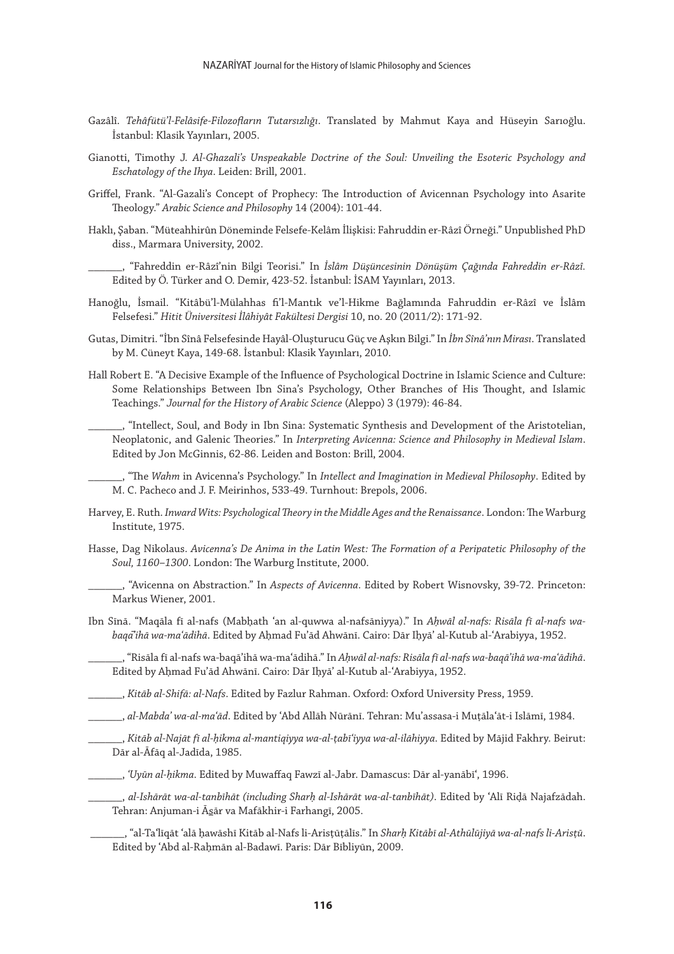- Gazâlî. *Tehâfütü'l-Felâsife-Filozofların Tutarsızlığı*. Translated by Mahmut Kaya and Hüseyin Sarıoğlu. İstanbul: Klasik Yayınları, 2005.
- Gianotti, Timothy J. *Al-Ghazali's Unspeakable Doctrine of the Soul: Unveiling the Esoteric Psychology and Eschatology of the Ihya*. Leiden: Brill, 2001.
- Griffel, Frank. "Al-Gazali's Concept of Prophecy: The Introduction of Avicennan Psychology into Asarite Theology." *Arabic Science and Philosophy* 14 (2004): 101-44.
- Haklı, Şaban. "Müteahhirûn Döneminde Felsefe-Kelâm İlişkisi: Fahruddin er-Râzî Örneği." Unpublished PhD diss., Marmara University, 2002.

\_\_\_\_\_\_, "Fahreddin er-Râzî'nin Bilgi Teorisi." In *İslâm Düşüncesinin Dönüşüm Çağında Fahreddin er-Râzî.* Edited by Ö. Türker and O. Demir, 423-52. İstanbul: İSAM Yayınları, 2013.

- Hanoğlu, İsmail. "Kitâbü'l-Mülahhas fi'l-Mantık ve'l-Hikme Bağlamında Fahruddin er-Râzî ve İslâm Felsefesi." *Hitit Üniversitesi İlâhiyât Fakültesi Dergisi* 10, no. 20 (2011/2): 171-92.
- Gutas, Dimitri. "İbn Sînâ Felsefesinde Hayâl-Oluşturucu Güç ve Aşkın Bilgi." In *İbn Sînâ'nın Mirası*. Translated by M. Cüneyt Kaya, 149-68. İstanbul: Klasik Yayınları, 2010.
- Hall Robert E. "A Decisive Example of the Influence of Psychological Doctrine in Islamic Science and Culture: Some Relationships Between Ibn Sina's Psychology, Other Branches of His Thought, and Islamic Teachings." *Journal for the History of Arabic Science* (Aleppo) 3 (1979): 46-84.

\_\_\_\_\_\_, "Intellect, Soul, and Body in Ibn Sina: Systematic Synthesis and Development of the Aristotelian, Neoplatonic, and Galenic Theories." In *Interpreting Avicenna: Science and Philosophy in Medieval Islam*. Edited by Jon McGinnis, 62-86. Leiden and Boston: Brill, 2004.

\_\_\_\_\_\_, "The *Wahm* in Avicenna's Psychology." In *Intellect and Imagination in Medieval Philosophy*. Edited by M. C. Pacheco and J. F. Meirinhos, 533-49. Turnhout: Brepols, 2006.

- Harvey, E. Ruth. *Inward Wits: Psychological Theory in the Middle Ages and the Renaissance*. London: The Warburg Institute, 1975.
- Hasse, Dag Nikolaus. *Avicenna's De Anima in the Latin West: The Formation of a Peripatetic Philosophy of the Soul, 1160–1300*. London: The Warburg Institute, 2000.

\_\_\_\_\_\_, "Avicenna on Abstraction." In *Aspects of Avicenna*. Edited by Robert Wisnovsky, 39-72. Princeton: Markus Wiener, 2001.

Ibn Sīnā. "Maqāla fī al-nafs (Mabḥath ʿan al-quwwa al-nafsāniyya)." In *Aḥwāl al-nafs: Risāla fī al-nafs wabaqa*̄*ʾihā wa-maʿādihā*. Edited by Aḥmad Fuʾād Ahwānī. Cairo: Dār Iḥyāʾ al-Kutub al-ʿArabiyya, 1952.

\_\_\_\_\_\_, "Risāla fī al-nafs wa-baqāʾihā wa-maʿādihā." In *Aḥwāl al-nafs: Risāla fī al-nafs wa-baqāʾihā wa-maʿādihā*. Edited by Aḥmad Fuʾād Ahwānī. Cairo: Dār Iḥyāʾ al-Kutub al-ʿArabiyya, 1952.

\_\_\_\_\_\_, *Kitāb al-Shifā: al-Nafs*. Edited by Fazlur Rahman. Oxford: Oxford University Press, 1959.

\_\_\_\_\_\_, *al-Mabdaʾ wa-al-maʿād*. Edited by ʿAbd Allāh Nūrānī. Tehran: Muʾassasa-i Muṭālaʿāt-i Islāmī, 1984.

\_\_\_\_\_\_, *Kitāb al-Najāt fī al-ḥikma al-mantiqiyya wa-al-ṭabīʿiyya wa-al-ilāhiyya*. Edited by Mājid Fakhry. Beirut: Dār al-Āfāq al-Jadīda, 1985.

\_\_\_\_\_\_, *ʿUyūn al-ḥikma*. Edited by Muwaffaq Fawzī al-Jabr. Damascus: Dār al-yanābīʿ, 1996.

\_\_\_\_\_\_, *al-Ishārāt wa-al-tanbīhāt (including Sharḥ al-Ishārāt wa-al-tanbīhāt)*. Edited by ʿAlī Riḍā Najafzādah. Tehran: Anjuman-i Āsār va Mafākhir-i Farhangī, 2005.

 \_\_\_\_\_\_, "al-Taʿlīqāt ʿalā ḥawāshī Kitāb al-Nafs li-Arisṭūṭālīs." In *Sharḥ Kitābī al-Athūlūjiyā wa-al-nafs li-Arisṭū*. Edited by ʿAbd al-Raḥmān al-Badawī. Paris: Dār Bībliyūn, 2009.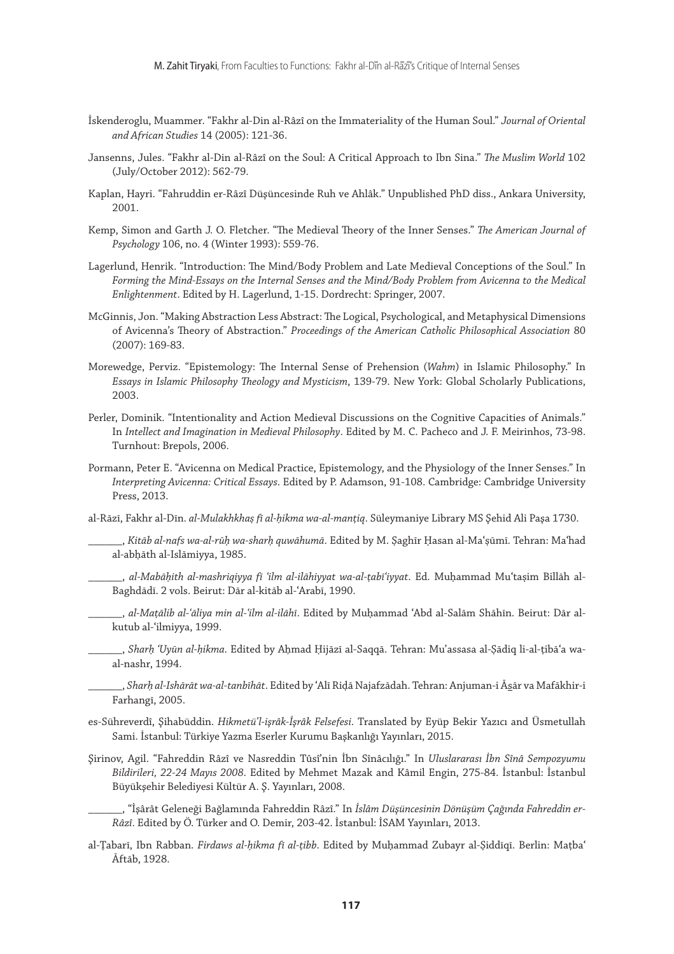- İskenderoglu, Muammer. "Fakhr al-Din al-Râzî on the Immateriality of the Human Soul." *Journal of Oriental and African Studies* 14 (2005): 121-36.
- Jansenns, Jules. "Fakhr al-Din al-Râzî on the Soul: A Critical Approach to Ibn Sina." *The Muslim World* 102 (July/October 2012): 562-79.
- Kaplan, Hayri. "Fahruddin er-Râzî Düşüncesinde Ruh ve Ahlâk." Unpublished PhD diss., Ankara University, 2001.
- Kemp, Simon and Garth J. O. Fletcher. "The Medieval Theory of the Inner Senses." *The American Journal of Psychology* 106, no. 4 (Winter 1993): 559-76.
- Lagerlund, Henrik. "Introduction: The Mind/Body Problem and Late Medieval Conceptions of the Soul." In Forming the Mind-Essays on the Internal Senses and the Mind/Body Problem from Avicenna to the Medical *Enlightenment*. Edited by H. Lagerlund, 1-15. Dordrecht: Springer, 2007.
- McGinnis, Jon. "Making Abstraction Less Abstract: The Logical, Psychological, and Metaphysical Dimensions of Avicenna's Theory of Abstraction." *Proceedings of the American Catholic Philosophical Association* 80 (2007): 169-83.
- Morewedge, Perviz. "Epistemology: The Internal Sense of Prehension (*Wahm*) in Islamic Philosophy." In *Essays in Islamic Philosophy Theology and Mysticism*, 139-79. New York: Global Scholarly Publications, 2003.
- Perler, Dominik. "Intentionality and Action Medieval Discussions on the Cognitive Capacities of Animals." In *Intellect and Imagination in Medieval Philosophy*. Edited by M. C. Pacheco and J. F. Meirinhos, 73-98. Turnhout: Brepols, 2006.
- Pormann, Peter E. "Avicenna on Medical Practice, Epistemology, and the Physiology of the Inner Senses." In *Interpreting Avicenna: Critical Essays*. Edited by P. Adamson, 91-108. Cambridge: Cambridge University Press, 2013.

al-Rāzī, Fakhr al-Dīn. *al-Mulakhkhaṣ fī al-ḥikma wa-al-manṭiq*. Süleymaniye Library MS Şehid Ali Paşa 1730.

\_\_\_\_\_\_, *Kitāb al-nafs wa-al-rūḥ wa-sharḥ quwāhumā*. Edited by M. Ṣaghīr Ḥasan al-Maʿṣūmī. Tehran: Maʿhad al-abḥāth al-Islāmiyya, 1985.

- \_\_\_\_\_\_, *al-Mabāḥith al-mashriqiyya fī ʿilm al-ilāhiyyat wa-al-ṭabīʿiyyat*. Ed. Muḥammad Muʿtaṣim Billāh al-Baghdādī. 2 vols. Beirut: Dār al-kitāb al-ʿArabī, 1990.
- \_\_\_\_\_\_, *al-Maṭālib al-ʿāliya min al-ʿilm al-ilāhī*. Edited by Muḥammad ʿAbd al-Salām Shāhīn. Beirut: Dār alkutub al-ʿilmiyya, 1999.
- \_\_\_\_\_\_, *Sharḥ ʿUyūn al-ḥikma*. Edited by Aḥmad Ḥijāzī al-Saqqā. Tehran: Muʾassasa al-Ṣādiq li-al-ṭibāʿa waal-nashr, 1994.
- \_\_\_\_\_\_, *Sharḥ al-Ishārāt wa-al-tanbīhāt*. Edited by ʿAlī Riḍā Najafzādah. Tehran: Anjuman-i Āsār va Mafākhir-i Farhangī, 2005.
- es-Sühreverdî, Şihabüddin. *Hikmetü'l-işrâk-İşrâk Felsefesi*. Translated by Eyüp Bekir Yazıcı and Üsmetullah Sami. İstanbul: Türkiye Yazma Eserler Kurumu Başkanlığı Yayınları, 2015.
- Şirinov, Agil. "Fahreddin Râzî ve Nasreddin Tûsî'nin İbn Sînâcılığı." In *Uluslararası İbn Sînâ Sempozyumu Bildirileri, 22-24 Mayıs 2008*. Edited by Mehmet Mazak and Kâmil Engin, 275-84. İstanbul: İstanbul Büyükşehir Belediyesi Kültür A. Ş. Yayınları, 2008.
	- \_\_\_\_\_\_, "İşârât Geleneği Bağlamında Fahreddin Râzî." In *İslâm Düşüncesinin Dönüşüm Çağında Fahreddin er-Râzî*. Edited by Ö. Türker and O. Demir, 203-42. İstanbul: İSAM Yayınları, 2013.
- al-Ṭabarī, Ibn Rabban. *Firdaws al-ḥikma fī al-ṭibb*. Edited by Muḥammad Zubayr al-Ṣiddīqī. Berlin: Maṭbaʿ Āftāb, 1928.